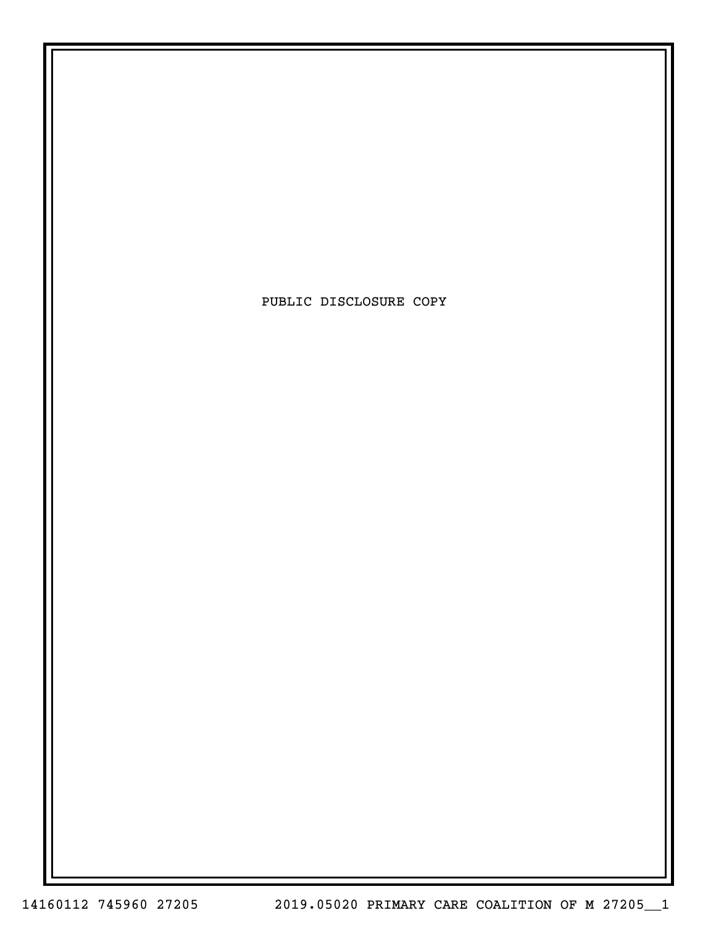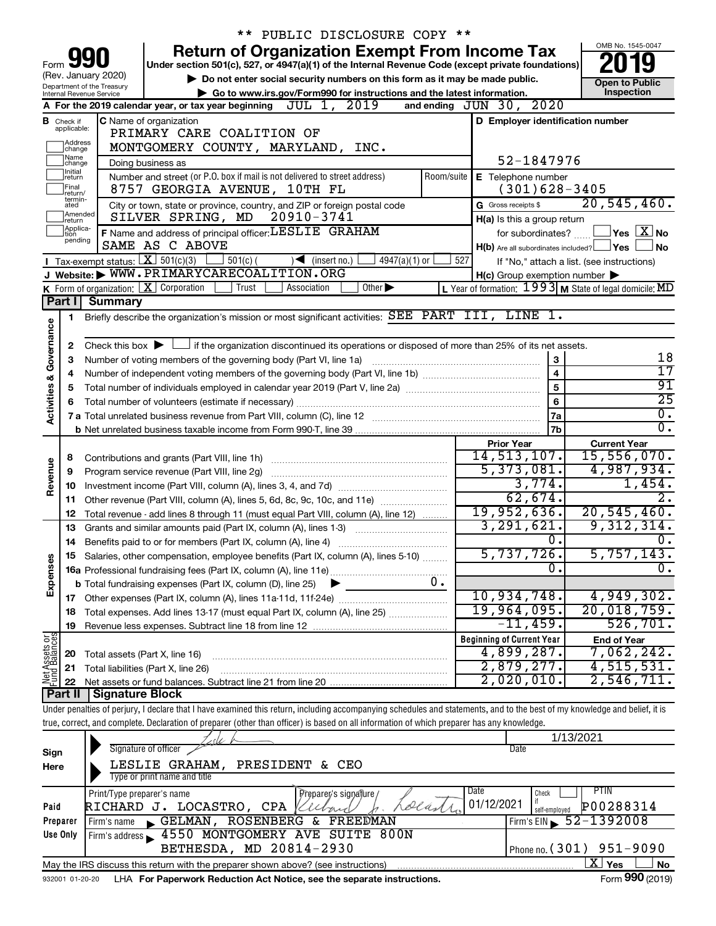|                         |                               |                                                        | ** PUBLIC DISCLOSURE COPY **                                                                                                                                               |            |                                                     |                                                           |
|-------------------------|-------------------------------|--------------------------------------------------------|----------------------------------------------------------------------------------------------------------------------------------------------------------------------------|------------|-----------------------------------------------------|-----------------------------------------------------------|
|                         |                               |                                                        | <b>Return of Organization Exempt From Income Tax</b>                                                                                                                       |            |                                                     | OMB No. 1545-0047                                         |
| Form                    |                               |                                                        | Under section 501(c), 527, or 4947(a)(1) of the Internal Revenue Code (except private foundations)                                                                         |            |                                                     |                                                           |
|                         |                               | (Rev. January 2020)                                    | Do not enter social security numbers on this form as it may be made public.                                                                                                |            |                                                     | <b>Open to Public</b>                                     |
|                         |                               | Department of the Treasury<br>Internal Revenue Service | Go to www.irs.gov/Form990 for instructions and the latest information.                                                                                                     |            |                                                     | Inspection                                                |
|                         |                               |                                                        | A For the 2019 calendar year, or tax year beginning $JUL$ 1, $2019$                                                                                                        |            | and ending $JUN$ 30, $2020$                         |                                                           |
|                         |                               |                                                        | <b>C</b> Name of organization                                                                                                                                              |            | D Employer identification number                    |                                                           |
|                         | <b>B</b> Check if applicable: |                                                        | PRIMARY CARE COALITION OF                                                                                                                                                  |            |                                                     |                                                           |
|                         | Address<br>change             |                                                        | MONTGOMERY COUNTY, MARYLAND, INC.                                                                                                                                          |            |                                                     |                                                           |
|                         | Name                          |                                                        | Doing business as                                                                                                                                                          |            | 52-1847976                                          |                                                           |
|                         | change<br>Initial             |                                                        | Number and street (or P.O. box if mail is not delivered to street address)                                                                                                 | Room/suite |                                                     |                                                           |
|                         | return<br>Final               |                                                        | 8757 GEORGIA AVENUE, 10TH FL                                                                                                                                               |            | E Telephone number<br>$(301)628 - 3405$             |                                                           |
|                         | return/<br>termin-            |                                                        |                                                                                                                                                                            |            | G Gross receipts \$                                 | 20, 545, 460.                                             |
|                         | ated<br>Amended               |                                                        | City or town, state or province, country, and ZIP or foreign postal code<br>20910-3741<br>SILVER SPRING, MD                                                                |            |                                                     |                                                           |
|                         | return<br>Applica-            |                                                        |                                                                                                                                                                            |            | H(a) Is this a group return                         |                                                           |
|                         | tion<br>pending               |                                                        | F Name and address of principal officer: LESLIE GRAHAM<br>SAME AS C ABOVE                                                                                                  |            | for subordinates?                                   | $ {\mathsf Y}\mathsf{es}^- \mathsf{X} $ No                |
|                         |                               |                                                        |                                                                                                                                                                            |            | $H(b)$ Are all subordinates included? $\Box$ Yes    | l No                                                      |
|                         |                               |                                                        | <b>I</b> Tax-exempt status: $X \overline{3}$ 501(c)(3)<br>$\vert$ 501(c) (<br>$4947(a)(1)$ or<br>$\sqrt{\frac{1}{1}}$ (insert no.)                                         | 527        |                                                     | If "No," attach a list. (see instructions)                |
|                         |                               |                                                        | J Website: WWW.PRIMARYCARECOALITION.ORG                                                                                                                                    |            | $H(c)$ Group exemption number $\blacktriangleright$ |                                                           |
|                         |                               |                                                        | K Form of organization: $X$ Corporation<br>Trust<br>Association<br>Other $\blacktriangleright$                                                                             |            |                                                     | L Year of formation: $1993$ M State of legal domicile: MD |
|                         | Part I                        | <b>Summary</b>                                         |                                                                                                                                                                            |            |                                                     |                                                           |
|                         | 1                             |                                                        | Briefly describe the organization's mission or most significant activities: SEE PART III, LINE 1.                                                                          |            |                                                     |                                                           |
| Activities & Governance |                               |                                                        |                                                                                                                                                                            |            |                                                     |                                                           |
|                         | 2                             |                                                        | Check this box $\blacktriangleright$ $\Box$ if the organization discontinued its operations or disposed of more than 25% of its net assets.                                |            |                                                     |                                                           |
|                         | 3                             |                                                        | Number of voting members of the governing body (Part VI, line 1a)                                                                                                          |            | 3                                                   | 18                                                        |
|                         | 4                             |                                                        |                                                                                                                                                                            |            | $\overline{\mathbf{4}}$                             | $\overline{17}$                                           |
|                         | 5                             |                                                        |                                                                                                                                                                            |            | 5                                                   | 91                                                        |
|                         | 6                             |                                                        |                                                                                                                                                                            |            | $6\phantom{a}$                                      | $\overline{25}$                                           |
|                         |                               |                                                        |                                                                                                                                                                            |            | 7a                                                  | σ.                                                        |
|                         |                               |                                                        |                                                                                                                                                                            |            | 7b                                                  | $\overline{0}$ .                                          |
|                         |                               |                                                        |                                                                                                                                                                            |            | <b>Prior Year</b>                                   | <b>Current Year</b>                                       |
|                         | 8                             |                                                        | Contributions and grants (Part VIII, line 1h)                                                                                                                              |            | 14,513,107.                                         | 15,556,070.                                               |
| Revenue                 | 9                             |                                                        | Program service revenue (Part VIII, line 2g)                                                                                                                               |            | 5,373,081.                                          | 4,987,934.                                                |
|                         | 10                            |                                                        |                                                                                                                                                                            |            | 3,774.                                              | 1,454.                                                    |
|                         | 11                            |                                                        |                                                                                                                                                                            |            | 62,674.                                             | 2.                                                        |
|                         | 12                            |                                                        | Total revenue - add lines 8 through 11 (must equal Part VIII, column (A), line 12)                                                                                         |            | 19,952,636.                                         | 20, 545, 460.                                             |
|                         | 13                            |                                                        | Grants and similar amounts paid (Part IX, column (A), lines 1-3)<br><u> 1986 - Jan Barbarat, martin a</u>                                                                  |            | 3, 291, 621.                                        | 9,312,314.                                                |
|                         |                               |                                                        | 14 Benefits paid to or for members (Part IX, column (A), line 4)                                                                                                           |            | 0.                                                  | 0.                                                        |
|                         |                               |                                                        | 15 Salaries, other compensation, employee benefits (Part IX, column (A), lines 5-10)                                                                                       |            | 5,737,726.                                          | 5,757,143.                                                |
| Expenses                |                               |                                                        |                                                                                                                                                                            |            | 0.                                                  | $\mathbf 0$ .                                             |
|                         |                               |                                                        | <b>b</b> Total fundraising expenses (Part IX, column (D), line 25)                                                                                                         | 0.         |                                                     |                                                           |
|                         |                               |                                                        |                                                                                                                                                                            |            | 10,934,748.                                         | 4,949,302.                                                |
|                         |                               |                                                        | Total expenses. Add lines 13-17 (must equal Part IX, column (A), line 25)                                                                                                  |            | 19,964,095.                                         | 20,018,759.                                               |
|                         | 18                            |                                                        |                                                                                                                                                                            |            | $-11,459.$                                          | 526,701.                                                  |
|                         | 19                            |                                                        |                                                                                                                                                                            |            | <b>Beginning of Current Year</b>                    |                                                           |
| Net Assets or           |                               |                                                        |                                                                                                                                                                            |            | 4,899,287.                                          | <b>End of Year</b><br>7,062,242.                          |
|                         | 20                            |                                                        | Total assets (Part X, line 16)                                                                                                                                             |            | 2,879,277.                                          | 4,515,531.                                                |
|                         | 21                            |                                                        | Total liabilities (Part X, line 26)                                                                                                                                        |            | 2,020,010.                                          | 2,546,711.                                                |
|                         | 22<br>Part II                 | <b>Signature Block</b>                                 |                                                                                                                                                                            |            |                                                     |                                                           |
|                         |                               |                                                        |                                                                                                                                                                            |            |                                                     |                                                           |
|                         |                               |                                                        | Under penalties of perjury, I declare that I have examined this return, including accompanying schedules and statements, and to the best of my knowledge and belief, it is |            |                                                     |                                                           |
|                         |                               |                                                        | true, correct, and complete. Declaration of preparer (other than officer) is based on all information of which preparer has any knowledge.                                 |            |                                                     |                                                           |
|                         |                               |                                                        | Signature of officer                                                                                                                                                       |            | Date                                                | 1/13/2021                                                 |
| Sign                    |                               |                                                        |                                                                                                                                                                            |            |                                                     |                                                           |
| Here                    |                               |                                                        | LESLIE GRAHAM, PRESIDENT & CEO                                                                                                                                             |            |                                                     |                                                           |
|                         |                               |                                                        | Type or print name and title                                                                                                                                               |            |                                                     |                                                           |
|                         |                               | Print/Type preparer's name                             | Preparer's signature                                                                                                                                                       |            | Date<br>Check                                       | PTIN                                                      |
| Paid                    |                               |                                                        | elan<br>RICHARD J. LOCASTRO, CPA $\mathcal{U}\mathcal{U}$ a                                                                                                                |            | 01/12/2021<br>self-employed                         | P00288314                                                 |
|                         | Preparer                      | Firm's name                                            | GELMAN, ROSENBERG & FREEDMAN                                                                                                                                               |            | Firm's $EIN$                                        | 52-1392008                                                |
|                         | Use Only                      |                                                        | Firm's address 4550 MONTGOMERY AVE SUITE 800N                                                                                                                              |            |                                                     |                                                           |
|                         |                               |                                                        | BETHESDA, MD 20814-2930                                                                                                                                                    |            |                                                     | Phone no. (301) 951-9090                                  |
|                         |                               |                                                        | May the IRS discuss this return with the preparer shown above? (see instructions)                                                                                          |            |                                                     | $\mathbf{X}$ $\mathsf{Yes}$<br>No                         |

932001 01-20-20 **For Paperwork Reduction Act Notice, see the separate instructions.** LHA Form (2019)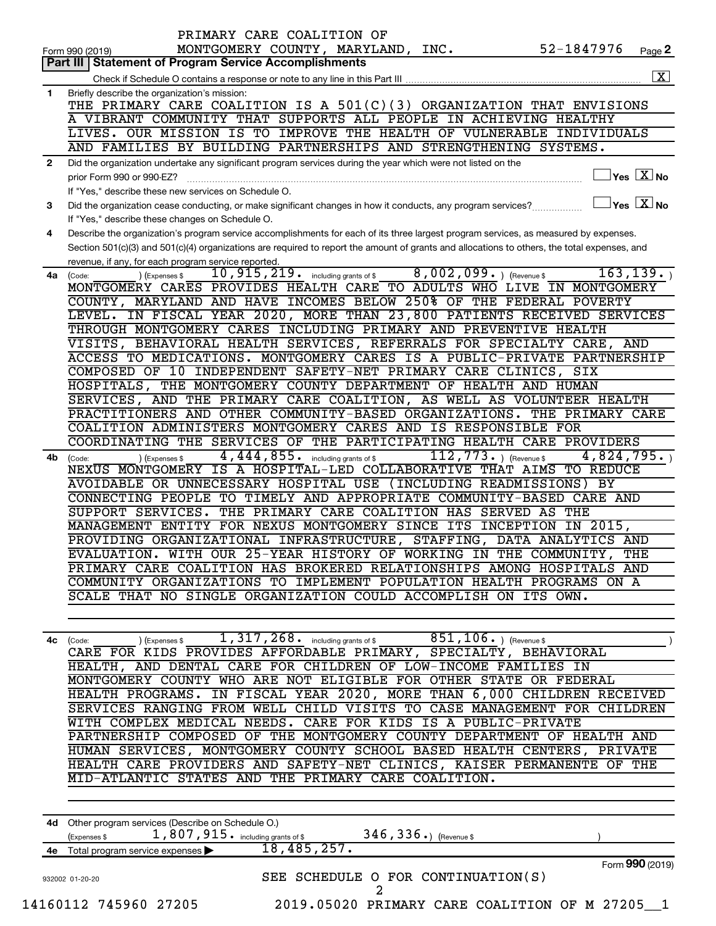|              | PRIMARY CARE COALITION OF                                                                                                                                         |            |                                                                                             |
|--------------|-------------------------------------------------------------------------------------------------------------------------------------------------------------------|------------|---------------------------------------------------------------------------------------------|
|              | MONTGOMERY COUNTY, MARYLAND, INC.<br>Form 990 (2019)                                                                                                              | 52-1847976 | Page 2                                                                                      |
|              | <b>Part III   Statement of Program Service Accomplishments</b>                                                                                                    |            |                                                                                             |
|              |                                                                                                                                                                   |            | $\overline{\mathbf{x}}$                                                                     |
| 1            | Briefly describe the organization's mission:                                                                                                                      |            |                                                                                             |
|              | THE PRIMARY CARE COALITION IS A 501(C)(3) ORGANIZATION THAT ENVISIONS                                                                                             |            |                                                                                             |
|              | A VIBRANT COMMUNITY THAT SUPPORTS ALL PEOPLE IN ACHIEVING HEALTHY                                                                                                 |            |                                                                                             |
|              | LIVES. OUR MISSION IS TO IMPROVE THE HEALTH OF VULNERABLE INDIVIDUALS                                                                                             |            |                                                                                             |
|              | AND FAMILIES BY BUILDING PARTNERSHIPS AND STRENGTHENING SYSTEMS.                                                                                                  |            |                                                                                             |
| $\mathbf{2}$ | Did the organization undertake any significant program services during the year which were not listed on the                                                      |            |                                                                                             |
|              | prior Form 990 or 990-EZ?                                                                                                                                         |            | $\left\vert \mathsf{Yes}\right\vert \overline{\mathsf{X}}\left\vert \mathsf{No}\right\vert$ |
|              | If "Yes." describe these new services on Schedule O.                                                                                                              |            |                                                                                             |
| 3            | Did the organization cease conducting, or make significant changes in how it conducts, any program services?                                                      |            | $\exists$ Yes $\boxed{\text{X}}$ No                                                         |
|              | If "Yes," describe these changes on Schedule O.                                                                                                                   |            |                                                                                             |
| 4            | Describe the organization's program service accomplishments for each of its three largest program services, as measured by expenses.                              |            |                                                                                             |
|              | Section 501(c)(3) and 501(c)(4) organizations are required to report the amount of grants and allocations to others, the total expenses, and                      |            |                                                                                             |
|              | revenue, if any, for each program service reported.<br>8,002,099. ) (Revenue \$<br>$\overline{10}$ , $\overline{915}$ , $\overline{219}$ . including grants of \$ |            | 163, 139.                                                                                   |
|              | ) (Expenses \$<br>4a (Code:<br>MONTGOMERY CARES PROVIDES HEALTH CARE TO ADULTS WHO LIVE IN MONTGOMERY                                                             |            |                                                                                             |
|              | COUNTY, MARYLAND AND HAVE INCOMES BELOW 250% OF THE FEDERAL POVERTY                                                                                               |            |                                                                                             |
|              | LEVEL. IN FISCAL YEAR 2020, MORE THAN 23,800 PATIENTS RECEIVED SERVICES                                                                                           |            |                                                                                             |
|              | THROUGH MONTGOMERY CARES INCLUDING PRIMARY AND PREVENTIVE HEALTH                                                                                                  |            |                                                                                             |
|              | VISITS, BEHAVIORAL HEALTH SERVICES, REFERRALS FOR SPECIALTY CARE, AND                                                                                             |            |                                                                                             |
|              | ACCESS TO MEDICATIONS. MONTGOMERY CARES IS A PUBLIC-PRIVATE PARTNERSHIP                                                                                           |            |                                                                                             |
|              | COMPOSED OF 10 INDEPENDENT SAFETY-NET PRIMARY CARE CLINICS, SIX                                                                                                   |            |                                                                                             |
|              | HOSPITALS, THE MONTGOMERY COUNTY DEPARTMENT OF HEALTH AND HUMAN                                                                                                   |            |                                                                                             |
|              | SERVICES, AND THE PRIMARY CARE COALITION, AS WELL AS VOLUNTEER HEALTH                                                                                             |            |                                                                                             |
|              | PRACTITIONERS AND OTHER COMMUNITY-BASED ORGANIZATIONS. THE PRIMARY CARE                                                                                           |            |                                                                                             |
|              | COALITION ADMINISTERS MONTGOMERY CARES AND IS RESPONSIBLE FOR                                                                                                     |            |                                                                                             |
|              | COORDINATING THE SERVICES OF THE PARTICIPATING HEALTH CARE PROVIDERS                                                                                              |            |                                                                                             |
| 4b           | $4,444,855$ $\cdot$ including grants of \$<br>$112, 773.$ (Revenue \$<br>) (Expenses \$<br>(Code:                                                                 | 4,824,795. |                                                                                             |
|              | NEXUS MONTGOMERY IS A HOSPITAL-LED COLLABORATIVE THAT AIMS TO REDUCE                                                                                              |            |                                                                                             |
|              | AVOIDABLE OR UNNECESSARY HOSPITAL USE (INCLUDING READMISSIONS) BY                                                                                                 |            |                                                                                             |
|              | CONNECTING PEOPLE TO TIMELY AND APPROPRIATE COMMUNITY-BASED CARE AND                                                                                              |            |                                                                                             |
|              | THE PRIMARY CARE COALITION HAS SERVED AS THE<br>SUPPORT SERVICES.                                                                                                 |            |                                                                                             |
|              | MANAGEMENT ENTITY FOR NEXUS MONTGOMERY SINCE ITS INCEPTION IN 2015,                                                                                               |            |                                                                                             |
|              | PROVIDING ORGANIZATIONAL INFRASTRUCTURE, STAFFING, DATA ANALYTICS AND                                                                                             |            |                                                                                             |
|              | EVALUATION. WITH OUR 25-YEAR HISTORY OF WORKING IN THE COMMUNITY, THE                                                                                             |            |                                                                                             |
|              | PRIMARY CARE COALITION HAS BROKERED RELATIONSHIPS AMONG HOSPITALS AND<br>COMMUNITY ORGANIZATIONS TO IMPLEMENT POPULATION HEALTH PROGRAMS ON A                     |            |                                                                                             |
|              | SCALE THAT NO SINGLE ORGANIZATION COULD ACCOMPLISH ON ITS OWN.                                                                                                    |            |                                                                                             |
|              |                                                                                                                                                                   |            |                                                                                             |
|              |                                                                                                                                                                   |            |                                                                                             |
|              | $851, 106.$ (Revenue \$)<br>$1,317$ , $268$ or including grants of \$<br>) (Expenses \$<br>4c (Code:                                                              |            |                                                                                             |
|              | CARE FOR KIDS PROVIDES AFFORDABLE PRIMARY, SPECIALTY, BEHAVIORAL                                                                                                  |            |                                                                                             |
|              | HEALTH, AND DENTAL CARE FOR CHILDREN OF LOW-INCOME FAMILIES IN                                                                                                    |            |                                                                                             |
|              | MONTGOMERY COUNTY WHO ARE NOT ELIGIBLE FOR OTHER STATE OR FEDERAL                                                                                                 |            |                                                                                             |
|              | HEALTH PROGRAMS. IN FISCAL YEAR 2020, MORE THAN 6,000 CHILDREN RECEIVED                                                                                           |            |                                                                                             |
|              | SERVICES RANGING FROM WELL CHILD VISITS TO CASE MANAGEMENT FOR CHILDREN                                                                                           |            |                                                                                             |
|              | WITH COMPLEX MEDICAL NEEDS. CARE FOR KIDS IS A PUBLIC-PRIVATE                                                                                                     |            |                                                                                             |
|              | PARTNERSHIP COMPOSED OF THE MONTGOMERY COUNTY DEPARTMENT OF HEALTH AND                                                                                            |            |                                                                                             |
|              | HUMAN SERVICES, MONTGOMERY COUNTY SCHOOL BASED HEALTH CENTERS, PRIVATE                                                                                            |            |                                                                                             |
|              | HEALTH CARE PROVIDERS AND SAFETY-NET CLINICS, KAISER PERMANENTE OF THE                                                                                            |            |                                                                                             |
|              | MID-ATLANTIC STATES AND THE PRIMARY CARE COALITION.                                                                                                               |            |                                                                                             |
|              |                                                                                                                                                                   |            |                                                                                             |
|              |                                                                                                                                                                   |            |                                                                                             |
|              | 4d Other program services (Describe on Schedule O.)                                                                                                               |            |                                                                                             |
|              | 346, 336.) (Revenue \$<br>1,807,915. including grants of \$<br>(Expenses \$                                                                                       |            |                                                                                             |
|              | 18,485,257.<br>4e Total program service expenses >                                                                                                                |            |                                                                                             |
|              |                                                                                                                                                                   |            | Form 990 (2019)                                                                             |

| 14160112 745960 27205 | 2019.05020 PRIMARY CARE COALITION OF M 27205 1 |
|-----------------------|------------------------------------------------|

SEE SCHEDULE O FOR CONTINUATION(S)

932002 01-20-20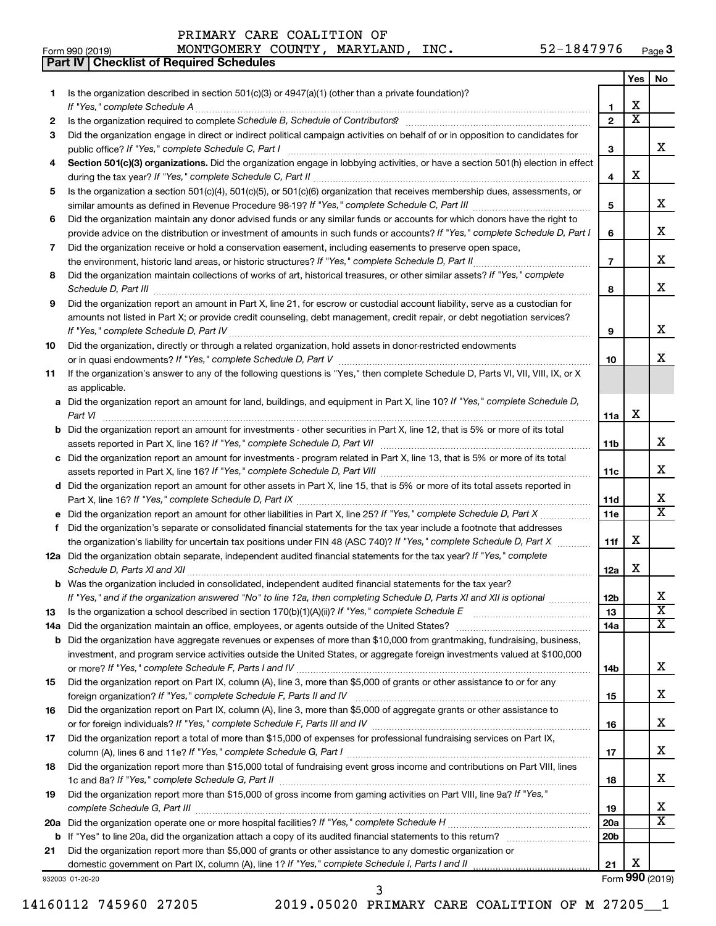|  | PRIMARY CARE COALITION OF |  |
|--|---------------------------|--|
|  |                           |  |

**Part IV Checklist of Required Schedules**

#### Form 990 (2019) Page MONTGOMERY COUNTY, MARYLAND, INC. 52-1847976 52-1847976 Page 3

|     |                                                                                                                                                                                                                                     |                       | Yes                     | No                      |
|-----|-------------------------------------------------------------------------------------------------------------------------------------------------------------------------------------------------------------------------------------|-----------------------|-------------------------|-------------------------|
| 1.  | Is the organization described in section $501(c)(3)$ or $4947(a)(1)$ (other than a private foundation)?                                                                                                                             |                       |                         |                         |
|     | If "Yes," complete Schedule A                                                                                                                                                                                                       | 1                     | х                       |                         |
| 2   | Is the organization required to complete Schedule B, Schedule of Contributors? [11] The organization required to complete Schedule B, Schedule of Contributors? [11] The organization required to complete Schedule B, Schedul      | $\overline{2}$        | $\overline{\textbf{x}}$ |                         |
| 3   | Did the organization engage in direct or indirect political campaign activities on behalf of or in opposition to candidates for                                                                                                     |                       |                         |                         |
|     | public office? If "Yes," complete Schedule C, Part I                                                                                                                                                                                | З                     |                         | x                       |
| 4   | Section 501(c)(3) organizations. Did the organization engage in lobbying activities, or have a section 501(h) election in effect                                                                                                    |                       |                         |                         |
|     |                                                                                                                                                                                                                                     | 4                     | x                       |                         |
| 5   | Is the organization a section 501(c)(4), 501(c)(5), or 501(c)(6) organization that receives membership dues, assessments, or                                                                                                        |                       |                         |                         |
|     |                                                                                                                                                                                                                                     | 5                     |                         | x                       |
| 6   | Did the organization maintain any donor advised funds or any similar funds or accounts for which donors have the right to                                                                                                           |                       |                         |                         |
|     | provide advice on the distribution or investment of amounts in such funds or accounts? If "Yes," complete Schedule D, Part I                                                                                                        | 6                     |                         | х                       |
| 7   | Did the organization receive or hold a conservation easement, including easements to preserve open space,                                                                                                                           |                       |                         |                         |
|     |                                                                                                                                                                                                                                     | $\overline{7}$        |                         | х                       |
| 8   | Did the organization maintain collections of works of art, historical treasures, or other similar assets? If "Yes," complete                                                                                                        |                       |                         | х                       |
|     | Schedule D, Part III <b>Marting Communities</b> and the contract of the contract of the contract of the contract of the contract of the contract of the contract of the contract of the contract of the contract of the contract of | 8                     |                         |                         |
| 9   | Did the organization report an amount in Part X, line 21, for escrow or custodial account liability, serve as a custodian for                                                                                                       |                       |                         |                         |
|     | amounts not listed in Part X; or provide credit counseling, debt management, credit repair, or debt negotiation services?                                                                                                           | 9                     |                         | х                       |
| 10  | Did the organization, directly or through a related organization, hold assets in donor-restricted endowments                                                                                                                        |                       |                         |                         |
|     |                                                                                                                                                                                                                                     | 10                    |                         | х                       |
| 11  | If the organization's answer to any of the following questions is "Yes," then complete Schedule D, Parts VI, VII, VIII, IX, or X                                                                                                    |                       |                         |                         |
|     | as applicable.                                                                                                                                                                                                                      |                       |                         |                         |
|     | a Did the organization report an amount for land, buildings, and equipment in Part X, line 10? If "Yes," complete Schedule D,                                                                                                       |                       |                         |                         |
|     | Part VI                                                                                                                                                                                                                             | 11a                   | х                       |                         |
|     | <b>b</b> Did the organization report an amount for investments - other securities in Part X, line 12, that is 5% or more of its total                                                                                               |                       |                         |                         |
|     |                                                                                                                                                                                                                                     | 11 <sub>b</sub>       |                         | х                       |
|     | c Did the organization report an amount for investments - program related in Part X, line 13, that is 5% or more of its total                                                                                                       |                       |                         |                         |
|     |                                                                                                                                                                                                                                     | 11c                   |                         | х                       |
|     | d Did the organization report an amount for other assets in Part X, line 15, that is 5% or more of its total assets reported in                                                                                                     |                       |                         |                         |
|     |                                                                                                                                                                                                                                     | <b>11d</b>            |                         | х                       |
|     |                                                                                                                                                                                                                                     | 11e                   |                         | $\overline{\texttt{x}}$ |
|     | f Did the organization's separate or consolidated financial statements for the tax year include a footnote that addresses                                                                                                           |                       |                         |                         |
|     | the organization's liability for uncertain tax positions under FIN 48 (ASC 740)? If "Yes," complete Schedule D, Part X                                                                                                              | 11f                   | x                       |                         |
|     | 12a Did the organization obtain separate, independent audited financial statements for the tax year? If "Yes," complete                                                                                                             |                       |                         |                         |
|     |                                                                                                                                                                                                                                     | 12a                   | х                       |                         |
|     | <b>b</b> Was the organization included in consolidated, independent audited financial statements for the tax year?                                                                                                                  |                       |                         | x                       |
|     | If "Yes," and if the organization answered "No" to line 12a, then completing Schedule D, Parts XI and XII is optional www.                                                                                                          | 12 <sub>b</sub><br>13 |                         | $\overline{\textbf{X}}$ |
| 13  | Is the organization a school described in section 170(b)(1)(A)(ii)? If "Yes," complete Schedule E                                                                                                                                   | 14a                   |                         | $\overline{\mathbf{x}}$ |
| 14a | <b>b</b> Did the organization have aggregate revenues or expenses of more than \$10,000 from grantmaking, fundraising, business,                                                                                                    |                       |                         |                         |
|     | investment, and program service activities outside the United States, or aggregate foreign investments valued at \$100,000                                                                                                          |                       |                         |                         |
|     |                                                                                                                                                                                                                                     | 14b                   |                         | x                       |
| 15  | Did the organization report on Part IX, column (A), line 3, more than \$5,000 of grants or other assistance to or for any                                                                                                           |                       |                         |                         |
|     | foreign organization? If "Yes," complete Schedule F, Parts II and IV                                                                                                                                                                | 15                    |                         | х                       |
| 16  | Did the organization report on Part IX, column (A), line 3, more than \$5,000 of aggregate grants or other assistance to                                                                                                            |                       |                         |                         |
|     |                                                                                                                                                                                                                                     | 16                    |                         | х                       |
| 17  | Did the organization report a total of more than \$15,000 of expenses for professional fundraising services on Part IX,                                                                                                             |                       |                         |                         |
|     |                                                                                                                                                                                                                                     | 17                    |                         | х                       |
| 18  | Did the organization report more than \$15,000 total of fundraising event gross income and contributions on Part VIII, lines                                                                                                        |                       |                         |                         |
|     |                                                                                                                                                                                                                                     | 18                    |                         | х                       |
| 19  | Did the organization report more than \$15,000 of gross income from gaming activities on Part VIII, line 9a? If "Yes,"                                                                                                              |                       |                         |                         |
|     |                                                                                                                                                                                                                                     | 19                    |                         | X                       |
|     |                                                                                                                                                                                                                                     | 20a                   |                         | $\overline{\mathbf{x}}$ |
|     |                                                                                                                                                                                                                                     | 20 <sub>b</sub>       |                         |                         |
| 21  | Did the organization report more than \$5,000 of grants or other assistance to any domestic organization or                                                                                                                         |                       | х                       |                         |
|     | domestic government on Part IX, column (A), line 1? If "Yes," complete Schedule I, Parts I and II                                                                                                                                   | 21                    |                         | Form 990 (2019)         |
|     | 932003 01-20-20<br>3                                                                                                                                                                                                                |                       |                         |                         |

14160112 745960 27205 2019.05020 PRIMARY CARE COALITION OF M 27205\_\_1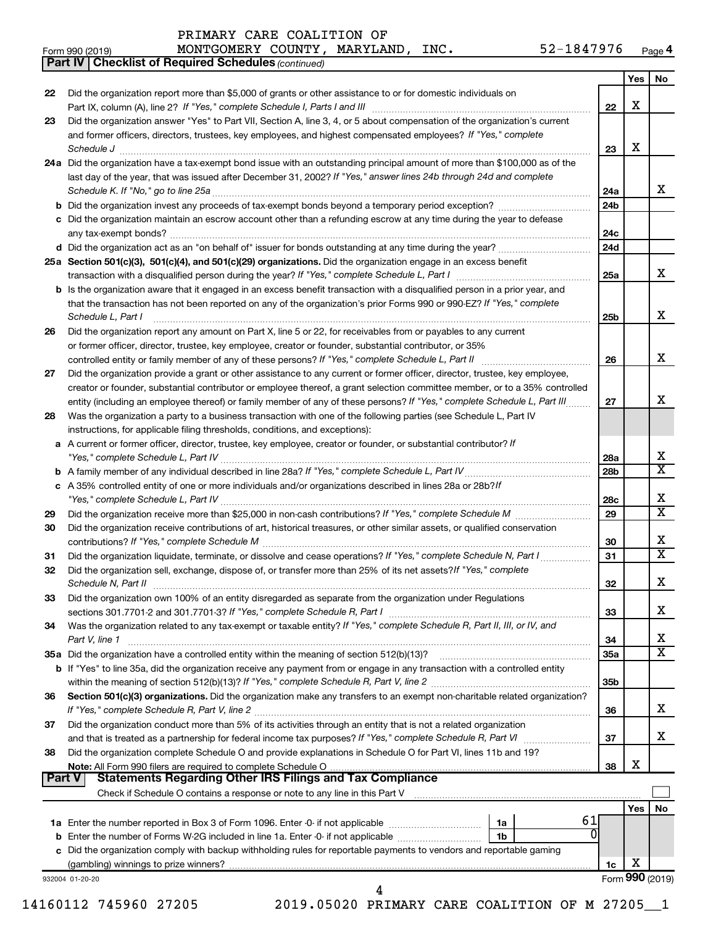Form 990 (2019) Page MONTGOMERY COUNTY, MARYLAND, INC. 52-1847976 PRIMARY CARE COALITION OF

52-1847976 Page 4

|               | <b>Part IV   Checklist of Required Schedules (continued)</b>                                                                                                                                                                     |                 |     |                              |
|---------------|----------------------------------------------------------------------------------------------------------------------------------------------------------------------------------------------------------------------------------|-----------------|-----|------------------------------|
|               |                                                                                                                                                                                                                                  |                 | Yes | No                           |
| 22            | Did the organization report more than \$5,000 of grants or other assistance to or for domestic individuals on                                                                                                                    |                 |     |                              |
|               |                                                                                                                                                                                                                                  | 22              | X   |                              |
| 23            | Did the organization answer "Yes" to Part VII, Section A, line 3, 4, or 5 about compensation of the organization's current                                                                                                       |                 |     |                              |
|               | and former officers, directors, trustees, key employees, and highest compensated employees? If "Yes," complete                                                                                                                   |                 |     |                              |
|               |                                                                                                                                                                                                                                  | 23              | X   |                              |
|               | Schedule J <b>Execute J Execute 2 Constant Constant Constant Constant Constant Constant Constant Constant Constant Constant Constant Constant Constant Constant Constant Constant Constant Constant Constant Constant Consta</b> |                 |     |                              |
|               | 24a Did the organization have a tax-exempt bond issue with an outstanding principal amount of more than \$100,000 as of the                                                                                                      |                 |     |                              |
|               | last day of the year, that was issued after December 31, 2002? If "Yes," answer lines 24b through 24d and complete                                                                                                               |                 |     |                              |
|               |                                                                                                                                                                                                                                  | 24a             |     | x                            |
|               |                                                                                                                                                                                                                                  | 24 <sub>b</sub> |     |                              |
|               | c Did the organization maintain an escrow account other than a refunding escrow at any time during the year to defease                                                                                                           |                 |     |                              |
|               |                                                                                                                                                                                                                                  | 24c             |     |                              |
|               |                                                                                                                                                                                                                                  | 24 <sub>d</sub> |     |                              |
|               | 25a Section 501(c)(3), 501(c)(4), and 501(c)(29) organizations. Did the organization engage in an excess benefit                                                                                                                 |                 |     |                              |
|               |                                                                                                                                                                                                                                  | 25a             |     | x                            |
|               | b Is the organization aware that it engaged in an excess benefit transaction with a disqualified person in a prior year, and                                                                                                     |                 |     |                              |
|               | that the transaction has not been reported on any of the organization's prior Forms 990 or 990-EZ? If "Yes," complete                                                                                                            |                 |     |                              |
|               | Schedule L, Part I                                                                                                                                                                                                               | 25b             |     | х                            |
| 26            | Did the organization report any amount on Part X, line 5 or 22, for receivables from or payables to any current                                                                                                                  |                 |     |                              |
|               | or former officer, director, trustee, key employee, creator or founder, substantial contributor, or 35%                                                                                                                          |                 |     |                              |
|               | controlled entity or family member of any of these persons? If "Yes," complete Schedule L, Part II                                                                                                                               | 26              |     | x                            |
|               |                                                                                                                                                                                                                                  |                 |     |                              |
| 27            | Did the organization provide a grant or other assistance to any current or former officer, director, trustee, key employee,                                                                                                      |                 |     |                              |
|               | creator or founder, substantial contributor or employee thereof, a grant selection committee member, or to a 35% controlled                                                                                                      |                 |     | x                            |
|               | entity (including an employee thereof) or family member of any of these persons? If "Yes," complete Schedule L, Part III                                                                                                         | 27              |     |                              |
| 28            | Was the organization a party to a business transaction with one of the following parties (see Schedule L, Part IV                                                                                                                |                 |     |                              |
|               | instructions, for applicable filing thresholds, conditions, and exceptions):                                                                                                                                                     |                 |     |                              |
|               | a A current or former officer, director, trustee, key employee, creator or founder, or substantial contributor? If                                                                                                               |                 |     |                              |
|               |                                                                                                                                                                                                                                  | 28a             |     | х                            |
|               |                                                                                                                                                                                                                                  | 28 <sub>b</sub> |     | $\overline{\text{X}}$        |
|               | c A 35% controlled entity of one or more individuals and/or organizations described in lines 28a or 28b?/f                                                                                                                       |                 |     |                              |
|               |                                                                                                                                                                                                                                  | 28c             |     | х                            |
| 29            |                                                                                                                                                                                                                                  | 29              |     | $\overline{\text{X}}$        |
| 30            | Did the organization receive contributions of art, historical treasures, or other similar assets, or qualified conservation                                                                                                      |                 |     |                              |
|               |                                                                                                                                                                                                                                  | 30              |     | x                            |
| 31            | Did the organization liquidate, terminate, or dissolve and cease operations? If "Yes," complete Schedule N, Part I                                                                                                               | 31              |     | X                            |
| 32            | Did the organization sell, exchange, dispose of, or transfer more than 25% of its net assets? If "Yes," complete                                                                                                                 |                 |     |                              |
|               | Schedule N, Part II                                                                                                                                                                                                              | 32              |     | ▵                            |
| 33            | Did the organization own 100% of an entity disregarded as separate from the organization under Regulations                                                                                                                       |                 |     |                              |
|               |                                                                                                                                                                                                                                  | 33              |     | х                            |
| 34            | Was the organization related to any tax-exempt or taxable entity? If "Yes," complete Schedule R, Part II, III, or IV, and                                                                                                        |                 |     |                              |
|               |                                                                                                                                                                                                                                  |                 |     |                              |
|               | Part V, line 1                                                                                                                                                                                                                   | 34              |     | х<br>$\overline{\textbf{x}}$ |
|               | 35a Did the organization have a controlled entity within the meaning of section 512(b)(13)?                                                                                                                                      | 35a             |     |                              |
|               | b If "Yes" to line 35a, did the organization receive any payment from or engage in any transaction with a controlled entity                                                                                                      |                 |     |                              |
|               |                                                                                                                                                                                                                                  | 35b             |     |                              |
| 36            | Section 501(c)(3) organizations. Did the organization make any transfers to an exempt non-charitable related organization?                                                                                                       |                 |     |                              |
|               |                                                                                                                                                                                                                                  | 36              |     | х                            |
| 37            | Did the organization conduct more than 5% of its activities through an entity that is not a related organization                                                                                                                 |                 |     |                              |
|               |                                                                                                                                                                                                                                  | 37              |     | х                            |
| 38            | Did the organization complete Schedule O and provide explanations in Schedule O for Part VI, lines 11b and 19?                                                                                                                   |                 |     |                              |
|               | Note: All Form 990 filers are required to complete Schedule O                                                                                                                                                                    | 38              | х   |                              |
| <b>Part V</b> | <b>Statements Regarding Other IRS Filings and Tax Compliance</b>                                                                                                                                                                 |                 |     |                              |
|               | Check if Schedule O contains a response or note to any line in this Part V [11] [12] Check if Schedule O contains a response or note to any line in this Part V                                                                  |                 |     |                              |
|               |                                                                                                                                                                                                                                  |                 | Yes | No                           |
|               | 61<br>1a                                                                                                                                                                                                                         |                 |     |                              |
|               | 0<br>Enter the number of Forms W-2G included in line 1a. Enter -0- if not applicable<br>1b                                                                                                                                       |                 |     |                              |
|               | c Did the organization comply with backup withholding rules for reportable payments to vendors and reportable gaming                                                                                                             |                 |     |                              |
|               |                                                                                                                                                                                                                                  | 1c              | х   |                              |
|               | 932004 01-20-20                                                                                                                                                                                                                  |                 |     | Form 990 (2019)              |
|               | 4                                                                                                                                                                                                                                |                 |     |                              |

14160112 745960 27205 2019.05020 PRIMARY CARE COALITION OF M 27205\_\_1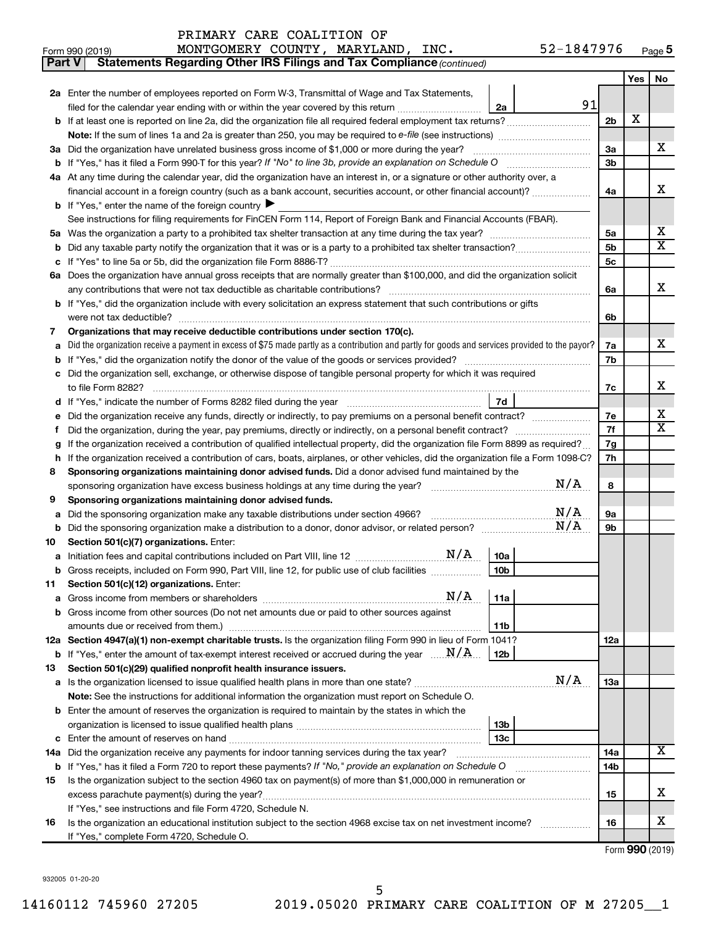|  | PRIMARY CARE COALITION OF |  |
|--|---------------------------|--|
|  |                           |  |

| Part V | Statements Regarding Other IRS Filings and Tax Compliance (continued)                                                                           |     |     |                         |  |  |  |  |  |  |
|--------|-------------------------------------------------------------------------------------------------------------------------------------------------|-----|-----|-------------------------|--|--|--|--|--|--|
|        |                                                                                                                                                 |     | Yes | No                      |  |  |  |  |  |  |
|        | 2a Enter the number of employees reported on Form W-3, Transmittal of Wage and Tax Statements,                                                  |     |     |                         |  |  |  |  |  |  |
|        | 91<br>filed for the calendar year ending with or within the year covered by this return<br>2a                                                   |     |     |                         |  |  |  |  |  |  |
|        |                                                                                                                                                 |     |     |                         |  |  |  |  |  |  |
|        | Note: If the sum of lines 1a and 2a is greater than 250, you may be required to e-file (see instructions) <i>managereroum</i>                   |     |     |                         |  |  |  |  |  |  |
|        | 3a Did the organization have unrelated business gross income of \$1,000 or more during the year?                                                |     |     |                         |  |  |  |  |  |  |
| b      |                                                                                                                                                 |     |     |                         |  |  |  |  |  |  |
|        | 4a At any time during the calendar year, did the organization have an interest in, or a signature or other authority over, a                    |     |     |                         |  |  |  |  |  |  |
|        | financial account in a foreign country (such as a bank account, securities account, or other financial account)?                                |     |     |                         |  |  |  |  |  |  |
|        | <b>b</b> If "Yes," enter the name of the foreign country $\blacktriangleright$                                                                  |     |     |                         |  |  |  |  |  |  |
|        | See instructions for filing requirements for FinCEN Form 114, Report of Foreign Bank and Financial Accounts (FBAR).                             |     |     |                         |  |  |  |  |  |  |
| 5a     |                                                                                                                                                 | 5a  |     | x                       |  |  |  |  |  |  |
| b      |                                                                                                                                                 | 5b  |     | $\overline{\texttt{x}}$ |  |  |  |  |  |  |
| с      |                                                                                                                                                 | 5c  |     |                         |  |  |  |  |  |  |
|        | 6a Does the organization have annual gross receipts that are normally greater than \$100,000, and did the organization solicit                  |     |     |                         |  |  |  |  |  |  |
|        |                                                                                                                                                 | 6a  |     | x                       |  |  |  |  |  |  |
|        | <b>b</b> If "Yes," did the organization include with every solicitation an express statement that such contributions or gifts                   |     |     |                         |  |  |  |  |  |  |
|        |                                                                                                                                                 | 6b  |     |                         |  |  |  |  |  |  |
| 7      | Organizations that may receive deductible contributions under section 170(c).                                                                   |     |     |                         |  |  |  |  |  |  |
| а      | Did the organization receive a payment in excess of \$75 made partly as a contribution and partly for goods and services provided to the payor? | 7a  |     | х                       |  |  |  |  |  |  |
| b      |                                                                                                                                                 | 7b  |     |                         |  |  |  |  |  |  |
|        | c Did the organization sell, exchange, or otherwise dispose of tangible personal property for which it was required                             |     |     |                         |  |  |  |  |  |  |
|        |                                                                                                                                                 | 7c  |     | х                       |  |  |  |  |  |  |
|        | 7d                                                                                                                                              |     |     |                         |  |  |  |  |  |  |
| е      |                                                                                                                                                 |     |     |                         |  |  |  |  |  |  |
| f.     |                                                                                                                                                 |     |     |                         |  |  |  |  |  |  |
| g      | If the organization received a contribution of qualified intellectual property, did the organization file Form 8899 as required?                | 7g  |     |                         |  |  |  |  |  |  |
| h      | If the organization received a contribution of cars, boats, airplanes, or other vehicles, did the organization file a Form 1098-C?              | 7h  |     |                         |  |  |  |  |  |  |
| 8      | Sponsoring organizations maintaining donor advised funds. Did a donor advised fund maintained by the                                            |     |     |                         |  |  |  |  |  |  |
|        | N/A                                                                                                                                             | 8   |     |                         |  |  |  |  |  |  |
| 9      | Sponsoring organizations maintaining donor advised funds.                                                                                       |     |     |                         |  |  |  |  |  |  |
| а      | N/A<br>Did the sponsoring organization make any taxable distributions under section 4966?                                                       | 9а  |     |                         |  |  |  |  |  |  |
| b      | N/A                                                                                                                                             | 9b  |     |                         |  |  |  |  |  |  |
| 10     | Section 501(c)(7) organizations. Enter:                                                                                                         |     |     |                         |  |  |  |  |  |  |
| а      | N/A<br>10a                                                                                                                                      |     |     |                         |  |  |  |  |  |  |
|        | 10 <sub>b</sub><br>b Gross receipts, included on Form 990, Part VIII, line 12, for public use of club facilities                                |     |     |                         |  |  |  |  |  |  |
| 11     | Section 501(c)(12) organizations. Enter:                                                                                                        |     |     |                         |  |  |  |  |  |  |
| а      | N/A<br>11a                                                                                                                                      |     |     |                         |  |  |  |  |  |  |
|        | b Gross income from other sources (Do not net amounts due or paid to other sources against                                                      |     |     |                         |  |  |  |  |  |  |
|        | 11b                                                                                                                                             |     |     |                         |  |  |  |  |  |  |
|        | 12a Section 4947(a)(1) non-exempt charitable trusts. Is the organization filing Form 990 in lieu of Form 1041?                                  | 12a |     |                         |  |  |  |  |  |  |
|        | <b>b</b> If "Yes," enter the amount of tax-exempt interest received or accrued during the year $\ldots$ $\mathbf{N}/\mathbf{A}$<br>12b          |     |     |                         |  |  |  |  |  |  |
| 13     | Section 501(c)(29) qualified nonprofit health insurance issuers.                                                                                |     |     |                         |  |  |  |  |  |  |
|        | N/A<br>a Is the organization licensed to issue qualified health plans in more than one state?                                                   | 1За |     |                         |  |  |  |  |  |  |
|        | <b>Note:</b> See the instructions for additional information the organization must report on Schedule O.                                        |     |     |                         |  |  |  |  |  |  |
|        | <b>b</b> Enter the amount of reserves the organization is required to maintain by the states in which the                                       |     |     |                         |  |  |  |  |  |  |
|        | 13 <sub>b</sub>                                                                                                                                 |     |     |                         |  |  |  |  |  |  |
| с      | 13с                                                                                                                                             |     |     | x                       |  |  |  |  |  |  |
| 14a    | Did the organization receive any payments for indoor tanning services during the tax year?                                                      | 14a |     |                         |  |  |  |  |  |  |
| b      | If "Yes," has it filed a Form 720 to report these payments? If "No," provide an explanation on Schedule O                                       | 14b |     |                         |  |  |  |  |  |  |
| 15     | Is the organization subject to the section 4960 tax on payment(s) of more than \$1,000,000 in remuneration or                                   |     |     |                         |  |  |  |  |  |  |
|        |                                                                                                                                                 | 15  |     | х                       |  |  |  |  |  |  |
|        | If "Yes," see instructions and file Form 4720, Schedule N.                                                                                      |     |     |                         |  |  |  |  |  |  |
| 16     | Is the organization an educational institution subject to the section 4968 excise tax on net investment income?                                 | 16  |     | x                       |  |  |  |  |  |  |
|        | If "Yes," complete Form 4720, Schedule O.                                                                                                       |     |     |                         |  |  |  |  |  |  |

Form (2019) **990**

932005 01-20-20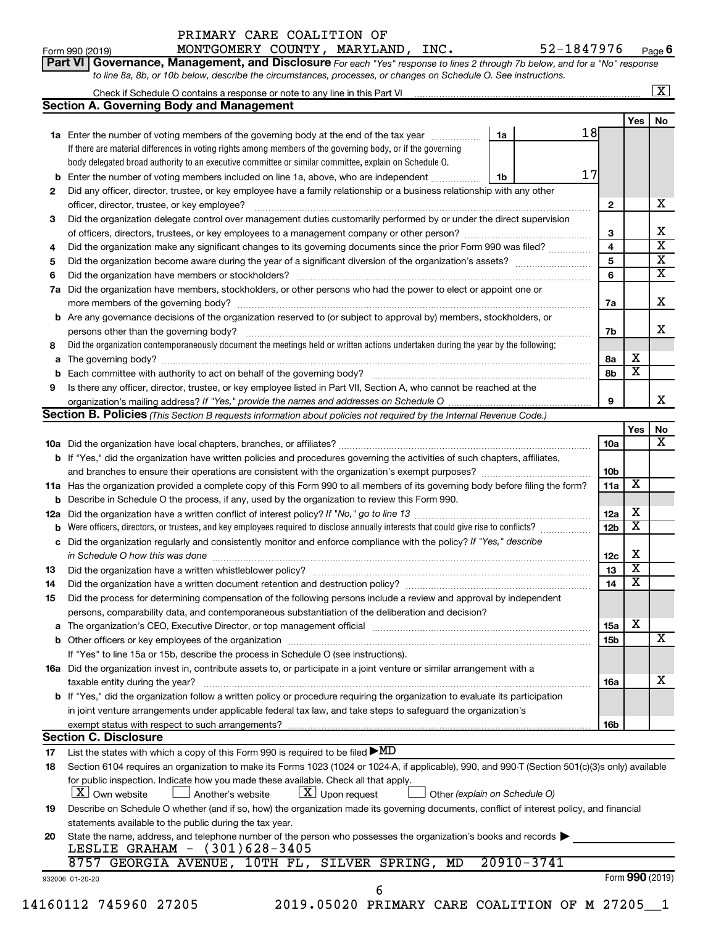|    | to line 8a, 8b, or 10b below, describe the circumstances, processes, or changes on Schedule O. See instructions.                                 |    |                |    |                 |                         | $\boxed{\textbf{X}}$    |
|----|--------------------------------------------------------------------------------------------------------------------------------------------------|----|----------------|----|-----------------|-------------------------|-------------------------|
|    | <b>Section A. Governing Body and Management</b>                                                                                                  |    |                |    |                 |                         |                         |
|    |                                                                                                                                                  |    |                |    |                 | Yes                     | No                      |
|    | 1a Enter the number of voting members of the governing body at the end of the tax year                                                           | 1a |                | 18 |                 |                         |                         |
|    | If there are material differences in voting rights among members of the governing body, or if the governing                                      |    |                |    |                 |                         |                         |
|    | body delegated broad authority to an executive committee or similar committee, explain on Schedule O.                                            |    |                |    |                 |                         |                         |
|    |                                                                                                                                                  |    |                | 17 |                 |                         |                         |
|    | <b>b</b> Enter the number of voting members included on line 1a, above, who are independent                                                      | 1b |                |    |                 |                         |                         |
| 2  | Did any officer, director, trustee, or key employee have a family relationship or a business relationship with any other                         |    |                |    |                 |                         |                         |
|    |                                                                                                                                                  |    |                |    | $\mathbf{2}$    |                         | х                       |
| 3  | Did the organization delegate control over management duties customarily performed by or under the direct supervision                            |    |                |    |                 |                         | X                       |
|    |                                                                                                                                                  |    |                |    | 3               |                         | $\overline{\mathbf{x}}$ |
| 4  | Did the organization make any significant changes to its governing documents since the prior Form 990 was filed?                                 |    |                |    | 4               |                         |                         |
| 5  |                                                                                                                                                  |    |                |    | 5               |                         | $\overline{\mathbf{X}}$ |
| 6  |                                                                                                                                                  |    |                |    | 6               |                         | $\overline{\mathbf{X}}$ |
|    | 7a Did the organization have members, stockholders, or other persons who had the power to elect or appoint one or                                |    |                |    |                 |                         |                         |
|    |                                                                                                                                                  |    |                |    | 7a              |                         | X                       |
|    | <b>b</b> Are any governance decisions of the organization reserved to (or subject to approval by) members, stockholders, or                      |    |                |    |                 |                         |                         |
|    | persons other than the governing body?                                                                                                           |    |                |    | 7b              |                         | X                       |
| 8  | Did the organization contemporaneously document the meetings held or written actions undertaken during the year by the following:                |    |                |    |                 |                         |                         |
|    |                                                                                                                                                  |    |                |    | 8a              | х                       |                         |
|    |                                                                                                                                                  |    |                |    | 8b              | $\overline{\textbf{x}}$ |                         |
| 9  | Is there any officer, director, trustee, or key employee listed in Part VII, Section A, who cannot be reached at the                             |    |                |    |                 |                         |                         |
|    |                                                                                                                                                  |    |                |    | 9               |                         | Χ                       |
|    | Section B. Policies (This Section B requests information about policies not required by the Internal Revenue Code.)                              |    |                |    |                 |                         |                         |
|    |                                                                                                                                                  |    |                |    |                 | Yes                     | No                      |
|    |                                                                                                                                                  |    |                |    | 10a             |                         | x                       |
|    | <b>b</b> If "Yes," did the organization have written policies and procedures governing the activities of such chapters, affiliates,              |    |                |    |                 |                         |                         |
|    |                                                                                                                                                  |    |                |    | 10 <sub>b</sub> |                         |                         |
|    | 11a Has the organization provided a complete copy of this Form 990 to all members of its governing body before filing the form?                  |    |                |    | 11a             | X                       |                         |
|    | <b>b</b> Describe in Schedule O the process, if any, used by the organization to review this Form 990.                                           |    |                |    |                 |                         |                         |
|    |                                                                                                                                                  |    |                |    | 12a             | х                       |                         |
|    |                                                                                                                                                  |    |                |    | 12 <sub>b</sub> | $\overline{\textbf{x}}$ |                         |
|    |                                                                                                                                                  |    |                |    |                 |                         |                         |
|    | c Did the organization regularly and consistently monitor and enforce compliance with the policy? If "Yes," describe                             |    |                |    |                 | х                       |                         |
|    | in Schedule O how this was done manufactured and continuum control of the state of the state of the state of t                                   |    |                |    | 12c             |                         |                         |
| 13 |                                                                                                                                                  |    |                |    | 13              | $\overline{\text{X}}$   |                         |
| 14 | Did the organization have a written document retention and destruction policy? [11] manufaction manufaction in                                   |    |                |    | 14              | $\overline{\textbf{x}}$ |                         |
| 15 | Did the process for determining compensation of the following persons include a review and approval by independent                               |    |                |    |                 |                         |                         |
|    | persons, comparability data, and contemporaneous substantiation of the deliberation and decision?                                                |    |                |    |                 |                         |                         |
|    |                                                                                                                                                  |    |                |    | 15a             | х                       |                         |
|    |                                                                                                                                                  |    |                |    | 15b             |                         | X                       |
|    | If "Yes" to line 15a or 15b, describe the process in Schedule O (see instructions).                                                              |    |                |    |                 |                         |                         |
|    | 16a Did the organization invest in, contribute assets to, or participate in a joint venture or similar arrangement with a                        |    |                |    |                 |                         |                         |
|    | taxable entity during the year?                                                                                                                  |    |                |    | 16a             |                         | х                       |
|    | <b>b</b> If "Yes," did the organization follow a written policy or procedure requiring the organization to evaluate its participation            |    |                |    |                 |                         |                         |
|    | in joint venture arrangements under applicable federal tax law, and take steps to safeguard the organization's                                   |    |                |    |                 |                         |                         |
|    |                                                                                                                                                  |    |                |    | 16b             |                         |                         |
|    | <b>Section C. Disclosure</b>                                                                                                                     |    |                |    |                 |                         |                         |
| 17 | List the states with which a copy of this Form 990 is required to be filed $\blacktriangleright\text{MD}$                                        |    |                |    |                 |                         |                         |
|    |                                                                                                                                                  |    |                |    |                 |                         |                         |
| 18 | Section 6104 requires an organization to make its Forms 1023 (1024 or 1024-A, if applicable), 990, and 990-T (Section 501(c)(3)s only) available |    |                |    |                 |                         |                         |
|    | for public inspection. Indicate how you made these available. Check all that apply.                                                              |    |                |    |                 |                         |                         |
|    | $X$ Own website<br>$\lfloor x \rfloor$ Upon request<br>Another's website<br>Other (explain on Schedule O)                                        |    |                |    |                 |                         |                         |
| 19 | Describe on Schedule O whether (and if so, how) the organization made its governing documents, conflict of interest policy, and financial        |    |                |    |                 |                         |                         |
|    | statements available to the public during the tax year.                                                                                          |    |                |    |                 |                         |                         |
| 20 | State the name, address, and telephone number of the person who possesses the organization's books and records                                   |    |                |    |                 |                         |                         |
|    | LESLIE GRAHAM - (301)628-3405                                                                                                                    |    |                |    |                 |                         |                         |
|    | 10TH FL, SILVER SPRING,<br>GEORGIA AVENUE,<br>MD<br>8757                                                                                         |    | $20910 - 3741$ |    |                 |                         |                         |
|    | 932006 01-20-20                                                                                                                                  |    |                |    |                 | Form 990 (2019)         |                         |
|    | 6                                                                                                                                                |    |                |    |                 |                         |                         |
|    | 14160112 745960 27205<br>2019.05020 PRIMARY CARE COALITION OF M 27205                                                                            |    |                |    |                 |                         |                         |
|    |                                                                                                                                                  |    |                |    |                 |                         |                         |

**Part VI** Governance, Management, and Disclosure For each "Yes" response to lines 2 through 7b below, and for a "No" response

Form 990 (2019) Page MONTGOMERY COUNTY, MARYLAND, INC. 52-1847976

PRIMARY CARE COALITION OF

**6**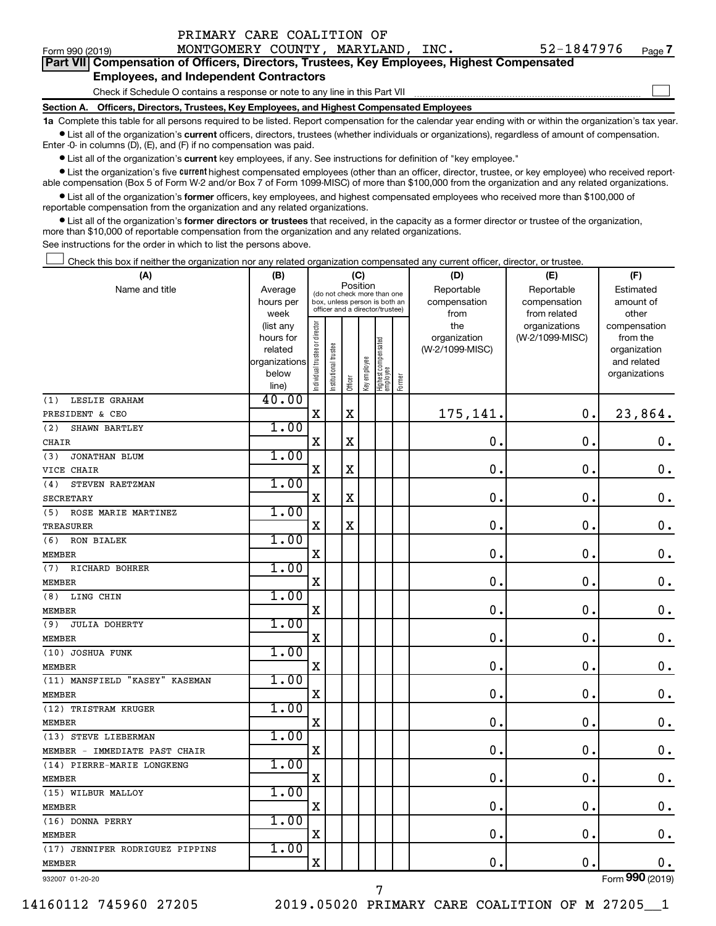| Form 990 (2019)                                                                            | MONTGOMERY COUNTY, MARYLAND, INC. |  |  |  | 52-1847976 | Page 7 |  |  |  |  |  |
|--------------------------------------------------------------------------------------------|-----------------------------------|--|--|--|------------|--------|--|--|--|--|--|
| Part VII Compensation of Officers, Directors, Trustees, Key Employees, Highest Compensated |                                   |  |  |  |            |        |  |  |  |  |  |
| <b>Employees, and Independent Contractors</b>                                              |                                   |  |  |  |            |        |  |  |  |  |  |
| Check if Schedule O contains a response or note to any line in this Part VII               |                                   |  |  |  |            |        |  |  |  |  |  |
| Section A. Officers, Directors, Trustees, Key Employees, and Highest Compensated Employees |                                   |  |  |  |            |        |  |  |  |  |  |
|                                                                                            |                                   |  |  |  |            |        |  |  |  |  |  |

**1a**  Complete this table for all persons required to be listed. Report compensation for the calendar year ending with or within the organization's tax year.  $\bullet$  List all of the organization's current officers, directors, trustees (whether individuals or organizations), regardless of amount of compensation.

Enter -0- in columns (D), (E), and (F) if no compensation was paid.

**•** List all of the organization's current key employees, if any. See instructions for definition of "key employee."

PRIMARY CARE COALITION OF

• List the organization's five *current* highest compensated employees (other than an officer, director, trustee, or key employee) who received reportable compensation (Box 5 of Form W-2 and/or Box 7 of Form 1099-MISC) of more than \$100,000 from the organization and any related organizations.

 $\bullet$  List all of the organization's former officers, key employees, and highest compensated employees who received more than \$100,000 of reportable compensation from the organization and any related organizations.

**•** List all of the organization's former directors or trustees that received, in the capacity as a former director or trustee of the organization, more than \$10,000 of reportable compensation from the organization and any related organizations.

See instructions for the order in which to list the persons above.

Check this box if neither the organization nor any related organization compensated any current officer, director, or trustee.  $\Box$ 

| (A)                             | (B)                      |                               |                      | (C)                                                                                             |              |                                   |        | (D)             | (E)             | (F)                         |  |  |
|---------------------------------|--------------------------|-------------------------------|----------------------|-------------------------------------------------------------------------------------------------|--------------|-----------------------------------|--------|-----------------|-----------------|-----------------------------|--|--|
| Name and title                  | Average                  |                               |                      | Position                                                                                        |              |                                   |        | Reportable      | Reportable      | Estimated                   |  |  |
|                                 | hours per                |                               |                      | (do not check more than one<br>box, unless person is both an<br>officer and a director/trustee) |              |                                   |        | compensation    | compensation    | amount of                   |  |  |
|                                 | week                     |                               |                      |                                                                                                 |              |                                   |        | from            | from related    | other                       |  |  |
|                                 | (list any                |                               |                      |                                                                                                 |              |                                   |        | the             | organizations   | compensation                |  |  |
|                                 | hours for                |                               |                      |                                                                                                 |              |                                   |        | organization    | (W-2/1099-MISC) | from the                    |  |  |
|                                 | related<br>organizations |                               |                      |                                                                                                 |              |                                   |        | (W-2/1099-MISC) |                 | organization<br>and related |  |  |
|                                 | below                    |                               |                      |                                                                                                 |              |                                   |        |                 |                 | organizations               |  |  |
|                                 | line)                    | ndividual trustee or director | nstitutional trustee | Officer                                                                                         | Key employee | Highest compensated<br>  employee | Former |                 |                 |                             |  |  |
| LESLIE GRAHAM<br>(1)            | 40.00                    |                               |                      |                                                                                                 |              |                                   |        |                 |                 |                             |  |  |
| PRESIDENT & CEO                 |                          | $\mathbf X$                   |                      | $\rm X$                                                                                         |              |                                   |        | 175,141.        | 0.              | 23,864.                     |  |  |
| SHAWN BARTLEY<br>(2)            | 1.00                     |                               |                      |                                                                                                 |              |                                   |        |                 |                 |                             |  |  |
| <b>CHAIR</b>                    |                          | X                             |                      | $\mathbf X$                                                                                     |              |                                   |        | $\mathbf 0$ .   | $\mathbf 0$ .   | $\mathbf 0$ .               |  |  |
| (3)<br>JONATHAN BLUM            | 1.00                     |                               |                      |                                                                                                 |              |                                   |        |                 |                 |                             |  |  |
| VICE CHAIR                      |                          | $\mathbf X$                   |                      | X                                                                                               |              |                                   |        | 0               | $\mathbf 0$     | 0.                          |  |  |
| STEVEN RAETZMAN<br>(4)          | 1.00                     |                               |                      |                                                                                                 |              |                                   |        |                 |                 |                             |  |  |
| SECRETARY                       |                          | X                             |                      | $\mathbf X$                                                                                     |              |                                   |        | $\mathbf 0$     | $\mathbf 0$ .   | $\mathbf 0$ .               |  |  |
| (5)<br>ROSE MARIE MARTINEZ      | 1.00                     |                               |                      |                                                                                                 |              |                                   |        |                 |                 |                             |  |  |
| TREASURER                       |                          | X                             |                      | X                                                                                               |              |                                   |        | 0               | 0.              | $\mathbf 0$ .               |  |  |
| <b>RON BIALEK</b><br>(6)        | 1.00                     |                               |                      |                                                                                                 |              |                                   |        |                 |                 |                             |  |  |
| <b>MEMBER</b>                   |                          | X                             |                      |                                                                                                 |              |                                   |        | 0               | $\mathbf 0$ .   | 0.                          |  |  |
| (7)<br>RICHARD BOHRER           | 1.00                     |                               |                      |                                                                                                 |              |                                   |        |                 |                 |                             |  |  |
| <b>MEMBER</b>                   |                          | X                             |                      |                                                                                                 |              |                                   |        | $\mathbf 0$     | $\mathbf 0$     | $\mathbf 0$ .               |  |  |
| LING CHIN<br>(8)                | 1.00                     |                               |                      |                                                                                                 |              |                                   |        |                 |                 |                             |  |  |
| <b>MEMBER</b>                   |                          | X                             |                      |                                                                                                 |              |                                   |        | 0               | $\mathbf 0$ .   | $\boldsymbol{0}$ .          |  |  |
| (9)<br><b>JULIA DOHERTY</b>     | 1.00                     |                               |                      |                                                                                                 |              |                                   |        |                 |                 |                             |  |  |
| <b>MEMBER</b>                   |                          | $\mathbf X$                   |                      |                                                                                                 |              |                                   |        | 0               | $\mathbf 0$ .   | $\mathbf 0$ .               |  |  |
| (10) JOSHUA FUNK                | 1.00                     |                               |                      |                                                                                                 |              |                                   |        |                 |                 |                             |  |  |
| <b>MEMBER</b>                   |                          | X                             |                      |                                                                                                 |              |                                   |        | 0               | $\mathbf 0$ .   | 0.                          |  |  |
| (11) MANSFIELD "KASEY" KASEMAN  | 1.00                     |                               |                      |                                                                                                 |              |                                   |        |                 |                 |                             |  |  |
| <b>MEMBER</b>                   |                          | $\mathbf X$                   |                      |                                                                                                 |              |                                   |        | 0               | $\mathbf 0$     | $\mathbf 0$ .               |  |  |
| (12) TRISTRAM KRUGER            | 1.00                     |                               |                      |                                                                                                 |              |                                   |        |                 |                 |                             |  |  |
| <b>MEMBER</b>                   |                          | X                             |                      |                                                                                                 |              |                                   |        | 0               | $\mathbf 0$ .   | 0.                          |  |  |
| (13) STEVE LIEBERMAN            | 1.00                     |                               |                      |                                                                                                 |              |                                   |        |                 |                 |                             |  |  |
| MEMBER - IMMEDIATE PAST CHAIR   |                          | X                             |                      |                                                                                                 |              |                                   |        | $\mathbf 0$     | $\mathbf 0$ .   | 0.                          |  |  |
| (14) PIERRE-MARIE LONGKENG      | 1.00                     |                               |                      |                                                                                                 |              |                                   |        |                 |                 |                             |  |  |
| <b>MEMBER</b>                   |                          | $\mathbf X$                   |                      |                                                                                                 |              |                                   |        | $\mathbf 0$ .   | $\mathbf 0$ .   | $\mathbf 0$ .               |  |  |
| (15) WILBUR MALLOY              | 1.00                     |                               |                      |                                                                                                 |              |                                   |        |                 |                 |                             |  |  |
| <b>MEMBER</b>                   |                          | X                             |                      |                                                                                                 |              |                                   |        | 0               | $\mathbf 0$     | $\boldsymbol{0}$ .          |  |  |
| (16) DONNA PERRY                | 1.00                     |                               |                      |                                                                                                 |              |                                   |        |                 |                 |                             |  |  |
| <b>MEMBER</b>                   |                          | X                             |                      |                                                                                                 |              |                                   |        | 0               | $\mathbf 0$ .   | $0$ .                       |  |  |
| (17) JENNIFER RODRIGUEZ PIPPINS | 1.00                     |                               |                      |                                                                                                 |              |                                   |        |                 |                 |                             |  |  |
| <b>MEMBER</b>                   |                          | $\mathbf X$                   |                      |                                                                                                 |              |                                   |        | $\mathbf 0$     | $\mathbf 0$ .   | $0$ .                       |  |  |
| 932007 01-20-20                 |                          |                               |                      |                                                                                                 |              |                                   |        |                 |                 | Form 990 (2019)             |  |  |

7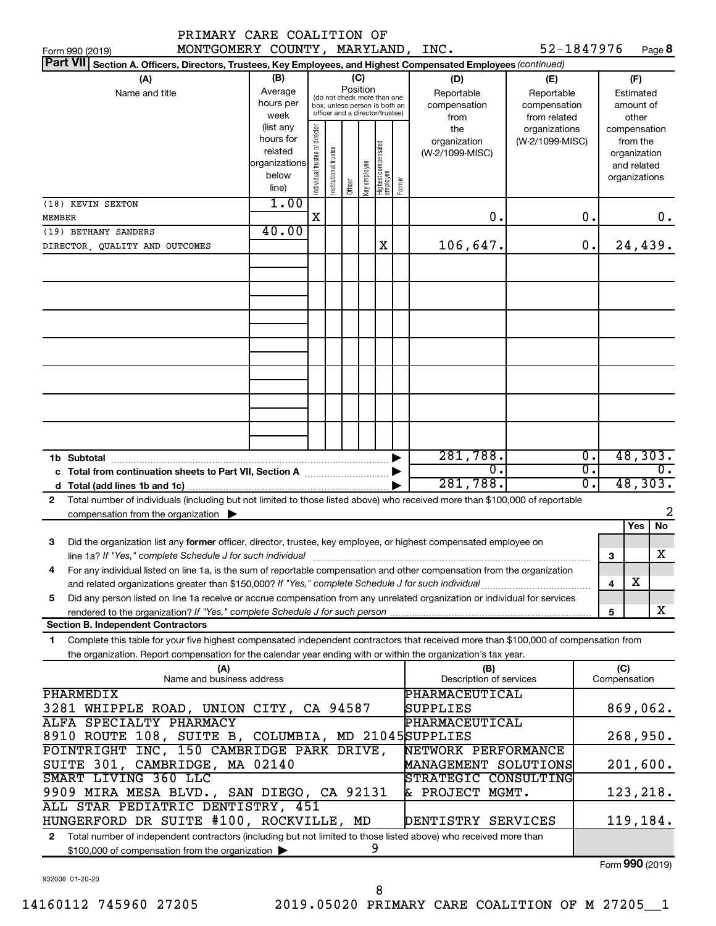| 52-1847976<br>MONTGOMERY COUNTY, MARYLAND, INC.<br>Form 990 (2019)                                                                           |                          |                                         |                       |                                 |              |                                   |        |                             |                 |                  |              | Page 8                       |                  |
|----------------------------------------------------------------------------------------------------------------------------------------------|--------------------------|-----------------------------------------|-----------------------|---------------------------------|--------------|-----------------------------------|--------|-----------------------------|-----------------|------------------|--------------|------------------------------|------------------|
| <b>Part VII</b><br>Section A. Officers, Directors, Trustees, Key Employees, and Highest Compensated Employees (continued)                    |                          |                                         |                       |                                 |              |                                   |        |                             |                 |                  |              |                              |                  |
| (A)                                                                                                                                          | (C)                      |                                         |                       |                                 |              |                                   | (D)    | (E)                         |                 | (F)              |              |                              |                  |
| Name and title                                                                                                                               | Average                  | Position<br>(do not check more than one |                       |                                 |              |                                   |        | Reportable<br>Reportable    |                 |                  | Estimated    |                              |                  |
|                                                                                                                                              | hours per                |                                         |                       | box, unless person is both an   |              |                                   |        | compensation                | compensation    |                  |              | amount of                    |                  |
|                                                                                                                                              | week                     |                                         |                       | officer and a director/trustee) |              |                                   |        | from                        | from related    |                  |              | other                        |                  |
|                                                                                                                                              | (list any                |                                         |                       |                                 |              |                                   |        | the                         | organizations   |                  |              | compensation                 |                  |
|                                                                                                                                              | hours for                |                                         |                       |                                 |              |                                   |        | organization                | (W-2/1099-MISC) |                  |              | from the                     |                  |
|                                                                                                                                              | related<br>organizations |                                         |                       |                                 |              |                                   |        | (W-2/1099-MISC)             |                 |                  |              | organization                 |                  |
|                                                                                                                                              | below                    |                                         |                       |                                 |              |                                   |        |                             |                 |                  |              | and related<br>organizations |                  |
|                                                                                                                                              | line)                    | Individual trustee or director          | Institutional trustee | Officer                         | Key employee | Highest compensated<br>  employee | Former |                             |                 |                  |              |                              |                  |
| (18) KEVIN SEXTON                                                                                                                            | 1.00                     |                                         |                       |                                 |              |                                   |        |                             |                 |                  |              |                              |                  |
| <b>MEMBER</b>                                                                                                                                |                          | $\mathbf X$                             |                       |                                 |              |                                   |        | 0.                          |                 | 0.               |              |                              | 0.               |
| (19) BETHANY SANDERS                                                                                                                         | 40.00                    |                                         |                       |                                 |              |                                   |        |                             |                 |                  |              |                              |                  |
| DIRECTOR, QUALITY AND OUTCOMES                                                                                                               |                          |                                         |                       |                                 |              | X                                 |        | 106,647.                    |                 | 0.               |              |                              | 24,439.          |
|                                                                                                                                              |                          |                                         |                       |                                 |              |                                   |        |                             |                 |                  |              |                              |                  |
|                                                                                                                                              |                          |                                         |                       |                                 |              |                                   |        |                             |                 |                  |              |                              |                  |
|                                                                                                                                              |                          |                                         |                       |                                 |              |                                   |        |                             |                 |                  |              |                              |                  |
|                                                                                                                                              |                          |                                         |                       |                                 |              |                                   |        |                             |                 |                  |              |                              |                  |
|                                                                                                                                              |                          |                                         |                       |                                 |              |                                   |        |                             |                 |                  |              |                              |                  |
|                                                                                                                                              |                          |                                         |                       |                                 |              |                                   |        |                             |                 |                  |              |                              |                  |
|                                                                                                                                              |                          |                                         |                       |                                 |              |                                   |        |                             |                 |                  |              |                              |                  |
|                                                                                                                                              |                          |                                         |                       |                                 |              |                                   |        |                             |                 |                  |              |                              |                  |
|                                                                                                                                              |                          |                                         |                       |                                 |              |                                   |        |                             |                 |                  |              |                              |                  |
|                                                                                                                                              |                          |                                         |                       |                                 |              |                                   |        |                             |                 |                  |              |                              |                  |
|                                                                                                                                              |                          |                                         |                       |                                 |              |                                   |        |                             |                 |                  |              |                              |                  |
|                                                                                                                                              |                          |                                         |                       |                                 |              |                                   |        |                             |                 |                  |              |                              |                  |
|                                                                                                                                              |                          |                                         |                       |                                 |              |                                   |        |                             |                 |                  |              |                              |                  |
|                                                                                                                                              |                          |                                         |                       |                                 |              |                                   |        |                             |                 |                  |              |                              |                  |
| 1b Subtotal                                                                                                                                  |                          |                                         |                       |                                 |              |                                   |        | 281,788.                    |                 | $\overline{0}$ . |              |                              | 48,303.          |
| c Total from continuation sheets to Part VII, Section A [11, 11, 11, 11]                                                                     |                          |                                         |                       |                                 |              |                                   |        | σ.                          |                 | $\overline{0}$ . |              |                              | $\overline{0}$ . |
|                                                                                                                                              |                          |                                         |                       |                                 |              |                                   |        | 281,788.                    |                 | σ.               |              |                              | 48,303.          |
| Total number of individuals (including but not limited to those listed above) who received more than \$100,000 of reportable<br>$\mathbf{2}$ |                          |                                         |                       |                                 |              |                                   |        |                             |                 |                  |              |                              |                  |
| compensation from the organization $\blacktriangleright$                                                                                     |                          |                                         |                       |                                 |              |                                   |        |                             |                 |                  |              |                              | $\boldsymbol{2}$ |
|                                                                                                                                              |                          |                                         |                       |                                 |              |                                   |        |                             |                 |                  |              | Yes                          | No               |
| Did the organization list any former officer, director, trustee, key employee, or highest compensated employee on<br>3                       |                          |                                         |                       |                                 |              |                                   |        |                             |                 |                  |              |                              |                  |
| line 1a? If "Yes," complete Schedule J for such individual [11] manufacture manufacture in the set of the set o                              |                          |                                         |                       |                                 |              |                                   |        |                             |                 |                  | 3            |                              | x                |
| 4<br>For any individual listed on line 1a, is the sum of reportable compensation and other compensation from the organization                |                          |                                         |                       |                                 |              |                                   |        |                             |                 |                  |              |                              |                  |
| and related organizations greater than \$150,000? If "Yes," complete Schedule J for such individual                                          |                          |                                         |                       |                                 |              |                                   |        |                             |                 |                  | 4            | х                            |                  |
| Did any person listed on line 1a receive or accrue compensation from any unrelated organization or individual for services<br>5              |                          |                                         |                       |                                 |              |                                   |        |                             |                 |                  |              |                              |                  |
|                                                                                                                                              |                          |                                         |                       |                                 |              |                                   |        |                             |                 |                  | 5            |                              | х                |
| <b>Section B. Independent Contractors</b>                                                                                                    |                          |                                         |                       |                                 |              |                                   |        |                             |                 |                  |              |                              |                  |
| Complete this table for your five highest compensated independent contractors that received more than \$100,000 of compensation from<br>1    |                          |                                         |                       |                                 |              |                                   |        |                             |                 |                  |              |                              |                  |
| the organization. Report compensation for the calendar year ending with or within the organization's tax year.                               |                          |                                         |                       |                                 |              |                                   |        |                             |                 |                  |              |                              |                  |
| (A)                                                                                                                                          |                          |                                         |                       |                                 |              |                                   |        | (B)                         |                 |                  | (C)          |                              |                  |
| Name and business address                                                                                                                    |                          |                                         |                       |                                 |              |                                   |        | Description of services     |                 |                  | Compensation |                              |                  |
| PHARMEDIX                                                                                                                                    |                          |                                         |                       |                                 |              |                                   |        | PHARMACEUTICAL              |                 |                  |              |                              |                  |
| 3281 WHIPPLE ROAD, UNION CITY, CA 94587                                                                                                      |                          |                                         |                       |                                 |              |                                   |        | SUPPLIES                    |                 |                  |              |                              | 869,062.         |
| ALFA SPECIALTY PHARMACY                                                                                                                      |                          |                                         |                       |                                 |              |                                   |        | PHARMACEUTICAL              |                 |                  |              |                              |                  |
| 8910 ROUTE 108, SUITE B, COLUMBIA, MD 21045 SUPPLIES                                                                                         |                          |                                         |                       |                                 |              |                                   |        |                             |                 |                  |              |                              | 268,950.         |
| POINTRIGHT INC, 150 CAMBRIDGE PARK DRIVE,                                                                                                    |                          |                                         |                       |                                 |              |                                   |        | NETWORK PERFORMANCE         |                 |                  |              |                              |                  |
| SUITE 301, CAMBRIDGE, MA 02140                                                                                                               |                          |                                         |                       |                                 |              |                                   |        | <b>MANAGEMENT SOLUTIONS</b> |                 |                  |              |                              | 201,600.         |
| SMART LIVING 360 LLC                                                                                                                         |                          |                                         |                       |                                 |              |                                   |        | STRATEGIC CONSULTING        |                 |                  |              |                              |                  |
| 9909 MIRA MESA BLVD., SAN DIEGO, CA 92131                                                                                                    |                          |                                         |                       |                                 |              |                                   |        | PROJECT MGMT.               |                 |                  |              |                              | 123,218.         |
| ALL STAR PEDIATRIC DENTISTRY, 451                                                                                                            |                          |                                         |                       |                                 |              |                                   |        |                             |                 |                  |              |                              |                  |
| HUNGERFORD DR SUITE #100, ROCKVILLE, MD                                                                                                      |                          |                                         |                       |                                 |              |                                   |        | DENTISTRY SERVICES          |                 |                  |              |                              | 119,184.         |
| Total number of independent contractors (including but not limited to those listed above) who received more than<br>$\mathbf{2}$             |                          |                                         |                       |                                 |              |                                   |        |                             |                 |                  |              |                              |                  |
| \$100,000 of compensation from the organization                                                                                              |                          |                                         |                       |                                 | 9            |                                   |        |                             |                 |                  |              | $000 \div 1$                 |                  |

932008 01-20-20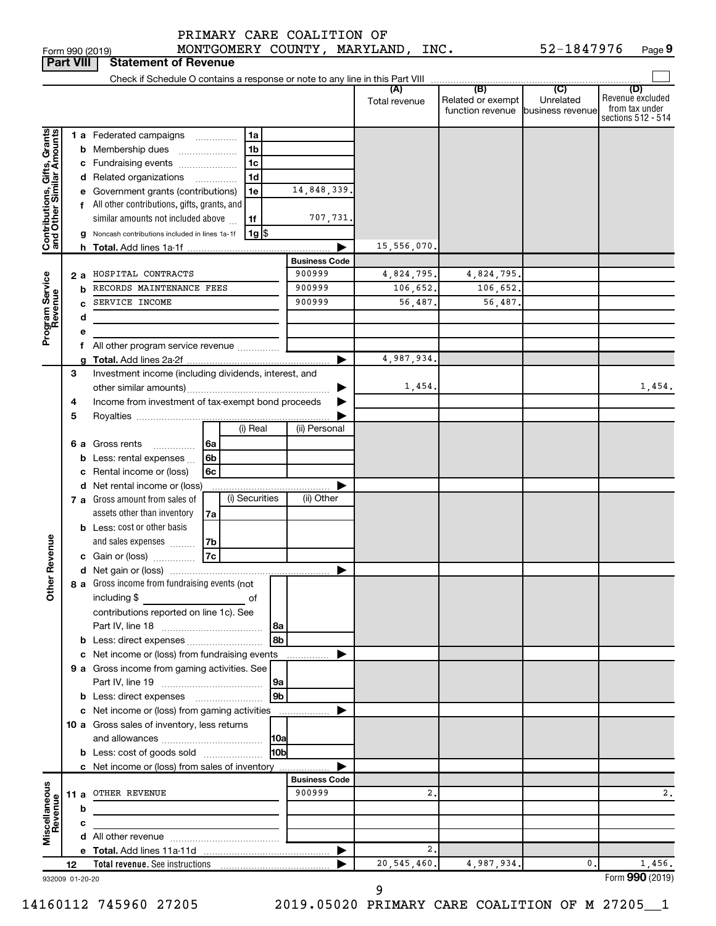**Part 990 (2019)**<br>**Part VIII** Statement of Revenue PRIMARY CARE COALITION OF

Form 990 (2019) MONTGOMERY COUNTY, MARYLAND, INC.  $52-1847976$  Page 52-1847976 Page 9

|                                                           | <b>Fait VIII</b> | <b>Slatement of Develop</b>                                   |                 |                      |                     |                                                          |           |                                                                 |
|-----------------------------------------------------------|------------------|---------------------------------------------------------------|-----------------|----------------------|---------------------|----------------------------------------------------------|-----------|-----------------------------------------------------------------|
|                                                           |                  |                                                               |                 |                      | Total revenue       | Related or exempt  <br>function revenue business revenue | Unrelated | (D)<br>Revenue excluded<br>from tax under<br>sections 512 - 514 |
|                                                           |                  | 1 a Federated campaigns                                       | 1a              |                      |                     |                                                          |           |                                                                 |
| Contributions, Gifts, Grants<br>and Other Similar Amounts |                  | <b>b</b> Membership dues                                      | 1 <sub>b</sub>  |                      |                     |                                                          |           |                                                                 |
|                                                           |                  | c Fundraising events                                          | 1 <sub>c</sub>  |                      |                     |                                                          |           |                                                                 |
|                                                           |                  | d Related organizations                                       | 1 <sub>d</sub>  |                      |                     |                                                          |           |                                                                 |
|                                                           |                  | e Government grants (contributions)                           | 1e              | 14,848,339.          |                     |                                                          |           |                                                                 |
|                                                           |                  | f All other contributions, gifts, grants, and                 |                 |                      |                     |                                                          |           |                                                                 |
|                                                           |                  | similar amounts not included above                            | 1f              | 707,731.             |                     |                                                          |           |                                                                 |
|                                                           | g                | Noncash contributions included in lines 1a-1f                 | 1g              |                      |                     |                                                          |           |                                                                 |
|                                                           |                  |                                                               |                 |                      | 15,556,070.         |                                                          |           |                                                                 |
|                                                           |                  |                                                               |                 | <b>Business Code</b> |                     |                                                          |           |                                                                 |
|                                                           | 2a               | HOSPITAL CONTRACTS                                            |                 | 900999               | 4,824,795.          | 4,824,795.                                               |           |                                                                 |
| Program Service<br>Revenue                                | b                | RECORDS MAINTENANCE FEES                                      |                 | 900999               | 106,652.            | 106,652.                                                 |           |                                                                 |
|                                                           | C                | SERVICE INCOME                                                |                 | 900999               | 56.487.             | 56,487.                                                  |           |                                                                 |
|                                                           | d                |                                                               |                 |                      |                     |                                                          |           |                                                                 |
|                                                           | е                |                                                               |                 |                      |                     |                                                          |           |                                                                 |
|                                                           |                  |                                                               |                 |                      |                     |                                                          |           |                                                                 |
|                                                           | q                |                                                               |                 |                      | 4,987,934.          |                                                          |           |                                                                 |
|                                                           | 3                | Investment income (including dividends, interest, and         |                 |                      |                     |                                                          |           |                                                                 |
|                                                           |                  |                                                               |                 | ▶                    | 1,454.              |                                                          |           | 1,454.                                                          |
|                                                           | 4                | Income from investment of tax-exempt bond proceeds            |                 |                      |                     |                                                          |           |                                                                 |
|                                                           | 5                |                                                               | (i) Real        |                      |                     |                                                          |           |                                                                 |
|                                                           |                  |                                                               |                 | (ii) Personal        |                     |                                                          |           |                                                                 |
|                                                           |                  | 6a<br>6 a Gross rents                                         |                 |                      |                     |                                                          |           |                                                                 |
|                                                           | b                | 6 <sub>b</sub><br>Less: rental expenses<br>6c                 |                 |                      |                     |                                                          |           |                                                                 |
|                                                           | c                | Rental income or (loss)                                       |                 |                      |                     |                                                          |           |                                                                 |
|                                                           | d                | Net rental income or (loss)<br>7 a Gross amount from sales of | (i) Securities  | (ii) Other           |                     |                                                          |           |                                                                 |
|                                                           |                  | assets other than inventory<br>7a                             |                 |                      |                     |                                                          |           |                                                                 |
|                                                           |                  | <b>b</b> Less: cost or other basis                            |                 |                      |                     |                                                          |           |                                                                 |
|                                                           |                  | and sales expenses<br>7b                                      |                 |                      |                     |                                                          |           |                                                                 |
|                                                           |                  | <b>7c</b><br>c Gain or (loss)                                 |                 |                      |                     |                                                          |           |                                                                 |
| Revenue                                                   |                  |                                                               |                 | ▶                    |                     |                                                          |           |                                                                 |
| φ                                                         |                  | 8 a Gross income from fundraising events (not                 |                 |                      |                     |                                                          |           |                                                                 |
| ᅗ                                                         |                  | including \$                                                  | οf              |                      |                     |                                                          |           |                                                                 |
|                                                           |                  | contributions reported on line 1c). See                       |                 |                      |                     |                                                          |           |                                                                 |
|                                                           |                  | Part IV, line 18                                              | 8a              |                      |                     |                                                          |           |                                                                 |
|                                                           | b                | Less: direct expenses                                         | 8b              |                      |                     |                                                          |           |                                                                 |
|                                                           |                  | Net income or (loss) from fundraising events                  |                 |                      |                     |                                                          |           |                                                                 |
|                                                           |                  | 9 a Gross income from gaming activities. See                  |                 |                      |                     |                                                          |           |                                                                 |
|                                                           |                  |                                                               | 9a              |                      |                     |                                                          |           |                                                                 |
|                                                           | b                |                                                               | 9b              |                      |                     |                                                          |           |                                                                 |
|                                                           |                  | c Net income or (loss) from gaming activities                 |                 |                      |                     |                                                          |           |                                                                 |
|                                                           |                  | 10 a Gross sales of inventory, less returns                   |                 |                      |                     |                                                          |           |                                                                 |
|                                                           |                  |                                                               | 10a             |                      |                     |                                                          |           |                                                                 |
|                                                           |                  | <b>b</b> Less: cost of goods sold                             | 10 <sub>b</sub> |                      |                     |                                                          |           |                                                                 |
|                                                           |                  | c Net income or (loss) from sales of inventory                |                 |                      |                     |                                                          |           |                                                                 |
|                                                           |                  |                                                               |                 | <b>Business Code</b> |                     |                                                          |           |                                                                 |
| Miscellaneous<br>Revenue                                  | 11 a             | OTHER REVENUE                                                 |                 | 900999               | 2.                  |                                                          |           | $^2$ .                                                          |
|                                                           | b                |                                                               |                 |                      |                     |                                                          |           |                                                                 |
|                                                           | с                |                                                               |                 |                      |                     |                                                          |           |                                                                 |
|                                                           |                  |                                                               |                 |                      |                     |                                                          |           |                                                                 |
|                                                           |                  |                                                               |                 |                      | 2.<br>20, 545, 460. |                                                          | 0.        | 1,456.                                                          |
|                                                           | 12               |                                                               |                 |                      |                     | 4,987,934.                                               |           | Form 990 (2019)                                                 |
|                                                           | 932009 01-20-20  |                                                               |                 |                      | 9                   |                                                          |           |                                                                 |

14160112 745960 27205 2019.05020 PRIMARY CARE COALITION OF M 27205\_\_1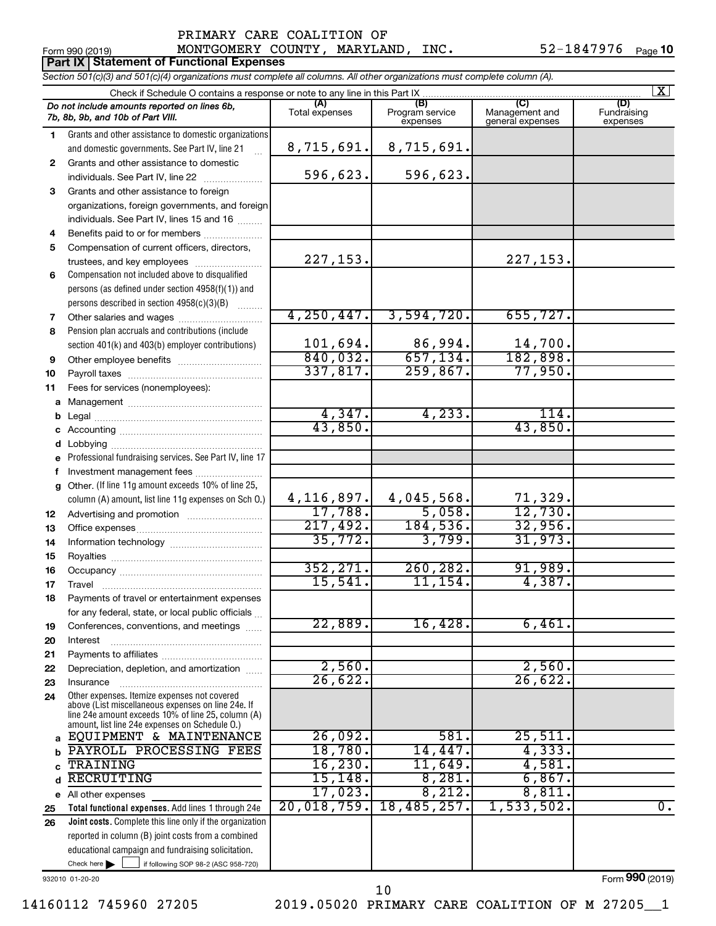#### $\blacksquare$ Form 990 (2019) MONTGOMERY COUNTY, MARYLAND, INC.  $52-1847976$  Page PRIMARY CARE COALITION OF MONTGOMERY COUNTY, MARYLAND, INC. 52-1847976

|              | <b>Part IX   Statement of Functional Expenses</b>                                                                                                                                                          |                       |                                    |                                           |                                |
|--------------|------------------------------------------------------------------------------------------------------------------------------------------------------------------------------------------------------------|-----------------------|------------------------------------|-------------------------------------------|--------------------------------|
|              | Section 501(c)(3) and 501(c)(4) organizations must complete all columns. All other organizations must complete column (A).                                                                                 |                       |                                    |                                           |                                |
|              | Check if Schedule O contains a response or note to any line in this Part IX                                                                                                                                |                       |                                    |                                           | - X I                          |
|              | Do not include amounts reported on lines 6b,<br>7b, 8b, 9b, and 10b of Part VIII.                                                                                                                          | (A)<br>Total expenses | (B)<br>Program service<br>expenses | (C)<br>Management and<br>general expenses | (D)<br>Fundraising<br>expenses |
| 1            | Grants and other assistance to domestic organizations                                                                                                                                                      |                       |                                    |                                           |                                |
|              | and domestic governments. See Part IV, line 21                                                                                                                                                             | 8,715,691.            | 8,715,691.                         |                                           |                                |
| $\mathbf{2}$ | Grants and other assistance to domestic                                                                                                                                                                    |                       |                                    |                                           |                                |
|              | individuals. See Part IV, line 22                                                                                                                                                                          | 596,623.              | 596,623.                           |                                           |                                |
| 3            | Grants and other assistance to foreign                                                                                                                                                                     |                       |                                    |                                           |                                |
|              | organizations, foreign governments, and foreign                                                                                                                                                            |                       |                                    |                                           |                                |
|              | individuals. See Part IV, lines 15 and 16                                                                                                                                                                  |                       |                                    |                                           |                                |
| 4            | Benefits paid to or for members                                                                                                                                                                            |                       |                                    |                                           |                                |
| 5            | Compensation of current officers, directors,                                                                                                                                                               |                       |                                    |                                           |                                |
|              | trustees, and key employees                                                                                                                                                                                | 227, 153.             |                                    | 227,153.                                  |                                |
| 6            | Compensation not included above to disqualified                                                                                                                                                            |                       |                                    |                                           |                                |
|              | persons (as defined under section 4958(f)(1)) and                                                                                                                                                          |                       |                                    |                                           |                                |
|              | persons described in section 4958(c)(3)(B)                                                                                                                                                                 |                       |                                    |                                           |                                |
| 7            |                                                                                                                                                                                                            | 4,250,447.            | 3,594,720.                         | 655, 727.                                 |                                |
| 8            | Pension plan accruals and contributions (include                                                                                                                                                           |                       |                                    |                                           |                                |
|              | section 401(k) and 403(b) employer contributions)                                                                                                                                                          | 101,694.              | 86,994.                            | 14,700.                                   |                                |
| 9            |                                                                                                                                                                                                            | 840,032.              | 657, 134.                          | 182,898.                                  |                                |
| 10           |                                                                                                                                                                                                            | 337,817.              | 259,867.                           | 77,950.                                   |                                |
| 11           | Fees for services (nonemployees):                                                                                                                                                                          |                       |                                    |                                           |                                |
| а            |                                                                                                                                                                                                            |                       |                                    |                                           |                                |
| b            |                                                                                                                                                                                                            | 4,347.<br>43,850.     | 4, 233.                            | 114.<br>43,850.                           |                                |
| с            |                                                                                                                                                                                                            |                       |                                    |                                           |                                |
| d            |                                                                                                                                                                                                            |                       |                                    |                                           |                                |
| е            | Professional fundraising services. See Part IV, line 17                                                                                                                                                    |                       |                                    |                                           |                                |
| f            | Investment management fees<br>Other. (If line 11g amount exceeds 10% of line 25,                                                                                                                           |                       |                                    |                                           |                                |
| g            | column (A) amount, list line 11g expenses on Sch O.)                                                                                                                                                       | 4, 116, 897.          | 4,045,568.                         | 71,329.                                   |                                |
|              |                                                                                                                                                                                                            | 17,788.               | 5,058.                             | 12,730.                                   |                                |
| 12<br>13     |                                                                                                                                                                                                            | 217,492.              | 184, 536.                          | 32,956.                                   |                                |
| 14           |                                                                                                                                                                                                            | 35,772.               | 3,799.                             | 31,973.                                   |                                |
| 15           |                                                                                                                                                                                                            |                       |                                    |                                           |                                |
| 16           |                                                                                                                                                                                                            | 352, 271.             | 260, 282.                          | 91,989.                                   |                                |
| 17           | Travel                                                                                                                                                                                                     | 15,541.               | 11,154.                            | 4,387.                                    |                                |
| 18           | Payments of travel or entertainment expenses                                                                                                                                                               |                       |                                    |                                           |                                |
|              | for any federal, state, or local public officials                                                                                                                                                          |                       |                                    |                                           |                                |
| 19           | Conferences, conventions, and meetings                                                                                                                                                                     | 22,889.               | 16,428.                            | 6,461.                                    |                                |
| 20           | Interest                                                                                                                                                                                                   |                       |                                    |                                           |                                |
| 21           |                                                                                                                                                                                                            |                       |                                    |                                           |                                |
| 22           | Depreciation, depletion, and amortization                                                                                                                                                                  | 2,560.                |                                    | 2,560.                                    |                                |
| 23           | Insurance                                                                                                                                                                                                  | 26,622.               |                                    | 26,622.                                   |                                |
| 24           | Other expenses. Itemize expenses not covered<br>above (List miscellaneous expenses on line 24e. If<br>line 24e amount exceeds 10% of line 25, column (A)<br>amount, list line 24e expenses on Schedule O.) |                       |                                    |                                           |                                |
| a            | EQUIPMENT & MAINTENANCE                                                                                                                                                                                    | 26,092.               | 581.                               | 25,511.                                   |                                |
| b            | PAYROLL PROCESSING FEES                                                                                                                                                                                    | 18,780.               | 14,447.                            | 4,333.                                    |                                |
| C            | <b>TRAINING</b>                                                                                                                                                                                            | 16, 230.              | 11,649.                            | 4,581.                                    |                                |
| d            | <b>RECRUITING</b>                                                                                                                                                                                          | 15, 148.<br>17,023.   | 8,281.<br>8,212.                   | 6,867.<br>8,811.                          |                                |
| е            | All other expenses                                                                                                                                                                                         | 20,018,759.           | 18,485,257.                        | 1,533,502.                                | $\overline{0}$ .               |
| 25           | Total functional expenses. Add lines 1 through 24e<br>Joint costs. Complete this line only if the organization                                                                                             |                       |                                    |                                           |                                |
| 26           | reported in column (B) joint costs from a combined                                                                                                                                                         |                       |                                    |                                           |                                |
|              | educational campaign and fundraising solicitation.                                                                                                                                                         |                       |                                    |                                           |                                |
|              | Check here $\blacktriangleright$<br>if following SOP 98-2 (ASC 958-720)                                                                                                                                    |                       |                                    |                                           |                                |

932010 01-20-20

Form (2019) **990**

14160112 745960 27205 2019.05020 PRIMARY CARE COALITION OF M 27205\_\_1 10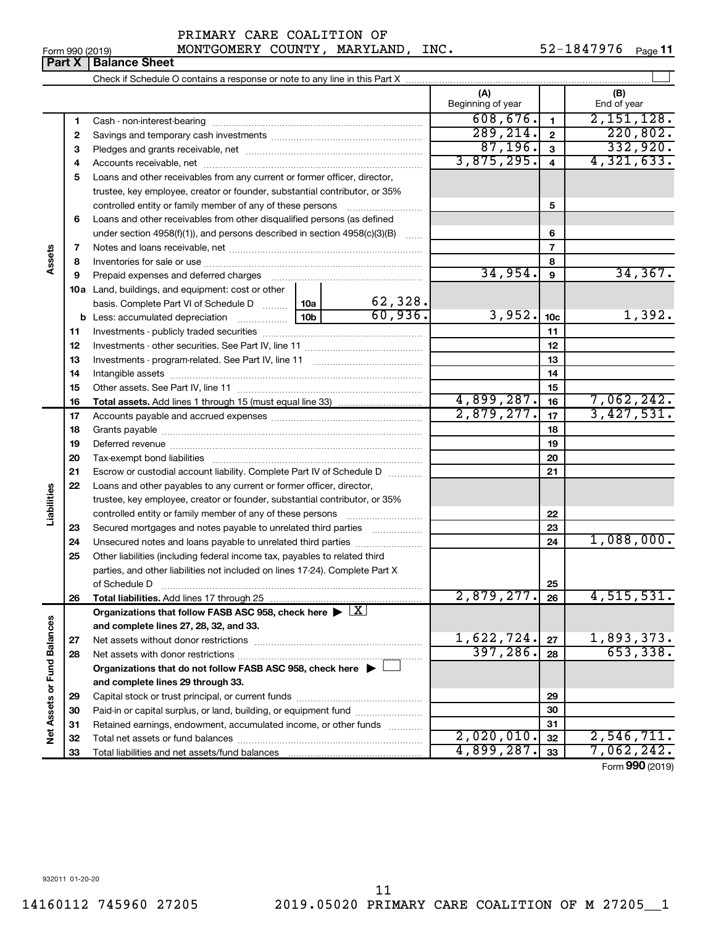| Form 990 (2019) |  |
|-----------------|--|
|-----------------|--|

### Form 990 (2019) MONTGOMERY COUNTY, MARYLAND, INC.  $52-1847976$  Page PRIMARY CARE COALITION OF

**Part X** Balance Sheet  $\perp$ Check if Schedule O contains a response or note to any line in this Part X **(A) (B)** Beginning of year | | End of year  $608,676.$  1 2,151,128. **1 1** Cash - non-interest-bearing ~~~~~~~~~~~~~~~~~~~~~~~~~  $289, 214. |2$  220,802. **2 2** Savings and temporary cash investments ~~~~~~~~~~~~~~~~~~ 87,196. 332,920. **3 3** Pledges and grants receivable, net ~~~~~~~~~~~~~~~~~~~~~ 3,875,295. 4,321,633. **4 4** Accounts receivable, net ~~~~~~~~~~~~~~~~~~~~~~~~~~ **5** Loans and other receivables from any current or former officer, director, trustee, key employee, creator or founder, substantial contributor, or 35% controlled entity or family member of any of these persons  $\ldots$ ........................ **5 6** Loans and other receivables from other disqualified persons (as defined under section 4958(f)(1)), and persons described in section  $4958(c)(3)(B)$  ...... **6 7 7** Notes and loans receivable, net ~~~~~~~~~~~~~~~~~~~~~~~ **Assets 8 8** Inventories for sale or use ~~~~~~~~~~~~~~~~~~~~~~~~~~ 34,954. 34,367. **9 9** Prepaid expenses and deferred charges ~~~~~~~~~~~~~~~~~~ **10 a** Land, buildings, and equipment: cost or other 62,328. basis. Complete Part VI of Schedule D  $\frac{1}{10}$  10a  $60,936.$  3,952.  $1_{10c}$  1,392. **10c b** Less: accumulated depreciation  $\ldots$  [10b **11 11** Investments - publicly traded securities ~~~~~~~~~~~~~~~~~~~ **12 12** Investments - other securities. See Part IV, line 11 ~~~~~~~~~~~~~~ **13 13** Investments - program-related. See Part IV, line 11 ~~~~~~~~~~~~~ **14 14** Intangible assets ~~~~~~~~~~~~~~~~~~~~~~~~~~~~~~ Other assets. See Part IV, line 11 ~~~~~~~~~~~~~~~~~~~~~~ **15 15**  $4,899,287.$   $16$  7,062,242. **16 16 Total assets.**  Add lines 1 through 15 (must equal line 33)  $2,879,277.$   $17$  3,427,531. **17 17** Accounts payable and accrued expenses ~~~~~~~~~~~~~~~~~~ **18 18** Grants payable ~~~~~~~~~~~~~~~~~~~~~~~~~~~~~~~ **19 19** Deferred revenue ~~~~~~~~~~~~~~~~~~~~~~~~~~~~~~ **20 20** Tax-exempt bond liabilities ~~~~~~~~~~~~~~~~~~~~~~~~~ **21 21** Escrow or custodial account liability. Complete Part IV of Schedule D ........... **22** Loans and other payables to any current or former officer, director, **Liabilities** trustee, key employee, creator or founder, substantial contributor, or 35% **22** controlled entity or family member of any of these persons ~~~~~~~~~ **23** Secured mortgages and notes payable to unrelated third parties  $\ldots$ ................. **23** 1,088,000. **24** Unsecured notes and loans payable to unrelated third parties **24 25** Other liabilities (including federal income tax, payables to related third parties, and other liabilities not included on lines 17-24). Complete Part X of Schedule D ~~~~~~~~~~~~~~~~~~~~~~~~~~~~~~~ **25 26**  $2,879,277.$   $26$   $4,515,531.$ **26 Total liabilities.**  Add lines 17 through 25 Organizations that follow FASB ASC 958, check here  $\blacktriangleright \boxed{\text{X}}$ Net Assets or Fund Balances **Net Assets or Fund Balances and complete lines 27, 28, 32, and 33.**  $1,622,724.$   $|z_7|$   $1,893,373.$ **27 27** Net assets without donor restrictions ~~~~~~~~~~~~~~~~~~~~ 397,286. 653,338. **28 28** Net assets with donor restrictions ~~~~~~~~~~~~~~~~~~~~~~ **Organizations that do not follow FASB ASC 958, check here** | † **and complete lines 29 through 33. 29 29** Capital stock or trust principal, or current funds ~~~~~~~~~~~~~~~ **30 30** Paid-in or capital surplus, or land, building, or equipment fund ....................... **31 31** Retained earnings, endowment, accumulated income, or other funds ............ Total net assets or fund balances ~~~~~~~~~~~~~~~~~~~~~~  $2,020,010$ .  $32$   $2,546,711$ . **32 32**  $4,899,287.$  33 7,062,242. **33** Total liabilities and net assets/fund balances **33**

Form (2019) **990**

932011 01-20-20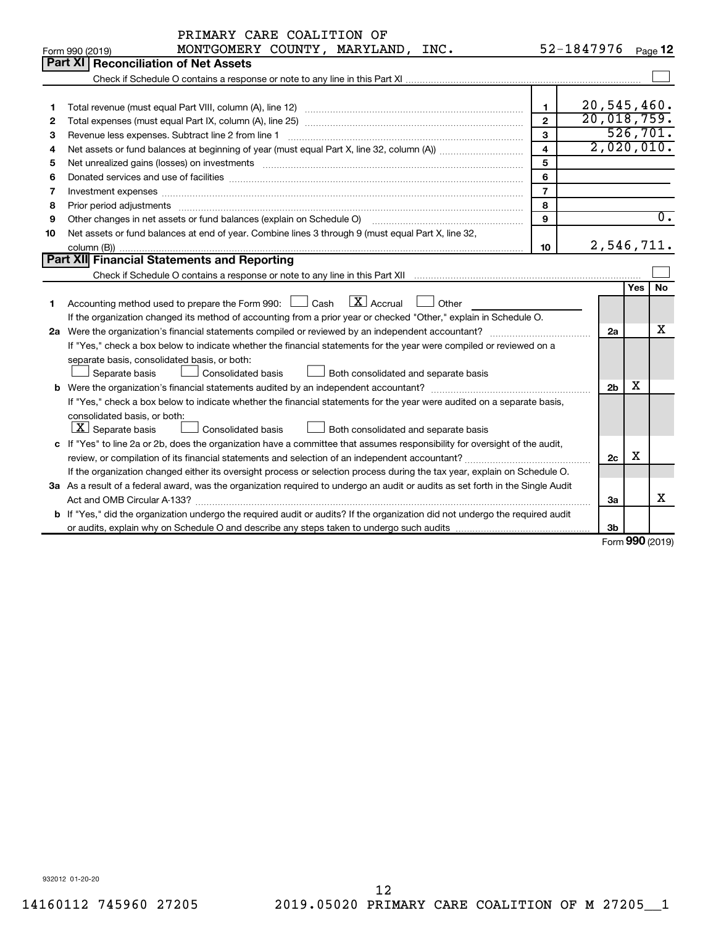|    | PRIMARY CARE COALITION OF                                                                                                                                                                                                      |                         |                |          |                  |
|----|--------------------------------------------------------------------------------------------------------------------------------------------------------------------------------------------------------------------------------|-------------------------|----------------|----------|------------------|
|    | MONTGOMERY COUNTY, MARYLAND, INC.<br>Form 990 (2019)                                                                                                                                                                           |                         | 52-1847976     |          | Page 12          |
|    | Part XI<br><b>Reconciliation of Net Assets</b>                                                                                                                                                                                 |                         |                |          |                  |
|    |                                                                                                                                                                                                                                |                         |                |          |                  |
|    |                                                                                                                                                                                                                                |                         |                |          |                  |
| 1  |                                                                                                                                                                                                                                | $\mathbf{1}$            | 20,545,460.    |          |                  |
| 2  |                                                                                                                                                                                                                                | $\overline{2}$          | 20,018,759.    |          |                  |
| 3  | Revenue less expenses. Subtract line 2 from line 1                                                                                                                                                                             | 3                       |                |          | 526, 701.        |
| 4  |                                                                                                                                                                                                                                | $\overline{\mathbf{4}}$ | 2,020,010.     |          |                  |
| 5  |                                                                                                                                                                                                                                | 5                       |                |          |                  |
| 6  |                                                                                                                                                                                                                                | 6                       |                |          |                  |
| 7  | Investment expenses www.communication.communication.com/www.communication.com/www.communication.com                                                                                                                            | $\overline{7}$          |                |          |                  |
| 8  | Prior period adjustments material contents and content of the content of the content of the content of the content of the content of the content of the content of the content of the content of the content of the content of | 8                       |                |          |                  |
| 9  | Other changes in net assets or fund balances (explain on Schedule O)                                                                                                                                                           | 9                       |                |          | $\overline{0}$ . |
| 10 | Net assets or fund balances at end of year. Combine lines 3 through 9 (must equal Part X, line 32,                                                                                                                             |                         |                |          |                  |
|    |                                                                                                                                                                                                                                | 10                      | 2,546,711.     |          |                  |
|    | <b>Part XII Financial Statements and Reporting</b>                                                                                                                                                                             |                         |                |          |                  |
|    |                                                                                                                                                                                                                                |                         |                |          |                  |
|    |                                                                                                                                                                                                                                |                         |                | Yes   No |                  |
| 1  | $\boxed{\text{X}}$ Accrual<br>Accounting method used to prepare the Form 990: $\Box$ Cash<br>Other                                                                                                                             |                         |                |          |                  |
|    | If the organization changed its method of accounting from a prior year or checked "Other," explain in Schedule O.                                                                                                              |                         |                |          |                  |
|    | 2a Were the organization's financial statements compiled or reviewed by an independent accountant?                                                                                                                             |                         | 2a             |          | х                |
|    | If "Yes," check a box below to indicate whether the financial statements for the year were compiled or reviewed on a                                                                                                           |                         |                |          |                  |
|    | separate basis, consolidated basis, or both:                                                                                                                                                                                   |                         |                |          |                  |
|    | <b>Consolidated basis</b><br>Both consolidated and separate basis<br>Separate basis                                                                                                                                            |                         |                |          |                  |
|    |                                                                                                                                                                                                                                |                         | 2 <sub>b</sub> | х        |                  |
|    | If "Yes," check a box below to indicate whether the financial statements for the year were audited on a separate basis,                                                                                                        |                         |                |          |                  |
|    | consolidated basis, or both:                                                                                                                                                                                                   |                         |                |          |                  |
|    | $\lfloor x \rfloor$ Separate basis<br>Consolidated basis<br>Both consolidated and separate basis                                                                                                                               |                         |                |          |                  |
|    | c If "Yes" to line 2a or 2b, does the organization have a committee that assumes responsibility for oversight of the audit,                                                                                                    |                         |                |          |                  |
|    |                                                                                                                                                                                                                                |                         | 2c             | х        |                  |
|    | If the organization changed either its oversight process or selection process during the tax year, explain on Schedule O.                                                                                                      |                         |                |          |                  |
|    | 3a As a result of a federal award, was the organization required to undergo an audit or audits as set forth in the Single Audit                                                                                                |                         |                |          |                  |
|    |                                                                                                                                                                                                                                |                         | 3a             |          | х                |
|    | b If "Yes," did the organization undergo the required audit or audits? If the organization did not undergo the required audit                                                                                                  |                         |                |          |                  |
|    |                                                                                                                                                                                                                                |                         | 3b             |          |                  |

Form (2019) **990**

932012 01-20-20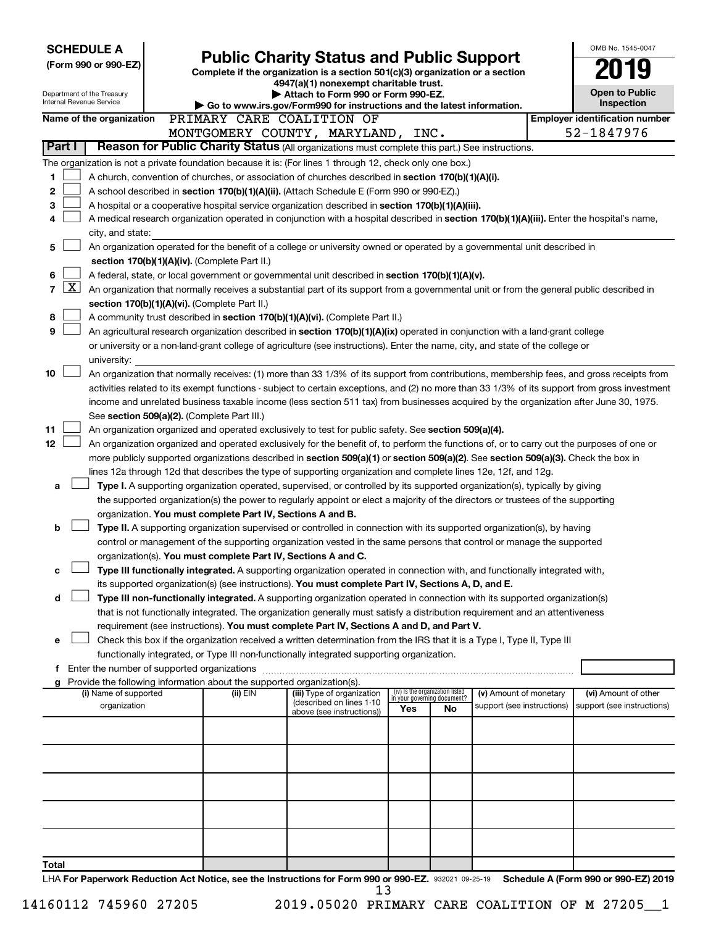| <b>SCHEDULE A</b>                                                                                         |                                                                        | <b>Public Charity Status and Public Support</b>                                                                                                                                                                                                           |     |                                                                |                            | OMB No. 1545-0047                     |
|-----------------------------------------------------------------------------------------------------------|------------------------------------------------------------------------|-----------------------------------------------------------------------------------------------------------------------------------------------------------------------------------------------------------------------------------------------------------|-----|----------------------------------------------------------------|----------------------------|---------------------------------------|
| (Form 990 or 990-EZ)                                                                                      |                                                                        | Complete if the organization is a section 501(c)(3) organization or a section                                                                                                                                                                             |     |                                                                |                            |                                       |
| Department of the Treasury                                                                                |                                                                        | 4947(a)(1) nonexempt charitable trust.<br>Attach to Form 990 or Form 990-EZ.                                                                                                                                                                              |     |                                                                |                            | <b>Open to Public</b>                 |
| Internal Revenue Service                                                                                  |                                                                        | Go to www.irs.gov/Form990 for instructions and the latest information.                                                                                                                                                                                    |     |                                                                |                            | Inspection                            |
| Name of the organization                                                                                  |                                                                        | PRIMARY CARE COALITION OF                                                                                                                                                                                                                                 |     |                                                                |                            | <b>Employer identification number</b> |
|                                                                                                           |                                                                        | MONTGOMERY COUNTY, MARYLAND, INC.                                                                                                                                                                                                                         |     |                                                                |                            | 52-1847976                            |
| Part I                                                                                                    |                                                                        | Reason for Public Charity Status (All organizations must complete this part.) See instructions.                                                                                                                                                           |     |                                                                |                            |                                       |
| The organization is not a private foundation because it is: (For lines 1 through 12, check only one box.) |                                                                        |                                                                                                                                                                                                                                                           |     |                                                                |                            |                                       |
| 1                                                                                                         |                                                                        | A church, convention of churches, or association of churches described in section 170(b)(1)(A)(i).                                                                                                                                                        |     |                                                                |                            |                                       |
| 2                                                                                                         |                                                                        | A school described in section 170(b)(1)(A)(ii). (Attach Schedule E (Form 990 or 990-EZ).)                                                                                                                                                                 |     |                                                                |                            |                                       |
| 3                                                                                                         |                                                                        | A hospital or a cooperative hospital service organization described in section 170(b)(1)(A)(iii).                                                                                                                                                         |     |                                                                |                            |                                       |
| 4                                                                                                         |                                                                        | A medical research organization operated in conjunction with a hospital described in section 170(b)(1)(A)(iii). Enter the hospital's name,                                                                                                                |     |                                                                |                            |                                       |
| city, and state:<br>5                                                                                     |                                                                        | An organization operated for the benefit of a college or university owned or operated by a governmental unit described in                                                                                                                                 |     |                                                                |                            |                                       |
|                                                                                                           | section 170(b)(1)(A)(iv). (Complete Part II.)                          |                                                                                                                                                                                                                                                           |     |                                                                |                            |                                       |
| 6                                                                                                         |                                                                        | A federal, state, or local government or governmental unit described in section 170(b)(1)(A)(v).                                                                                                                                                          |     |                                                                |                            |                                       |
| $\lfloor x \rfloor$<br>$\overline{7}$                                                                     |                                                                        | An organization that normally receives a substantial part of its support from a governmental unit or from the general public described in                                                                                                                 |     |                                                                |                            |                                       |
|                                                                                                           | section 170(b)(1)(A)(vi). (Complete Part II.)                          |                                                                                                                                                                                                                                                           |     |                                                                |                            |                                       |
| 8                                                                                                         |                                                                        | A community trust described in section 170(b)(1)(A)(vi). (Complete Part II.)                                                                                                                                                                              |     |                                                                |                            |                                       |
| 9                                                                                                         |                                                                        | An agricultural research organization described in section 170(b)(1)(A)(ix) operated in conjunction with a land-grant college                                                                                                                             |     |                                                                |                            |                                       |
|                                                                                                           |                                                                        | or university or a non-land-grant college of agriculture (see instructions). Enter the name, city, and state of the college or                                                                                                                            |     |                                                                |                            |                                       |
| university:                                                                                               |                                                                        |                                                                                                                                                                                                                                                           |     |                                                                |                            |                                       |
| 10                                                                                                        |                                                                        | An organization that normally receives: (1) more than 33 1/3% of its support from contributions, membership fees, and gross receipts from                                                                                                                 |     |                                                                |                            |                                       |
|                                                                                                           |                                                                        | activities related to its exempt functions - subject to certain exceptions, and (2) no more than 33 1/3% of its support from gross investment                                                                                                             |     |                                                                |                            |                                       |
|                                                                                                           |                                                                        | income and unrelated business taxable income (less section 511 tax) from businesses acquired by the organization after June 30, 1975.                                                                                                                     |     |                                                                |                            |                                       |
| 11                                                                                                        | See section 509(a)(2). (Complete Part III.)                            | An organization organized and operated exclusively to test for public safety. See section 509(a)(4).                                                                                                                                                      |     |                                                                |                            |                                       |
| 12                                                                                                        |                                                                        | An organization organized and operated exclusively for the benefit of, to perform the functions of, or to carry out the purposes of one or                                                                                                                |     |                                                                |                            |                                       |
|                                                                                                           |                                                                        | more publicly supported organizations described in section 509(a)(1) or section 509(a)(2). See section 509(a)(3). Check the box in                                                                                                                        |     |                                                                |                            |                                       |
|                                                                                                           |                                                                        | lines 12a through 12d that describes the type of supporting organization and complete lines 12e, 12f, and 12g.                                                                                                                                            |     |                                                                |                            |                                       |
| a                                                                                                         |                                                                        | Type I. A supporting organization operated, supervised, or controlled by its supported organization(s), typically by giving                                                                                                                               |     |                                                                |                            |                                       |
|                                                                                                           |                                                                        | the supported organization(s) the power to regularly appoint or elect a majority of the directors or trustees of the supporting                                                                                                                           |     |                                                                |                            |                                       |
|                                                                                                           | organization. You must complete Part IV, Sections A and B.             |                                                                                                                                                                                                                                                           |     |                                                                |                            |                                       |
| b                                                                                                         |                                                                        | Type II. A supporting organization supervised or controlled in connection with its supported organization(s), by having                                                                                                                                   |     |                                                                |                            |                                       |
|                                                                                                           |                                                                        | control or management of the supporting organization vested in the same persons that control or manage the supported                                                                                                                                      |     |                                                                |                            |                                       |
|                                                                                                           | organization(s). You must complete Part IV, Sections A and C.          |                                                                                                                                                                                                                                                           |     |                                                                |                            |                                       |
| с                                                                                                         |                                                                        | Type III functionally integrated. A supporting organization operated in connection with, and functionally integrated with,                                                                                                                                |     |                                                                |                            |                                       |
|                                                                                                           |                                                                        | its supported organization(s) (see instructions). You must complete Part IV, Sections A, D, and E.                                                                                                                                                        |     |                                                                |                            |                                       |
| d                                                                                                         |                                                                        | Type III non-functionally integrated. A supporting organization operated in connection with its supported organization(s)<br>that is not functionally integrated. The organization generally must satisfy a distribution requirement and an attentiveness |     |                                                                |                            |                                       |
|                                                                                                           |                                                                        | requirement (see instructions). You must complete Part IV, Sections A and D, and Part V.                                                                                                                                                                  |     |                                                                |                            |                                       |
| е                                                                                                         |                                                                        | Check this box if the organization received a written determination from the IRS that it is a Type I, Type II, Type III                                                                                                                                   |     |                                                                |                            |                                       |
|                                                                                                           |                                                                        | functionally integrated, or Type III non-functionally integrated supporting organization.                                                                                                                                                                 |     |                                                                |                            |                                       |
| f Enter the number of supported organizations                                                             |                                                                        |                                                                                                                                                                                                                                                           |     |                                                                |                            |                                       |
| g                                                                                                         | Provide the following information about the supported organization(s). |                                                                                                                                                                                                                                                           |     |                                                                |                            |                                       |
| (i) Name of supported                                                                                     | (ii) EIN                                                               | (iii) Type of organization<br>(described on lines 1-10                                                                                                                                                                                                    |     | (iv) Is the organization listed<br>in your governing document? | (v) Amount of monetary     | (vi) Amount of other                  |
| organization                                                                                              |                                                                        | above (see instructions))                                                                                                                                                                                                                                 | Yes | No                                                             | support (see instructions) | support (see instructions)            |
|                                                                                                           |                                                                        |                                                                                                                                                                                                                                                           |     |                                                                |                            |                                       |
|                                                                                                           |                                                                        |                                                                                                                                                                                                                                                           |     |                                                                |                            |                                       |
|                                                                                                           |                                                                        |                                                                                                                                                                                                                                                           |     |                                                                |                            |                                       |
|                                                                                                           |                                                                        |                                                                                                                                                                                                                                                           |     |                                                                |                            |                                       |
|                                                                                                           |                                                                        |                                                                                                                                                                                                                                                           |     |                                                                |                            |                                       |
|                                                                                                           |                                                                        |                                                                                                                                                                                                                                                           |     |                                                                |                            |                                       |
|                                                                                                           |                                                                        |                                                                                                                                                                                                                                                           |     |                                                                |                            |                                       |
|                                                                                                           |                                                                        |                                                                                                                                                                                                                                                           |     |                                                                |                            |                                       |
|                                                                                                           |                                                                        |                                                                                                                                                                                                                                                           |     |                                                                |                            |                                       |
| Total                                                                                                     |                                                                        |                                                                                                                                                                                                                                                           |     |                                                                |                            |                                       |
|                                                                                                           |                                                                        | LHA For Paperwork Reduction Act Notice, see the Instructions for Form 990 or 990-EZ. 932021 09-25-19 Schedule A (Form 990 or 990-EZ) 2019                                                                                                                 |     |                                                                |                            |                                       |

<sup>14160112 745960 27205 2019.05020</sup> PRIMARY CARE COALITION OF M 27205\_\_1 13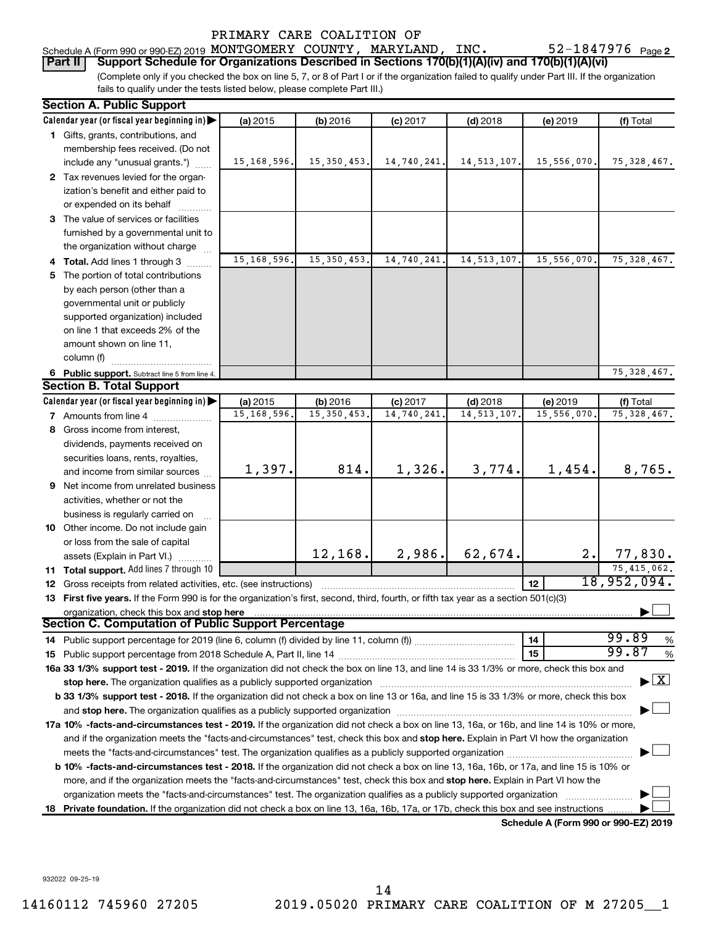#### Schedule A (Form 990 or 990-EZ) 2019 MONTGOMERY COUNTY, MARYLAND, INC.  $52\text{--}1847976$   $_\text{Page}$ **Part II Support Schedule for Organizations Described in Sections 170(b)(1)(A)(iv) and 170(b)(1)(A)(vi)**

52-1847976 Page 2

(Complete only if you checked the box on line 5, 7, or 8 of Part I or if the organization failed to qualify under Part III. If the organization fails to qualify under the tests listed below, please complete Part III.)

| Calendar year (or fiscal year beginning in)<br>(a) 2015<br>(b) 2016<br>$(d)$ 2018<br>(f) Total<br>$(c)$ 2017<br>(e) 2019<br>1 Gifts, grants, contributions, and<br>membership fees received. (Do not<br>15, 168, 596.<br>15, 350, 453.<br>14,740,241.<br>14, 513, 107.<br>15,556,070.<br>75, 328, 467.<br>include any "unusual grants.")<br>2 Tax revenues levied for the organ-<br>ization's benefit and either paid to<br>or expended on its behalf<br>3 The value of services or facilities<br>furnished by a governmental unit to<br>the organization without charge<br>15, 168, 596.<br>15, 350, 453.<br>14,740,241<br>14, 513, 107.<br>15,556,070<br>75, 328, 467.<br>4 Total. Add lines 1 through 3<br>5 The portion of total contributions<br>by each person (other than a<br>governmental unit or publicly<br>supported organization) included<br>on line 1 that exceeds 2% of the<br>amount shown on line 11,<br>column (f)<br>75, 328, 467.<br>6 Public support. Subtract line 5 from line 4.<br><b>Section B. Total Support</b><br>Calendar year (or fiscal year beginning in)<br>(a) 2015<br>(b) 2016<br>$(c)$ 2017<br>$(d)$ 2018<br>(e) 2019<br>(f) Total<br>15, 168, 596<br>15, 350, 453<br>14,740,241<br>14, 513, 107<br>15,556,070<br>75, 328, 467.<br><b>7</b> Amounts from line 4<br>8 Gross income from interest,<br>dividends, payments received on<br>securities loans, rents, royalties,<br>814.<br>8,765.<br>1,397.<br>1,326.<br>3,774.<br>1,454.<br>and income from similar sources<br>9 Net income from unrelated business<br>activities, whether or not the<br>business is regularly carried on<br>10 Other income. Do not include gain<br>or loss from the sale of capital<br>12,168.<br>62,674.<br>2.<br>2,986.<br>77,830.<br>assets (Explain in Part VI.)<br>75, 415, 062.<br>11 Total support. Add lines 7 through 10<br>18,952,094.<br>12<br><b>12</b> Gross receipts from related activities, etc. (see instructions)<br>13 First five years. If the Form 990 is for the organization's first, second, third, fourth, or fifth tax year as a section 501(c)(3)<br>organization, check this box and stop here<br><b>Section C. Computation of Public Support Percentage</b><br>99.89<br>14<br>%<br>99.87<br>15<br>$\%$<br>16a 33 1/3% support test - 2019. If the organization did not check the box on line 13, and line 14 is 33 1/3% or more, check this box and<br>$\lfloor x \rfloor$<br>stop here. The organization qualifies as a publicly supported organization manufaction manufacture or manufacture or the organization manufacture or the organization of the state of the state of the state of the state or m<br>b 33 1/3% support test - 2018. If the organization did not check a box on line 13 or 16a, and line 15 is 33 1/3% or more, check this box<br>and stop here. The organization qualifies as a publicly supported organization [11,111] and stop here. The organization [11] and stop here. The organization [11] and stop here. The organization [11] and stop here is a publ<br>17a 10% -facts-and-circumstances test - 2019. If the organization did not check a box on line 13, 16a, or 16b, and line 14 is 10% or more,<br>and if the organization meets the "facts-and-circumstances" test, check this box and stop here. Explain in Part VI how the organization<br>b 10% -facts-and-circumstances test - 2018. If the organization did not check a box on line 13, 16a, 16b, or 17a, and line 15 is 10% or<br>more, and if the organization meets the "facts-and-circumstances" test, check this box and stop here. Explain in Part VI how the<br>organization meets the "facts-and-circumstances" test. The organization qualifies as a publicly supported organization<br>18 Private foundation. If the organization did not check a box on line 13, 16a, 16b, 17a, or 17b, check this box and see instructions | <b>Section A. Public Support</b> |  |  |  |
|---------------------------------------------------------------------------------------------------------------------------------------------------------------------------------------------------------------------------------------------------------------------------------------------------------------------------------------------------------------------------------------------------------------------------------------------------------------------------------------------------------------------------------------------------------------------------------------------------------------------------------------------------------------------------------------------------------------------------------------------------------------------------------------------------------------------------------------------------------------------------------------------------------------------------------------------------------------------------------------------------------------------------------------------------------------------------------------------------------------------------------------------------------------------------------------------------------------------------------------------------------------------------------------------------------------------------------------------------------------------------------------------------------------------------------------------------------------------------------------------------------------------------------------------------------------------------------------------------------------------------------------------------------------------------------------------------------------------------------------------------------------------------------------------------------------------------------------------------------------------------------------------------------------------------------------------------------------------------------------------------------------------------------------------------------------------------------------------------------------------------------------------------------------------------------------------------------------------------------------------------------------------------------------------------------------------------------------------------------------------------------------------------------------------------------------------------------------------------------------------------------------------------------------------------------------------------------------------------------------------------------------------------------------------------------------------------------------------------------------------------------------------------------------------------------------------------------------------------------------------------------------------------------------------------------------------------------------------------------------------------------------------------------------------------------------------------------------------------------------------------------------------------------------------------------------------------------------------------------------------------------------------------------------------------------------------------------------------------------------------------------------------------------------------------------------------------------------------------------------------------------------------------------------------------------------------------------------------------------------------------------------------------------------------------------------------------------------------------------------------------------------------------------------------------------------------------------------------------------------------------------------|----------------------------------|--|--|--|
|                                                                                                                                                                                                                                                                                                                                                                                                                                                                                                                                                                                                                                                                                                                                                                                                                                                                                                                                                                                                                                                                                                                                                                                                                                                                                                                                                                                                                                                                                                                                                                                                                                                                                                                                                                                                                                                                                                                                                                                                                                                                                                                                                                                                                                                                                                                                                                                                                                                                                                                                                                                                                                                                                                                                                                                                                                                                                                                                                                                                                                                                                                                                                                                                                                                                                                                                                                                                                                                                                                                                                                                                                                                                                                                                                                                                                                                                                       |                                  |  |  |  |
|                                                                                                                                                                                                                                                                                                                                                                                                                                                                                                                                                                                                                                                                                                                                                                                                                                                                                                                                                                                                                                                                                                                                                                                                                                                                                                                                                                                                                                                                                                                                                                                                                                                                                                                                                                                                                                                                                                                                                                                                                                                                                                                                                                                                                                                                                                                                                                                                                                                                                                                                                                                                                                                                                                                                                                                                                                                                                                                                                                                                                                                                                                                                                                                                                                                                                                                                                                                                                                                                                                                                                                                                                                                                                                                                                                                                                                                                                       |                                  |  |  |  |
|                                                                                                                                                                                                                                                                                                                                                                                                                                                                                                                                                                                                                                                                                                                                                                                                                                                                                                                                                                                                                                                                                                                                                                                                                                                                                                                                                                                                                                                                                                                                                                                                                                                                                                                                                                                                                                                                                                                                                                                                                                                                                                                                                                                                                                                                                                                                                                                                                                                                                                                                                                                                                                                                                                                                                                                                                                                                                                                                                                                                                                                                                                                                                                                                                                                                                                                                                                                                                                                                                                                                                                                                                                                                                                                                                                                                                                                                                       |                                  |  |  |  |
|                                                                                                                                                                                                                                                                                                                                                                                                                                                                                                                                                                                                                                                                                                                                                                                                                                                                                                                                                                                                                                                                                                                                                                                                                                                                                                                                                                                                                                                                                                                                                                                                                                                                                                                                                                                                                                                                                                                                                                                                                                                                                                                                                                                                                                                                                                                                                                                                                                                                                                                                                                                                                                                                                                                                                                                                                                                                                                                                                                                                                                                                                                                                                                                                                                                                                                                                                                                                                                                                                                                                                                                                                                                                                                                                                                                                                                                                                       |                                  |  |  |  |
|                                                                                                                                                                                                                                                                                                                                                                                                                                                                                                                                                                                                                                                                                                                                                                                                                                                                                                                                                                                                                                                                                                                                                                                                                                                                                                                                                                                                                                                                                                                                                                                                                                                                                                                                                                                                                                                                                                                                                                                                                                                                                                                                                                                                                                                                                                                                                                                                                                                                                                                                                                                                                                                                                                                                                                                                                                                                                                                                                                                                                                                                                                                                                                                                                                                                                                                                                                                                                                                                                                                                                                                                                                                                                                                                                                                                                                                                                       |                                  |  |  |  |
|                                                                                                                                                                                                                                                                                                                                                                                                                                                                                                                                                                                                                                                                                                                                                                                                                                                                                                                                                                                                                                                                                                                                                                                                                                                                                                                                                                                                                                                                                                                                                                                                                                                                                                                                                                                                                                                                                                                                                                                                                                                                                                                                                                                                                                                                                                                                                                                                                                                                                                                                                                                                                                                                                                                                                                                                                                                                                                                                                                                                                                                                                                                                                                                                                                                                                                                                                                                                                                                                                                                                                                                                                                                                                                                                                                                                                                                                                       |                                  |  |  |  |
|                                                                                                                                                                                                                                                                                                                                                                                                                                                                                                                                                                                                                                                                                                                                                                                                                                                                                                                                                                                                                                                                                                                                                                                                                                                                                                                                                                                                                                                                                                                                                                                                                                                                                                                                                                                                                                                                                                                                                                                                                                                                                                                                                                                                                                                                                                                                                                                                                                                                                                                                                                                                                                                                                                                                                                                                                                                                                                                                                                                                                                                                                                                                                                                                                                                                                                                                                                                                                                                                                                                                                                                                                                                                                                                                                                                                                                                                                       |                                  |  |  |  |
|                                                                                                                                                                                                                                                                                                                                                                                                                                                                                                                                                                                                                                                                                                                                                                                                                                                                                                                                                                                                                                                                                                                                                                                                                                                                                                                                                                                                                                                                                                                                                                                                                                                                                                                                                                                                                                                                                                                                                                                                                                                                                                                                                                                                                                                                                                                                                                                                                                                                                                                                                                                                                                                                                                                                                                                                                                                                                                                                                                                                                                                                                                                                                                                                                                                                                                                                                                                                                                                                                                                                                                                                                                                                                                                                                                                                                                                                                       |                                  |  |  |  |
|                                                                                                                                                                                                                                                                                                                                                                                                                                                                                                                                                                                                                                                                                                                                                                                                                                                                                                                                                                                                                                                                                                                                                                                                                                                                                                                                                                                                                                                                                                                                                                                                                                                                                                                                                                                                                                                                                                                                                                                                                                                                                                                                                                                                                                                                                                                                                                                                                                                                                                                                                                                                                                                                                                                                                                                                                                                                                                                                                                                                                                                                                                                                                                                                                                                                                                                                                                                                                                                                                                                                                                                                                                                                                                                                                                                                                                                                                       |                                  |  |  |  |
|                                                                                                                                                                                                                                                                                                                                                                                                                                                                                                                                                                                                                                                                                                                                                                                                                                                                                                                                                                                                                                                                                                                                                                                                                                                                                                                                                                                                                                                                                                                                                                                                                                                                                                                                                                                                                                                                                                                                                                                                                                                                                                                                                                                                                                                                                                                                                                                                                                                                                                                                                                                                                                                                                                                                                                                                                                                                                                                                                                                                                                                                                                                                                                                                                                                                                                                                                                                                                                                                                                                                                                                                                                                                                                                                                                                                                                                                                       |                                  |  |  |  |
|                                                                                                                                                                                                                                                                                                                                                                                                                                                                                                                                                                                                                                                                                                                                                                                                                                                                                                                                                                                                                                                                                                                                                                                                                                                                                                                                                                                                                                                                                                                                                                                                                                                                                                                                                                                                                                                                                                                                                                                                                                                                                                                                                                                                                                                                                                                                                                                                                                                                                                                                                                                                                                                                                                                                                                                                                                                                                                                                                                                                                                                                                                                                                                                                                                                                                                                                                                                                                                                                                                                                                                                                                                                                                                                                                                                                                                                                                       |                                  |  |  |  |
|                                                                                                                                                                                                                                                                                                                                                                                                                                                                                                                                                                                                                                                                                                                                                                                                                                                                                                                                                                                                                                                                                                                                                                                                                                                                                                                                                                                                                                                                                                                                                                                                                                                                                                                                                                                                                                                                                                                                                                                                                                                                                                                                                                                                                                                                                                                                                                                                                                                                                                                                                                                                                                                                                                                                                                                                                                                                                                                                                                                                                                                                                                                                                                                                                                                                                                                                                                                                                                                                                                                                                                                                                                                                                                                                                                                                                                                                                       |                                  |  |  |  |
|                                                                                                                                                                                                                                                                                                                                                                                                                                                                                                                                                                                                                                                                                                                                                                                                                                                                                                                                                                                                                                                                                                                                                                                                                                                                                                                                                                                                                                                                                                                                                                                                                                                                                                                                                                                                                                                                                                                                                                                                                                                                                                                                                                                                                                                                                                                                                                                                                                                                                                                                                                                                                                                                                                                                                                                                                                                                                                                                                                                                                                                                                                                                                                                                                                                                                                                                                                                                                                                                                                                                                                                                                                                                                                                                                                                                                                                                                       |                                  |  |  |  |
|                                                                                                                                                                                                                                                                                                                                                                                                                                                                                                                                                                                                                                                                                                                                                                                                                                                                                                                                                                                                                                                                                                                                                                                                                                                                                                                                                                                                                                                                                                                                                                                                                                                                                                                                                                                                                                                                                                                                                                                                                                                                                                                                                                                                                                                                                                                                                                                                                                                                                                                                                                                                                                                                                                                                                                                                                                                                                                                                                                                                                                                                                                                                                                                                                                                                                                                                                                                                                                                                                                                                                                                                                                                                                                                                                                                                                                                                                       |                                  |  |  |  |
|                                                                                                                                                                                                                                                                                                                                                                                                                                                                                                                                                                                                                                                                                                                                                                                                                                                                                                                                                                                                                                                                                                                                                                                                                                                                                                                                                                                                                                                                                                                                                                                                                                                                                                                                                                                                                                                                                                                                                                                                                                                                                                                                                                                                                                                                                                                                                                                                                                                                                                                                                                                                                                                                                                                                                                                                                                                                                                                                                                                                                                                                                                                                                                                                                                                                                                                                                                                                                                                                                                                                                                                                                                                                                                                                                                                                                                                                                       |                                  |  |  |  |
|                                                                                                                                                                                                                                                                                                                                                                                                                                                                                                                                                                                                                                                                                                                                                                                                                                                                                                                                                                                                                                                                                                                                                                                                                                                                                                                                                                                                                                                                                                                                                                                                                                                                                                                                                                                                                                                                                                                                                                                                                                                                                                                                                                                                                                                                                                                                                                                                                                                                                                                                                                                                                                                                                                                                                                                                                                                                                                                                                                                                                                                                                                                                                                                                                                                                                                                                                                                                                                                                                                                                                                                                                                                                                                                                                                                                                                                                                       |                                  |  |  |  |
|                                                                                                                                                                                                                                                                                                                                                                                                                                                                                                                                                                                                                                                                                                                                                                                                                                                                                                                                                                                                                                                                                                                                                                                                                                                                                                                                                                                                                                                                                                                                                                                                                                                                                                                                                                                                                                                                                                                                                                                                                                                                                                                                                                                                                                                                                                                                                                                                                                                                                                                                                                                                                                                                                                                                                                                                                                                                                                                                                                                                                                                                                                                                                                                                                                                                                                                                                                                                                                                                                                                                                                                                                                                                                                                                                                                                                                                                                       |                                  |  |  |  |
|                                                                                                                                                                                                                                                                                                                                                                                                                                                                                                                                                                                                                                                                                                                                                                                                                                                                                                                                                                                                                                                                                                                                                                                                                                                                                                                                                                                                                                                                                                                                                                                                                                                                                                                                                                                                                                                                                                                                                                                                                                                                                                                                                                                                                                                                                                                                                                                                                                                                                                                                                                                                                                                                                                                                                                                                                                                                                                                                                                                                                                                                                                                                                                                                                                                                                                                                                                                                                                                                                                                                                                                                                                                                                                                                                                                                                                                                                       |                                  |  |  |  |
|                                                                                                                                                                                                                                                                                                                                                                                                                                                                                                                                                                                                                                                                                                                                                                                                                                                                                                                                                                                                                                                                                                                                                                                                                                                                                                                                                                                                                                                                                                                                                                                                                                                                                                                                                                                                                                                                                                                                                                                                                                                                                                                                                                                                                                                                                                                                                                                                                                                                                                                                                                                                                                                                                                                                                                                                                                                                                                                                                                                                                                                                                                                                                                                                                                                                                                                                                                                                                                                                                                                                                                                                                                                                                                                                                                                                                                                                                       |                                  |  |  |  |
|                                                                                                                                                                                                                                                                                                                                                                                                                                                                                                                                                                                                                                                                                                                                                                                                                                                                                                                                                                                                                                                                                                                                                                                                                                                                                                                                                                                                                                                                                                                                                                                                                                                                                                                                                                                                                                                                                                                                                                                                                                                                                                                                                                                                                                                                                                                                                                                                                                                                                                                                                                                                                                                                                                                                                                                                                                                                                                                                                                                                                                                                                                                                                                                                                                                                                                                                                                                                                                                                                                                                                                                                                                                                                                                                                                                                                                                                                       |                                  |  |  |  |
|                                                                                                                                                                                                                                                                                                                                                                                                                                                                                                                                                                                                                                                                                                                                                                                                                                                                                                                                                                                                                                                                                                                                                                                                                                                                                                                                                                                                                                                                                                                                                                                                                                                                                                                                                                                                                                                                                                                                                                                                                                                                                                                                                                                                                                                                                                                                                                                                                                                                                                                                                                                                                                                                                                                                                                                                                                                                                                                                                                                                                                                                                                                                                                                                                                                                                                                                                                                                                                                                                                                                                                                                                                                                                                                                                                                                                                                                                       |                                  |  |  |  |
|                                                                                                                                                                                                                                                                                                                                                                                                                                                                                                                                                                                                                                                                                                                                                                                                                                                                                                                                                                                                                                                                                                                                                                                                                                                                                                                                                                                                                                                                                                                                                                                                                                                                                                                                                                                                                                                                                                                                                                                                                                                                                                                                                                                                                                                                                                                                                                                                                                                                                                                                                                                                                                                                                                                                                                                                                                                                                                                                                                                                                                                                                                                                                                                                                                                                                                                                                                                                                                                                                                                                                                                                                                                                                                                                                                                                                                                                                       |                                  |  |  |  |
|                                                                                                                                                                                                                                                                                                                                                                                                                                                                                                                                                                                                                                                                                                                                                                                                                                                                                                                                                                                                                                                                                                                                                                                                                                                                                                                                                                                                                                                                                                                                                                                                                                                                                                                                                                                                                                                                                                                                                                                                                                                                                                                                                                                                                                                                                                                                                                                                                                                                                                                                                                                                                                                                                                                                                                                                                                                                                                                                                                                                                                                                                                                                                                                                                                                                                                                                                                                                                                                                                                                                                                                                                                                                                                                                                                                                                                                                                       |                                  |  |  |  |
|                                                                                                                                                                                                                                                                                                                                                                                                                                                                                                                                                                                                                                                                                                                                                                                                                                                                                                                                                                                                                                                                                                                                                                                                                                                                                                                                                                                                                                                                                                                                                                                                                                                                                                                                                                                                                                                                                                                                                                                                                                                                                                                                                                                                                                                                                                                                                                                                                                                                                                                                                                                                                                                                                                                                                                                                                                                                                                                                                                                                                                                                                                                                                                                                                                                                                                                                                                                                                                                                                                                                                                                                                                                                                                                                                                                                                                                                                       |                                  |  |  |  |
|                                                                                                                                                                                                                                                                                                                                                                                                                                                                                                                                                                                                                                                                                                                                                                                                                                                                                                                                                                                                                                                                                                                                                                                                                                                                                                                                                                                                                                                                                                                                                                                                                                                                                                                                                                                                                                                                                                                                                                                                                                                                                                                                                                                                                                                                                                                                                                                                                                                                                                                                                                                                                                                                                                                                                                                                                                                                                                                                                                                                                                                                                                                                                                                                                                                                                                                                                                                                                                                                                                                                                                                                                                                                                                                                                                                                                                                                                       |                                  |  |  |  |
|                                                                                                                                                                                                                                                                                                                                                                                                                                                                                                                                                                                                                                                                                                                                                                                                                                                                                                                                                                                                                                                                                                                                                                                                                                                                                                                                                                                                                                                                                                                                                                                                                                                                                                                                                                                                                                                                                                                                                                                                                                                                                                                                                                                                                                                                                                                                                                                                                                                                                                                                                                                                                                                                                                                                                                                                                                                                                                                                                                                                                                                                                                                                                                                                                                                                                                                                                                                                                                                                                                                                                                                                                                                                                                                                                                                                                                                                                       |                                  |  |  |  |
|                                                                                                                                                                                                                                                                                                                                                                                                                                                                                                                                                                                                                                                                                                                                                                                                                                                                                                                                                                                                                                                                                                                                                                                                                                                                                                                                                                                                                                                                                                                                                                                                                                                                                                                                                                                                                                                                                                                                                                                                                                                                                                                                                                                                                                                                                                                                                                                                                                                                                                                                                                                                                                                                                                                                                                                                                                                                                                                                                                                                                                                                                                                                                                                                                                                                                                                                                                                                                                                                                                                                                                                                                                                                                                                                                                                                                                                                                       |                                  |  |  |  |
|                                                                                                                                                                                                                                                                                                                                                                                                                                                                                                                                                                                                                                                                                                                                                                                                                                                                                                                                                                                                                                                                                                                                                                                                                                                                                                                                                                                                                                                                                                                                                                                                                                                                                                                                                                                                                                                                                                                                                                                                                                                                                                                                                                                                                                                                                                                                                                                                                                                                                                                                                                                                                                                                                                                                                                                                                                                                                                                                                                                                                                                                                                                                                                                                                                                                                                                                                                                                                                                                                                                                                                                                                                                                                                                                                                                                                                                                                       |                                  |  |  |  |
|                                                                                                                                                                                                                                                                                                                                                                                                                                                                                                                                                                                                                                                                                                                                                                                                                                                                                                                                                                                                                                                                                                                                                                                                                                                                                                                                                                                                                                                                                                                                                                                                                                                                                                                                                                                                                                                                                                                                                                                                                                                                                                                                                                                                                                                                                                                                                                                                                                                                                                                                                                                                                                                                                                                                                                                                                                                                                                                                                                                                                                                                                                                                                                                                                                                                                                                                                                                                                                                                                                                                                                                                                                                                                                                                                                                                                                                                                       |                                  |  |  |  |
|                                                                                                                                                                                                                                                                                                                                                                                                                                                                                                                                                                                                                                                                                                                                                                                                                                                                                                                                                                                                                                                                                                                                                                                                                                                                                                                                                                                                                                                                                                                                                                                                                                                                                                                                                                                                                                                                                                                                                                                                                                                                                                                                                                                                                                                                                                                                                                                                                                                                                                                                                                                                                                                                                                                                                                                                                                                                                                                                                                                                                                                                                                                                                                                                                                                                                                                                                                                                                                                                                                                                                                                                                                                                                                                                                                                                                                                                                       |                                  |  |  |  |
|                                                                                                                                                                                                                                                                                                                                                                                                                                                                                                                                                                                                                                                                                                                                                                                                                                                                                                                                                                                                                                                                                                                                                                                                                                                                                                                                                                                                                                                                                                                                                                                                                                                                                                                                                                                                                                                                                                                                                                                                                                                                                                                                                                                                                                                                                                                                                                                                                                                                                                                                                                                                                                                                                                                                                                                                                                                                                                                                                                                                                                                                                                                                                                                                                                                                                                                                                                                                                                                                                                                                                                                                                                                                                                                                                                                                                                                                                       |                                  |  |  |  |
|                                                                                                                                                                                                                                                                                                                                                                                                                                                                                                                                                                                                                                                                                                                                                                                                                                                                                                                                                                                                                                                                                                                                                                                                                                                                                                                                                                                                                                                                                                                                                                                                                                                                                                                                                                                                                                                                                                                                                                                                                                                                                                                                                                                                                                                                                                                                                                                                                                                                                                                                                                                                                                                                                                                                                                                                                                                                                                                                                                                                                                                                                                                                                                                                                                                                                                                                                                                                                                                                                                                                                                                                                                                                                                                                                                                                                                                                                       |                                  |  |  |  |
|                                                                                                                                                                                                                                                                                                                                                                                                                                                                                                                                                                                                                                                                                                                                                                                                                                                                                                                                                                                                                                                                                                                                                                                                                                                                                                                                                                                                                                                                                                                                                                                                                                                                                                                                                                                                                                                                                                                                                                                                                                                                                                                                                                                                                                                                                                                                                                                                                                                                                                                                                                                                                                                                                                                                                                                                                                                                                                                                                                                                                                                                                                                                                                                                                                                                                                                                                                                                                                                                                                                                                                                                                                                                                                                                                                                                                                                                                       |                                  |  |  |  |
|                                                                                                                                                                                                                                                                                                                                                                                                                                                                                                                                                                                                                                                                                                                                                                                                                                                                                                                                                                                                                                                                                                                                                                                                                                                                                                                                                                                                                                                                                                                                                                                                                                                                                                                                                                                                                                                                                                                                                                                                                                                                                                                                                                                                                                                                                                                                                                                                                                                                                                                                                                                                                                                                                                                                                                                                                                                                                                                                                                                                                                                                                                                                                                                                                                                                                                                                                                                                                                                                                                                                                                                                                                                                                                                                                                                                                                                                                       |                                  |  |  |  |
|                                                                                                                                                                                                                                                                                                                                                                                                                                                                                                                                                                                                                                                                                                                                                                                                                                                                                                                                                                                                                                                                                                                                                                                                                                                                                                                                                                                                                                                                                                                                                                                                                                                                                                                                                                                                                                                                                                                                                                                                                                                                                                                                                                                                                                                                                                                                                                                                                                                                                                                                                                                                                                                                                                                                                                                                                                                                                                                                                                                                                                                                                                                                                                                                                                                                                                                                                                                                                                                                                                                                                                                                                                                                                                                                                                                                                                                                                       |                                  |  |  |  |
|                                                                                                                                                                                                                                                                                                                                                                                                                                                                                                                                                                                                                                                                                                                                                                                                                                                                                                                                                                                                                                                                                                                                                                                                                                                                                                                                                                                                                                                                                                                                                                                                                                                                                                                                                                                                                                                                                                                                                                                                                                                                                                                                                                                                                                                                                                                                                                                                                                                                                                                                                                                                                                                                                                                                                                                                                                                                                                                                                                                                                                                                                                                                                                                                                                                                                                                                                                                                                                                                                                                                                                                                                                                                                                                                                                                                                                                                                       |                                  |  |  |  |
|                                                                                                                                                                                                                                                                                                                                                                                                                                                                                                                                                                                                                                                                                                                                                                                                                                                                                                                                                                                                                                                                                                                                                                                                                                                                                                                                                                                                                                                                                                                                                                                                                                                                                                                                                                                                                                                                                                                                                                                                                                                                                                                                                                                                                                                                                                                                                                                                                                                                                                                                                                                                                                                                                                                                                                                                                                                                                                                                                                                                                                                                                                                                                                                                                                                                                                                                                                                                                                                                                                                                                                                                                                                                                                                                                                                                                                                                                       |                                  |  |  |  |
|                                                                                                                                                                                                                                                                                                                                                                                                                                                                                                                                                                                                                                                                                                                                                                                                                                                                                                                                                                                                                                                                                                                                                                                                                                                                                                                                                                                                                                                                                                                                                                                                                                                                                                                                                                                                                                                                                                                                                                                                                                                                                                                                                                                                                                                                                                                                                                                                                                                                                                                                                                                                                                                                                                                                                                                                                                                                                                                                                                                                                                                                                                                                                                                                                                                                                                                                                                                                                                                                                                                                                                                                                                                                                                                                                                                                                                                                                       |                                  |  |  |  |
|                                                                                                                                                                                                                                                                                                                                                                                                                                                                                                                                                                                                                                                                                                                                                                                                                                                                                                                                                                                                                                                                                                                                                                                                                                                                                                                                                                                                                                                                                                                                                                                                                                                                                                                                                                                                                                                                                                                                                                                                                                                                                                                                                                                                                                                                                                                                                                                                                                                                                                                                                                                                                                                                                                                                                                                                                                                                                                                                                                                                                                                                                                                                                                                                                                                                                                                                                                                                                                                                                                                                                                                                                                                                                                                                                                                                                                                                                       |                                  |  |  |  |
|                                                                                                                                                                                                                                                                                                                                                                                                                                                                                                                                                                                                                                                                                                                                                                                                                                                                                                                                                                                                                                                                                                                                                                                                                                                                                                                                                                                                                                                                                                                                                                                                                                                                                                                                                                                                                                                                                                                                                                                                                                                                                                                                                                                                                                                                                                                                                                                                                                                                                                                                                                                                                                                                                                                                                                                                                                                                                                                                                                                                                                                                                                                                                                                                                                                                                                                                                                                                                                                                                                                                                                                                                                                                                                                                                                                                                                                                                       |                                  |  |  |  |
|                                                                                                                                                                                                                                                                                                                                                                                                                                                                                                                                                                                                                                                                                                                                                                                                                                                                                                                                                                                                                                                                                                                                                                                                                                                                                                                                                                                                                                                                                                                                                                                                                                                                                                                                                                                                                                                                                                                                                                                                                                                                                                                                                                                                                                                                                                                                                                                                                                                                                                                                                                                                                                                                                                                                                                                                                                                                                                                                                                                                                                                                                                                                                                                                                                                                                                                                                                                                                                                                                                                                                                                                                                                                                                                                                                                                                                                                                       |                                  |  |  |  |
|                                                                                                                                                                                                                                                                                                                                                                                                                                                                                                                                                                                                                                                                                                                                                                                                                                                                                                                                                                                                                                                                                                                                                                                                                                                                                                                                                                                                                                                                                                                                                                                                                                                                                                                                                                                                                                                                                                                                                                                                                                                                                                                                                                                                                                                                                                                                                                                                                                                                                                                                                                                                                                                                                                                                                                                                                                                                                                                                                                                                                                                                                                                                                                                                                                                                                                                                                                                                                                                                                                                                                                                                                                                                                                                                                                                                                                                                                       |                                  |  |  |  |
|                                                                                                                                                                                                                                                                                                                                                                                                                                                                                                                                                                                                                                                                                                                                                                                                                                                                                                                                                                                                                                                                                                                                                                                                                                                                                                                                                                                                                                                                                                                                                                                                                                                                                                                                                                                                                                                                                                                                                                                                                                                                                                                                                                                                                                                                                                                                                                                                                                                                                                                                                                                                                                                                                                                                                                                                                                                                                                                                                                                                                                                                                                                                                                                                                                                                                                                                                                                                                                                                                                                                                                                                                                                                                                                                                                                                                                                                                       |                                  |  |  |  |
|                                                                                                                                                                                                                                                                                                                                                                                                                                                                                                                                                                                                                                                                                                                                                                                                                                                                                                                                                                                                                                                                                                                                                                                                                                                                                                                                                                                                                                                                                                                                                                                                                                                                                                                                                                                                                                                                                                                                                                                                                                                                                                                                                                                                                                                                                                                                                                                                                                                                                                                                                                                                                                                                                                                                                                                                                                                                                                                                                                                                                                                                                                                                                                                                                                                                                                                                                                                                                                                                                                                                                                                                                                                                                                                                                                                                                                                                                       |                                  |  |  |  |
|                                                                                                                                                                                                                                                                                                                                                                                                                                                                                                                                                                                                                                                                                                                                                                                                                                                                                                                                                                                                                                                                                                                                                                                                                                                                                                                                                                                                                                                                                                                                                                                                                                                                                                                                                                                                                                                                                                                                                                                                                                                                                                                                                                                                                                                                                                                                                                                                                                                                                                                                                                                                                                                                                                                                                                                                                                                                                                                                                                                                                                                                                                                                                                                                                                                                                                                                                                                                                                                                                                                                                                                                                                                                                                                                                                                                                                                                                       |                                  |  |  |  |
|                                                                                                                                                                                                                                                                                                                                                                                                                                                                                                                                                                                                                                                                                                                                                                                                                                                                                                                                                                                                                                                                                                                                                                                                                                                                                                                                                                                                                                                                                                                                                                                                                                                                                                                                                                                                                                                                                                                                                                                                                                                                                                                                                                                                                                                                                                                                                                                                                                                                                                                                                                                                                                                                                                                                                                                                                                                                                                                                                                                                                                                                                                                                                                                                                                                                                                                                                                                                                                                                                                                                                                                                                                                                                                                                                                                                                                                                                       |                                  |  |  |  |
|                                                                                                                                                                                                                                                                                                                                                                                                                                                                                                                                                                                                                                                                                                                                                                                                                                                                                                                                                                                                                                                                                                                                                                                                                                                                                                                                                                                                                                                                                                                                                                                                                                                                                                                                                                                                                                                                                                                                                                                                                                                                                                                                                                                                                                                                                                                                                                                                                                                                                                                                                                                                                                                                                                                                                                                                                                                                                                                                                                                                                                                                                                                                                                                                                                                                                                                                                                                                                                                                                                                                                                                                                                                                                                                                                                                                                                                                                       |                                  |  |  |  |
|                                                                                                                                                                                                                                                                                                                                                                                                                                                                                                                                                                                                                                                                                                                                                                                                                                                                                                                                                                                                                                                                                                                                                                                                                                                                                                                                                                                                                                                                                                                                                                                                                                                                                                                                                                                                                                                                                                                                                                                                                                                                                                                                                                                                                                                                                                                                                                                                                                                                                                                                                                                                                                                                                                                                                                                                                                                                                                                                                                                                                                                                                                                                                                                                                                                                                                                                                                                                                                                                                                                                                                                                                                                                                                                                                                                                                                                                                       |                                  |  |  |  |
|                                                                                                                                                                                                                                                                                                                                                                                                                                                                                                                                                                                                                                                                                                                                                                                                                                                                                                                                                                                                                                                                                                                                                                                                                                                                                                                                                                                                                                                                                                                                                                                                                                                                                                                                                                                                                                                                                                                                                                                                                                                                                                                                                                                                                                                                                                                                                                                                                                                                                                                                                                                                                                                                                                                                                                                                                                                                                                                                                                                                                                                                                                                                                                                                                                                                                                                                                                                                                                                                                                                                                                                                                                                                                                                                                                                                                                                                                       |                                  |  |  |  |
| Schedule A (Form 990 or 990-F7) 2019                                                                                                                                                                                                                                                                                                                                                                                                                                                                                                                                                                                                                                                                                                                                                                                                                                                                                                                                                                                                                                                                                                                                                                                                                                                                                                                                                                                                                                                                                                                                                                                                                                                                                                                                                                                                                                                                                                                                                                                                                                                                                                                                                                                                                                                                                                                                                                                                                                                                                                                                                                                                                                                                                                                                                                                                                                                                                                                                                                                                                                                                                                                                                                                                                                                                                                                                                                                                                                                                                                                                                                                                                                                                                                                                                                                                                                                  |                                  |  |  |  |

**Schedule A (Form 990 or 990-EZ) 2019**

932022 09-25-19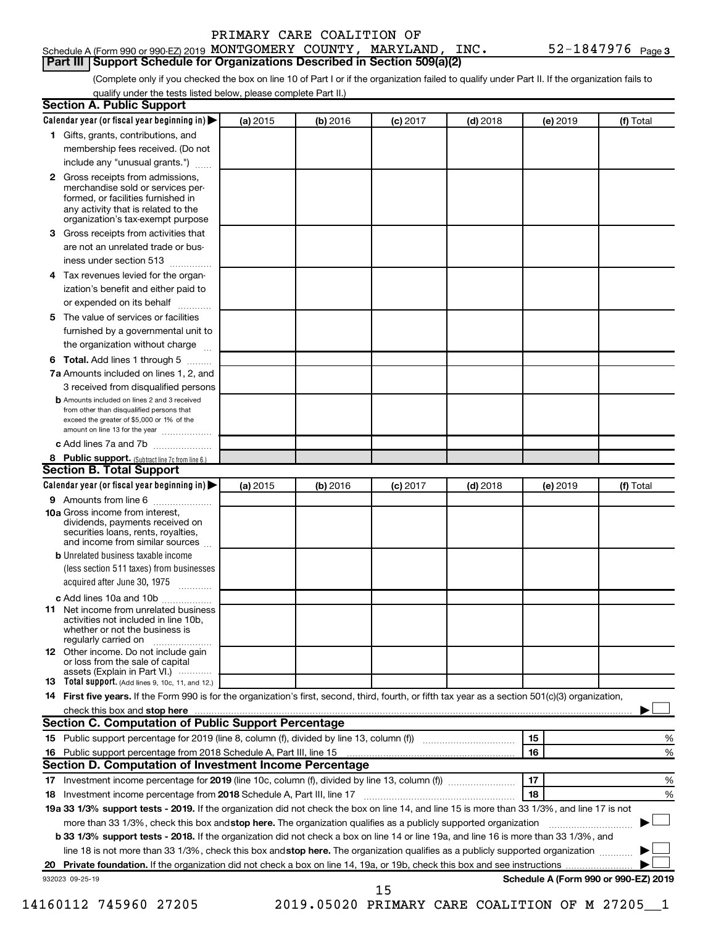| PRIMARY CARE COALITION OF |  |
|---------------------------|--|
|---------------------------|--|

#### Schedule A (Form 990 or 990-EZ) 2019 MONTGOMERY COUNTY, MARYLAND, INC.  $52\text{--}1847976$   $_\text{Page}$ **Part III Support Schedule for Organizations Described in Section 509(a)(2)**

(Complete only if you checked the box on line 10 of Part I or if the organization failed to qualify under Part II. If the organization fails to qualify under the tests listed below, please complete Part II.)

|    | Calendar year (or fiscal year beginning in)                                                                                                         | (a) 2015 | (b) 2016 | $(c)$ 2017 | $(d)$ 2018 |    | (e) 2019 | (f) Total                            |   |
|----|-----------------------------------------------------------------------------------------------------------------------------------------------------|----------|----------|------------|------------|----|----------|--------------------------------------|---|
|    | 1 Gifts, grants, contributions, and                                                                                                                 |          |          |            |            |    |          |                                      |   |
|    | membership fees received. (Do not                                                                                                                   |          |          |            |            |    |          |                                      |   |
|    | include any "unusual grants.")                                                                                                                      |          |          |            |            |    |          |                                      |   |
|    | 2 Gross receipts from admissions,<br>merchandise sold or services per-<br>formed, or facilities furnished in                                        |          |          |            |            |    |          |                                      |   |
|    | any activity that is related to the<br>organization's tax-exempt purpose                                                                            |          |          |            |            |    |          |                                      |   |
| 3. | Gross receipts from activities that                                                                                                                 |          |          |            |            |    |          |                                      |   |
|    | are not an unrelated trade or bus-<br>iness under section 513                                                                                       |          |          |            |            |    |          |                                      |   |
| 4  | Tax revenues levied for the organ-                                                                                                                  |          |          |            |            |    |          |                                      |   |
|    | ization's benefit and either paid to<br>or expended on its behalf<br>.                                                                              |          |          |            |            |    |          |                                      |   |
| 5. | The value of services or facilities                                                                                                                 |          |          |            |            |    |          |                                      |   |
|    | furnished by a governmental unit to<br>the organization without charge                                                                              |          |          |            |            |    |          |                                      |   |
|    |                                                                                                                                                     |          |          |            |            |    |          |                                      |   |
| 6  | Total. Add lines 1 through 5                                                                                                                        |          |          |            |            |    |          |                                      |   |
|    | 7a Amounts included on lines 1, 2, and                                                                                                              |          |          |            |            |    |          |                                      |   |
|    | 3 received from disqualified persons<br><b>b</b> Amounts included on lines 2 and 3 received                                                         |          |          |            |            |    |          |                                      |   |
|    | from other than disqualified persons that<br>exceed the greater of \$5,000 or 1% of the<br>amount on line 13 for the year                           |          |          |            |            |    |          |                                      |   |
|    | c Add lines 7a and 7b                                                                                                                               |          |          |            |            |    |          |                                      |   |
|    | 8 Public support. (Subtract line 7c from line 6.)                                                                                                   |          |          |            |            |    |          |                                      |   |
|    | <b>Section B. Total Support</b>                                                                                                                     |          |          |            |            |    |          |                                      |   |
|    | Calendar year (or fiscal year beginning in)                                                                                                         | (a) 2015 | (b) 2016 | $(c)$ 2017 | $(d)$ 2018 |    | (e) 2019 | (f) Total                            |   |
|    | <b>9</b> Amounts from line 6                                                                                                                        |          |          |            |            |    |          |                                      |   |
|    | <b>10a</b> Gross income from interest,<br>dividends, payments received on<br>securities loans, rents, royalties,<br>and income from similar sources |          |          |            |            |    |          |                                      |   |
|    | <b>b</b> Unrelated business taxable income                                                                                                          |          |          |            |            |    |          |                                      |   |
|    | (less section 511 taxes) from businesses<br>acquired after June 30, 1975 [[11, 11, 11, 11]                                                          |          |          |            |            |    |          |                                      |   |
|    | c Add lines 10a and 10b                                                                                                                             |          |          |            |            |    |          |                                      |   |
| 11 | Net income from unrelated business<br>activities not included in line 10b.<br>whether or not the business is<br>regularly carried on                |          |          |            |            |    |          |                                      |   |
|    | <b>12</b> Other income. Do not include gain<br>or loss from the sale of capital<br>assets (Explain in Part VI.)                                     |          |          |            |            |    |          |                                      |   |
|    | <b>13</b> Total support. (Add lines 9, 10c, 11, and 12.)                                                                                            |          |          |            |            |    |          |                                      |   |
|    | 14 First five years. If the Form 990 is for the organization's first, second, third, fourth, or fifth tax year as a section 501(c)(3) organization, |          |          |            |            |    |          |                                      |   |
|    | check this box and stop here measurements and contain the contract of the state of the state of the contract of                                     |          |          |            |            |    |          |                                      |   |
|    | <b>Section C. Computation of Public Support Percentage</b>                                                                                          |          |          |            |            |    |          |                                      |   |
|    |                                                                                                                                                     |          |          |            |            | 15 |          |                                      | % |
|    |                                                                                                                                                     |          |          |            |            | 16 |          |                                      | % |
|    | Section D. Computation of Investment Income Percentage                                                                                              |          |          |            |            |    |          |                                      |   |
|    |                                                                                                                                                     |          |          |            |            | 17 |          |                                      | % |
|    | 18 Investment income percentage from 2018 Schedule A, Part III, line 17                                                                             |          |          |            |            | 18 |          |                                      | % |
|    | 19a 33 1/3% support tests - 2019. If the organization did not check the box on line 14, and line 15 is more than 33 1/3%, and line 17 is not        |          |          |            |            |    |          |                                      |   |
|    | more than 33 1/3%, check this box and stop here. The organization qualifies as a publicly supported organization                                    |          |          |            |            |    |          |                                      |   |
|    | <b>b 33 1/3% support tests - 2018.</b> If the organization did not check a box on line 14 or line 19a, and line 16 is more than 33 1/3%, and        |          |          |            |            |    |          |                                      |   |
|    |                                                                                                                                                     |          |          |            |            |    |          |                                      |   |
|    | line 18 is not more than 33 1/3%, check this box and stop here. The organization qualifies as a publicly supported organization                     |          |          |            |            |    |          |                                      |   |
|    |                                                                                                                                                     |          |          |            |            |    |          |                                      |   |
|    | 932023 09-25-19                                                                                                                                     |          |          |            |            |    |          | Schedule A (Form 990 or 990-EZ) 2019 |   |
|    |                                                                                                                                                     |          |          | 15         |            |    |          |                                      |   |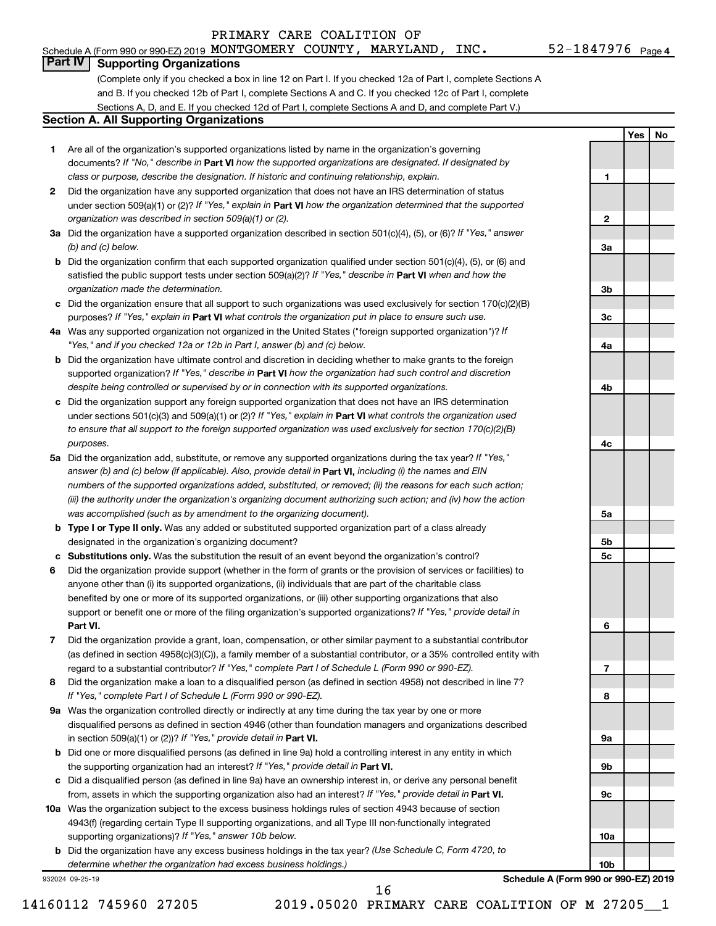### Schedule A (Form 990 or 990-EZ) 2019 MONTGOMERY COUNTY, MARYLAND, INC.  $52\text{--}1847976$   $_\text{Page}$

**1**

**2**

**3a**

**3b**

**3c**

**4a**

**4b**

**4c**

**5a**

**5b 5c**

**6**

**7**

**8**

**9a**

**9b**

**9c**

**10a**

**10b**

**Yes No**

### **Part IV Supporting Organizations**

(Complete only if you checked a box in line 12 on Part I. If you checked 12a of Part I, complete Sections A and B. If you checked 12b of Part I, complete Sections A and C. If you checked 12c of Part I, complete Sections A, D, and E. If you checked 12d of Part I, complete Sections A and D, and complete Part V.)

#### **Section A. All Supporting Organizations**

- **1** Are all of the organization's supported organizations listed by name in the organization's governing documents? If "No," describe in Part VI how the supported organizations are designated. If designated by *class or purpose, describe the designation. If historic and continuing relationship, explain.*
- **2** Did the organization have any supported organization that does not have an IRS determination of status under section 509(a)(1) or (2)? If "Yes," explain in Part **VI** how the organization determined that the supported *organization was described in section 509(a)(1) or (2).*
- **3a** Did the organization have a supported organization described in section 501(c)(4), (5), or (6)? If "Yes," answer *(b) and (c) below.*
- **b** Did the organization confirm that each supported organization qualified under section 501(c)(4), (5), or (6) and satisfied the public support tests under section 509(a)(2)? If "Yes," describe in Part VI when and how the *organization made the determination.*
- **c** Did the organization ensure that all support to such organizations was used exclusively for section 170(c)(2)(B) purposes? If "Yes," explain in Part VI what controls the organization put in place to ensure such use.
- **4 a** *If* Was any supported organization not organized in the United States ("foreign supported organization")? *"Yes," and if you checked 12a or 12b in Part I, answer (b) and (c) below.*
- **b** Did the organization have ultimate control and discretion in deciding whether to make grants to the foreign supported organization? If "Yes," describe in Part VI how the organization had such control and discretion *despite being controlled or supervised by or in connection with its supported organizations.*
- **c** Did the organization support any foreign supported organization that does not have an IRS determination under sections 501(c)(3) and 509(a)(1) or (2)? If "Yes," explain in Part VI what controls the organization used *to ensure that all support to the foreign supported organization was used exclusively for section 170(c)(2)(B) purposes.*
- **5a** Did the organization add, substitute, or remove any supported organizations during the tax year? If "Yes," answer (b) and (c) below (if applicable). Also, provide detail in **Part VI,** including (i) the names and EIN *numbers of the supported organizations added, substituted, or removed; (ii) the reasons for each such action; (iii) the authority under the organization's organizing document authorizing such action; and (iv) how the action was accomplished (such as by amendment to the organizing document).*
- **b** Type I or Type II only. Was any added or substituted supported organization part of a class already designated in the organization's organizing document?
- **c Substitutions only.**  Was the substitution the result of an event beyond the organization's control?
- **6** Did the organization provide support (whether in the form of grants or the provision of services or facilities) to **Part VI.** support or benefit one or more of the filing organization's supported organizations? If "Yes," provide detail in anyone other than (i) its supported organizations, (ii) individuals that are part of the charitable class benefited by one or more of its supported organizations, or (iii) other supporting organizations that also
- **7** Did the organization provide a grant, loan, compensation, or other similar payment to a substantial contributor regard to a substantial contributor? If "Yes," complete Part I of Schedule L (Form 990 or 990-EZ). (as defined in section 4958(c)(3)(C)), a family member of a substantial contributor, or a 35% controlled entity with
- **8** Did the organization make a loan to a disqualified person (as defined in section 4958) not described in line 7? *If "Yes," complete Part I of Schedule L (Form 990 or 990-EZ).*
- **9 a** Was the organization controlled directly or indirectly at any time during the tax year by one or more in section 509(a)(1) or (2))? If "Yes," provide detail in **Part VI.** disqualified persons as defined in section 4946 (other than foundation managers and organizations described
- **b** Did one or more disqualified persons (as defined in line 9a) hold a controlling interest in any entity in which the supporting organization had an interest? If "Yes," provide detail in Part VI.
- **c** Did a disqualified person (as defined in line 9a) have an ownership interest in, or derive any personal benefit from, assets in which the supporting organization also had an interest? If "Yes," provide detail in Part VI.
- **10 a** Was the organization subject to the excess business holdings rules of section 4943 because of section supporting organizations)? If "Yes," answer 10b below. 4943(f) (regarding certain Type II supporting organizations, and all Type III non-functionally integrated
	- **b** Did the organization have any excess business holdings in the tax year? (Use Schedule C, Form 4720, to *determine whether the organization had excess business holdings.)*

932024 09-25-19

**Schedule A (Form 990 or 990-EZ) 2019**

16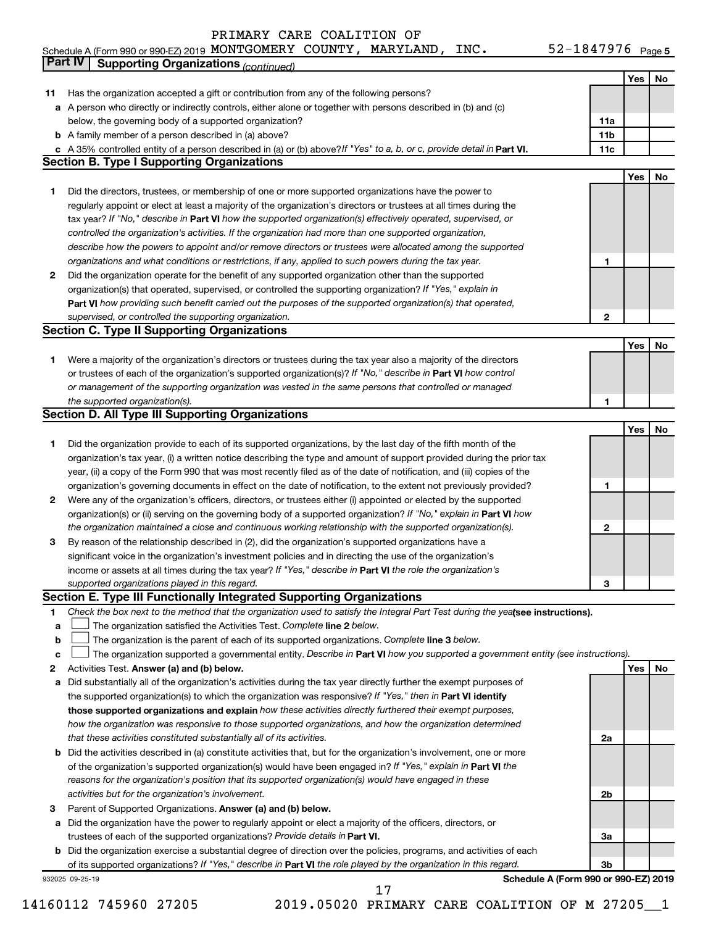52-1847976 Page 5 Schedule A (Form 990 or 990-EZ) 2019 MONTGOMERY COUNTY, MARYLAND, INC.  $52\text{--}1847976$   $_\text{Page}$ 

|    | Part IV<br><b>Supporting Organizations (continued)</b>                                                                                                                                                                           |                 |     |    |
|----|----------------------------------------------------------------------------------------------------------------------------------------------------------------------------------------------------------------------------------|-----------------|-----|----|
|    |                                                                                                                                                                                                                                  |                 | Yes | No |
| 11 | Has the organization accepted a gift or contribution from any of the following persons?                                                                                                                                          |                 |     |    |
|    | a A person who directly or indirectly controls, either alone or together with persons described in (b) and (c)                                                                                                                   |                 |     |    |
|    | below, the governing body of a supported organization?                                                                                                                                                                           | 11a             |     |    |
|    | <b>b</b> A family member of a person described in (a) above?                                                                                                                                                                     | 11 <sub>b</sub> |     |    |
|    | c A 35% controlled entity of a person described in (a) or (b) above? If "Yes" to a, b, or c, provide detail in Part VI.                                                                                                          | 11c             |     |    |
|    | <b>Section B. Type I Supporting Organizations</b>                                                                                                                                                                                |                 |     |    |
|    |                                                                                                                                                                                                                                  |                 | Yes | No |
| 1  | Did the directors, trustees, or membership of one or more supported organizations have the power to                                                                                                                              |                 |     |    |
|    | regularly appoint or elect at least a majority of the organization's directors or trustees at all times during the                                                                                                               |                 |     |    |
|    | tax year? If "No," describe in Part VI how the supported organization(s) effectively operated, supervised, or                                                                                                                    |                 |     |    |
|    | controlled the organization's activities. If the organization had more than one supported organization,                                                                                                                          |                 |     |    |
|    | describe how the powers to appoint and/or remove directors or trustees were allocated among the supported                                                                                                                        |                 |     |    |
|    | organizations and what conditions or restrictions, if any, applied to such powers during the tax year.                                                                                                                           | 1               |     |    |
| 2  | Did the organization operate for the benefit of any supported organization other than the supported                                                                                                                              |                 |     |    |
|    | organization(s) that operated, supervised, or controlled the supporting organization? If "Yes," explain in                                                                                                                       |                 |     |    |
|    | Part VI how providing such benefit carried out the purposes of the supported organization(s) that operated,                                                                                                                      |                 |     |    |
|    | supervised, or controlled the supporting organization.                                                                                                                                                                           | 2               |     |    |
|    | <b>Section C. Type II Supporting Organizations</b>                                                                                                                                                                               |                 |     |    |
|    |                                                                                                                                                                                                                                  |                 | Yes | No |
| 1  | Were a majority of the organization's directors or trustees during the tax year also a majority of the directors                                                                                                                 |                 |     |    |
|    | or trustees of each of the organization's supported organization(s)? If "No," describe in Part VI how control                                                                                                                    |                 |     |    |
|    | or management of the supporting organization was vested in the same persons that controlled or managed                                                                                                                           |                 |     |    |
|    | the supported organization(s).                                                                                                                                                                                                   | 1               |     |    |
|    | <b>Section D. All Type III Supporting Organizations</b>                                                                                                                                                                          |                 |     |    |
|    |                                                                                                                                                                                                                                  |                 | Yes | No |
| 1  | Did the organization provide to each of its supported organizations, by the last day of the fifth month of the                                                                                                                   |                 |     |    |
|    | organization's tax year, (i) a written notice describing the type and amount of support provided during the prior tax                                                                                                            |                 |     |    |
|    | year, (ii) a copy of the Form 990 that was most recently filed as of the date of notification, and (iii) copies of the                                                                                                           |                 |     |    |
|    | organization's governing documents in effect on the date of notification, to the extent not previously provided?                                                                                                                 | 1               |     |    |
| 2  | Were any of the organization's officers, directors, or trustees either (i) appointed or elected by the supported                                                                                                                 |                 |     |    |
|    | organization(s) or (ii) serving on the governing body of a supported organization? If "No," explain in Part VI how                                                                                                               |                 |     |    |
|    | the organization maintained a close and continuous working relationship with the supported organization(s).                                                                                                                      | 2               |     |    |
| 3  | By reason of the relationship described in (2), did the organization's supported organizations have a                                                                                                                            |                 |     |    |
|    | significant voice in the organization's investment policies and in directing the use of the organization's                                                                                                                       |                 |     |    |
|    | income or assets at all times during the tax year? If "Yes," describe in Part VI the role the organization's                                                                                                                     |                 |     |    |
|    | supported organizations played in this regard.                                                                                                                                                                                   | з               |     |    |
|    | Section E. Type III Functionally Integrated Supporting Organizations                                                                                                                                                             |                 |     |    |
| 1  | Check the box next to the method that the organization used to satisfy the Integral Part Test during the yealsee instructions).                                                                                                  |                 |     |    |
| a  | The organization satisfied the Activities Test. Complete line 2 below.                                                                                                                                                           |                 |     |    |
| b  | The organization is the parent of each of its supported organizations. Complete line 3 below.                                                                                                                                    |                 |     |    |
| c  | The organization supported a governmental entity. Describe in Part VI how you supported a government entity (see instructions).                                                                                                  |                 |     |    |
| 2  | Activities Test. Answer (a) and (b) below.                                                                                                                                                                                       |                 | Yes | No |
| а  | Did substantially all of the organization's activities during the tax year directly further the exempt purposes of<br>the supported organization(s) to which the organization was responsive? If "Yes," then in Part VI identify |                 |     |    |
|    | those supported organizations and explain how these activities directly furthered their exempt purposes,                                                                                                                         |                 |     |    |
|    |                                                                                                                                                                                                                                  |                 |     |    |
|    | how the organization was responsive to those supported organizations, and how the organization determined<br>that these activities constituted substantially all of its activities.                                              | 2a              |     |    |
| b  | Did the activities described in (a) constitute activities that, but for the organization's involvement, one or more                                                                                                              |                 |     |    |
|    | of the organization's supported organization(s) would have been engaged in? If "Yes," explain in Part VI the                                                                                                                     |                 |     |    |
|    | reasons for the organization's position that its supported organization(s) would have engaged in these                                                                                                                           |                 |     |    |
|    | activities but for the organization's involvement.                                                                                                                                                                               | 2b              |     |    |
| з  | Parent of Supported Organizations. Answer (a) and (b) below.                                                                                                                                                                     |                 |     |    |
| а  | Did the organization have the power to regularly appoint or elect a majority of the officers, directors, or                                                                                                                      |                 |     |    |
|    | trustees of each of the supported organizations? Provide details in Part VI.                                                                                                                                                     | За              |     |    |
|    | <b>b</b> Did the organization exercise a substantial degree of direction over the policies, programs, and activities of each                                                                                                     |                 |     |    |
|    | of its supported organizations? If "Yes," describe in Part VI the role played by the organization in this regard.                                                                                                                | 3b              |     |    |
|    | Schedule A (Form 990 or 990-EZ) 2019<br>932025 09-25-19                                                                                                                                                                          |                 |     |    |
|    | 17                                                                                                                                                                                                                               |                 |     |    |

14160112 745960 27205 2019.05020 PRIMARY CARE COALITION OF M 27205\_\_1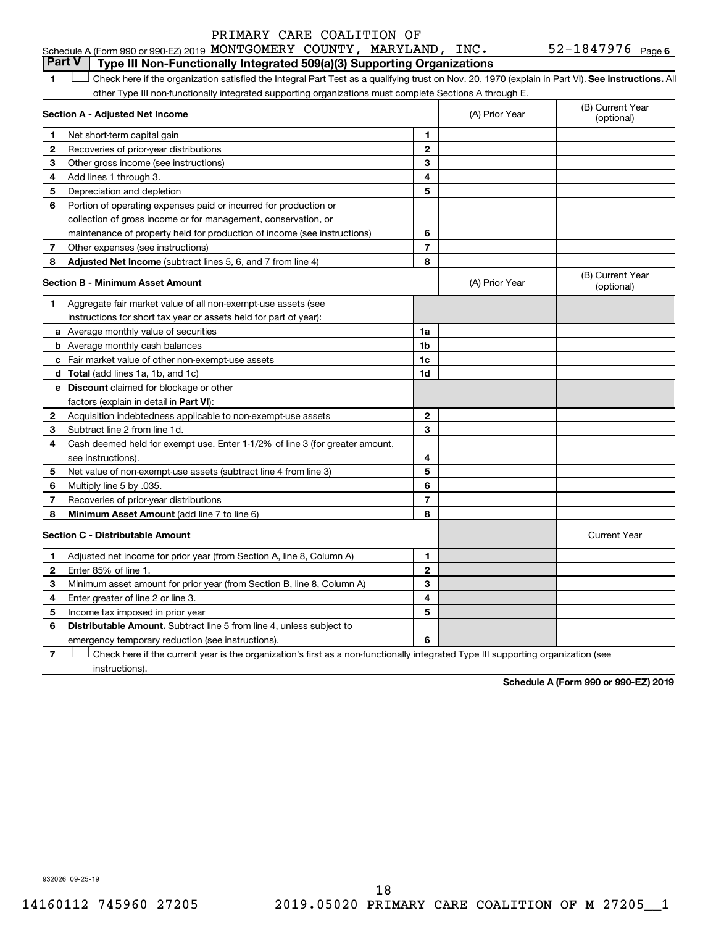## 1 **Letter See instructions.** All Check here if the organization satisfied the Integral Part Test as a qualifying trust on Nov. 20, 1970 (explain in Part VI). See instructions. All **Part V Type III Non-Functionally Integrated 509(a)(3) Supporting Organizations**

other Type III non-functionally integrated supporting organizations must complete Sections A through E.

|              | Section A - Adjusted Net Income                                                  |                | (A) Prior Year | (B) Current Year<br>(optional) |
|--------------|----------------------------------------------------------------------------------|----------------|----------------|--------------------------------|
| 1.           | Net short-term capital gain                                                      | 1              |                |                                |
| 2            | Recoveries of prior-year distributions                                           | $\overline{2}$ |                |                                |
| 3            | Other gross income (see instructions)                                            | 3              |                |                                |
| 4            | Add lines 1 through 3.                                                           | 4              |                |                                |
| 5            | Depreciation and depletion                                                       | 5              |                |                                |
| 6            | Portion of operating expenses paid or incurred for production or                 |                |                |                                |
|              | collection of gross income or for management, conservation, or                   |                |                |                                |
|              | maintenance of property held for production of income (see instructions)         | 6              |                |                                |
| 7            | Other expenses (see instructions)                                                | $\overline{7}$ |                |                                |
| 8            | Adjusted Net Income (subtract lines 5, 6, and 7 from line 4)                     | 8              |                |                                |
|              | <b>Section B - Minimum Asset Amount</b>                                          |                | (A) Prior Year | (B) Current Year<br>(optional) |
| 1.           | Aggregate fair market value of all non-exempt-use assets (see                    |                |                |                                |
|              | instructions for short tax year or assets held for part of year):                |                |                |                                |
|              | a Average monthly value of securities                                            | 1a             |                |                                |
|              | <b>b</b> Average monthly cash balances                                           | 1b             |                |                                |
|              | <b>c</b> Fair market value of other non-exempt-use assets                        | 1c             |                |                                |
|              | d Total (add lines 1a, 1b, and 1c)                                               | 1d             |                |                                |
|              | e Discount claimed for blockage or other                                         |                |                |                                |
|              | factors (explain in detail in <b>Part VI</b> ):                                  |                |                |                                |
| 2            | Acquisition indebtedness applicable to non-exempt-use assets                     | $\mathbf{2}$   |                |                                |
| 3            | Subtract line 2 from line 1d.                                                    | 3              |                |                                |
| 4            | Cash deemed held for exempt use. Enter 1-1/2% of line 3 (for greater amount,     |                |                |                                |
|              | see instructions).                                                               | 4              |                |                                |
| 5            | Net value of non-exempt-use assets (subtract line 4 from line 3)                 | 5              |                |                                |
| 6            | Multiply line 5 by .035.                                                         | 6              |                |                                |
| 7            | Recoveries of prior-year distributions                                           | 7              |                |                                |
| 8            | Minimum Asset Amount (add line 7 to line 6)                                      | 8              |                |                                |
|              | <b>Section C - Distributable Amount</b>                                          |                |                | <b>Current Year</b>            |
| 1            | Adjusted net income for prior year (from Section A, line 8, Column A)            | 1              |                |                                |
| $\mathbf{2}$ | Enter 85% of line 1.                                                             | 2              |                |                                |
| З            | Minimum asset amount for prior year (from Section B, line 8, Column A)           | з              |                |                                |
| 4            | Enter greater of line 2 or line 3.                                               | 4              |                |                                |
| 5            | Income tax imposed in prior year                                                 | 5              |                |                                |
| 6            | <b>Distributable Amount.</b> Subtract line 5 from line 4, unless subject to      |                |                |                                |
|              | emergency temporary reduction (see instructions).                                | 6              |                |                                |
| –            | Observation of the contract of the co-<br>and a said of the north and<br>$-11.1$ |                |                |                                |

**7** Check here if the current year is the organization's first as a non-functionally integrated Type III supporting organization (see † instructions).

**Schedule A (Form 990 or 990-EZ) 2019**

932026 09-25-19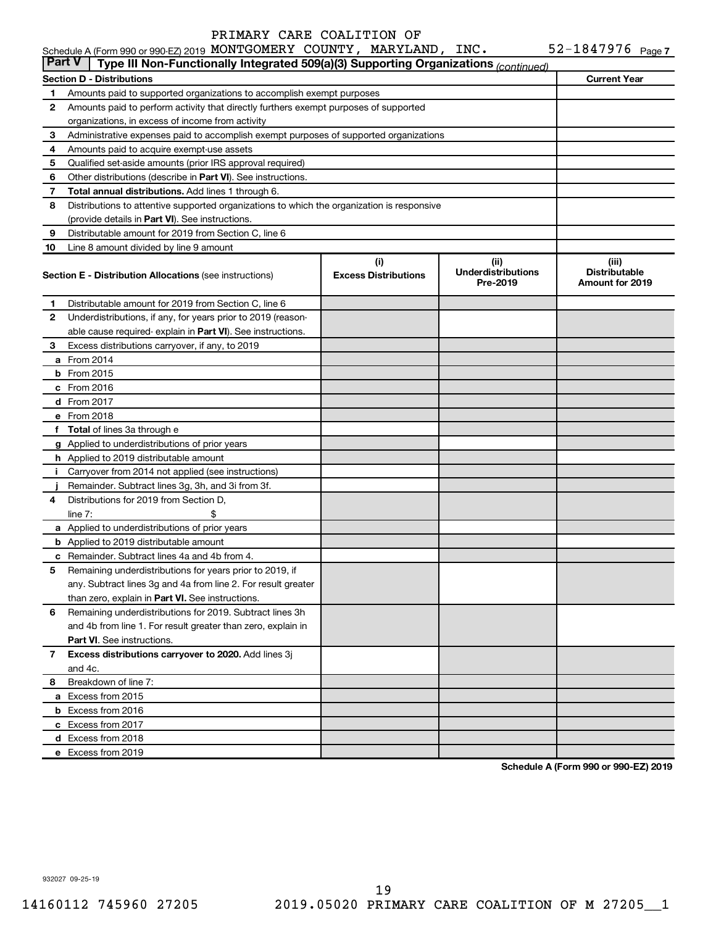|               | Schedule A (Form 990 or 990-EZ) 2019 MONTGOMERY COUNTY, MARYLAND, INC.                     |                                    |                                               | 52-1847976 $_{Page 7}$                                  |
|---------------|--------------------------------------------------------------------------------------------|------------------------------------|-----------------------------------------------|---------------------------------------------------------|
| <b>Part V</b> | Type III Non-Functionally Integrated 509(a)(3) Supporting Organizations (continued)        |                                    |                                               |                                                         |
|               | <b>Section D - Distributions</b>                                                           |                                    |                                               | <b>Current Year</b>                                     |
| 1             | Amounts paid to supported organizations to accomplish exempt purposes                      |                                    |                                               |                                                         |
| 2             | Amounts paid to perform activity that directly furthers exempt purposes of supported       |                                    |                                               |                                                         |
|               | organizations, in excess of income from activity                                           |                                    |                                               |                                                         |
| 3             | Administrative expenses paid to accomplish exempt purposes of supported organizations      |                                    |                                               |                                                         |
| 4             | Amounts paid to acquire exempt-use assets                                                  |                                    |                                               |                                                         |
| 5             | Qualified set-aside amounts (prior IRS approval required)                                  |                                    |                                               |                                                         |
| 6             | Other distributions (describe in Part VI). See instructions.                               |                                    |                                               |                                                         |
| 7             | Total annual distributions. Add lines 1 through 6.                                         |                                    |                                               |                                                         |
| 8             | Distributions to attentive supported organizations to which the organization is responsive |                                    |                                               |                                                         |
|               | (provide details in Part VI). See instructions.                                            |                                    |                                               |                                                         |
| 9             | Distributable amount for 2019 from Section C, line 6                                       |                                    |                                               |                                                         |
| 10            | Line 8 amount divided by line 9 amount                                                     |                                    |                                               |                                                         |
|               | <b>Section E - Distribution Allocations (see instructions)</b>                             | (i)<br><b>Excess Distributions</b> | (ii)<br><b>Underdistributions</b><br>Pre-2019 | (iii)<br><b>Distributable</b><br><b>Amount for 2019</b> |
| 1             | Distributable amount for 2019 from Section C, line 6                                       |                                    |                                               |                                                         |
| 2             | Underdistributions, if any, for years prior to 2019 (reason-                               |                                    |                                               |                                                         |
|               | able cause required- explain in Part VI). See instructions.                                |                                    |                                               |                                                         |
| 3             | Excess distributions carryover, if any, to 2019                                            |                                    |                                               |                                                         |
|               | a From 2014                                                                                |                                    |                                               |                                                         |
|               | <b>b</b> From 2015                                                                         |                                    |                                               |                                                         |
|               | c From 2016                                                                                |                                    |                                               |                                                         |
|               | d From 2017                                                                                |                                    |                                               |                                                         |
|               | e From 2018                                                                                |                                    |                                               |                                                         |
|               | f Total of lines 3a through e                                                              |                                    |                                               |                                                         |
|               | g Applied to underdistributions of prior years                                             |                                    |                                               |                                                         |
|               | h Applied to 2019 distributable amount                                                     |                                    |                                               |                                                         |
| Ť.            | Carryover from 2014 not applied (see instructions)                                         |                                    |                                               |                                                         |
|               | Remainder. Subtract lines 3g, 3h, and 3i from 3f.                                          |                                    |                                               |                                                         |
| 4             | Distributions for 2019 from Section D,                                                     |                                    |                                               |                                                         |
|               | line $7:$                                                                                  |                                    |                                               |                                                         |
|               | a Applied to underdistributions of prior years                                             |                                    |                                               |                                                         |
|               | <b>b</b> Applied to 2019 distributable amount                                              |                                    |                                               |                                                         |
|               | c Remainder. Subtract lines 4a and 4b from 4.                                              |                                    |                                               |                                                         |
|               | 5 Remaining underdistributions for years prior to 2019, if                                 |                                    |                                               |                                                         |
|               | any. Subtract lines 3g and 4a from line 2. For result greater                              |                                    |                                               |                                                         |
|               | than zero, explain in Part VI. See instructions.                                           |                                    |                                               |                                                         |
| 6             | Remaining underdistributions for 2019. Subtract lines 3h                                   |                                    |                                               |                                                         |
|               | and 4b from line 1. For result greater than zero, explain in                               |                                    |                                               |                                                         |
|               | <b>Part VI.</b> See instructions.                                                          |                                    |                                               |                                                         |
| 7             | Excess distributions carryover to 2020. Add lines 3j                                       |                                    |                                               |                                                         |
|               | and 4c.                                                                                    |                                    |                                               |                                                         |
| 8             | Breakdown of line 7:                                                                       |                                    |                                               |                                                         |
|               | a Excess from 2015                                                                         |                                    |                                               |                                                         |
|               | <b>b</b> Excess from 2016                                                                  |                                    |                                               |                                                         |
|               | c Excess from 2017                                                                         |                                    |                                               |                                                         |
|               | d Excess from 2018                                                                         |                                    |                                               |                                                         |
|               | e Excess from 2019                                                                         |                                    |                                               |                                                         |

**Schedule A (Form 990 or 990-EZ) 2019**

932027 09-25-19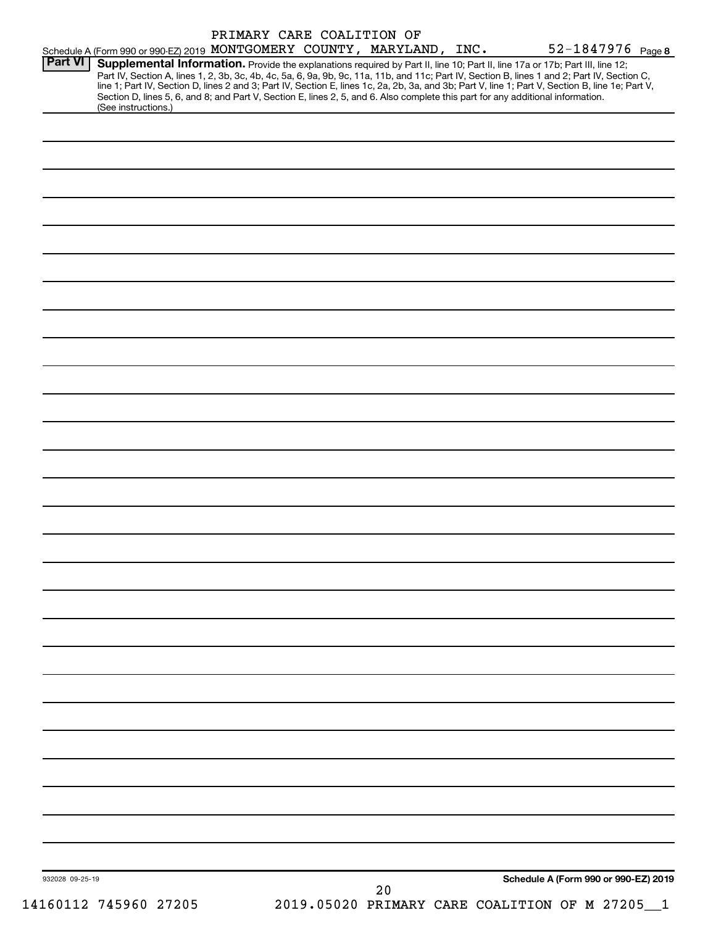|                 | Schedule A (Form 990 or 990-EZ) 2019 MONTGOMERY COUNTY, MARYLAND, INC.                                                                                                                                                                                                                  |  |    |  | 52-1847976 Page 8                                                                                                                                                                                                                                                                                |
|-----------------|-----------------------------------------------------------------------------------------------------------------------------------------------------------------------------------------------------------------------------------------------------------------------------------------|--|----|--|--------------------------------------------------------------------------------------------------------------------------------------------------------------------------------------------------------------------------------------------------------------------------------------------------|
| <b>Part VI</b>  | Supplemental Information. Provide the explanations required by Part II, line 10; Part II, line 17a or 17b; Part III, line 12;<br>Section D, lines 5, 6, and 8; and Part V, Section E, lines 2, 5, and 6. Also complete this part for any additional information.<br>(See instructions.) |  |    |  | Part IV, Section A, lines 1, 2, 3b, 3c, 4b, 4c, 5a, 6, 9a, 9b, 9c, 11a, 11b, and 11c; Part IV, Section B, lines 1 and 2; Part IV, Section C,<br>line 1; Part IV, Section D, lines 2 and 3; Part IV, Section E, lines 1c, 2a, 2b, 3a, and 3b; Part V, line 1; Part V, Section B, line 1e; Part V, |
|                 |                                                                                                                                                                                                                                                                                         |  |    |  |                                                                                                                                                                                                                                                                                                  |
|                 |                                                                                                                                                                                                                                                                                         |  |    |  |                                                                                                                                                                                                                                                                                                  |
|                 |                                                                                                                                                                                                                                                                                         |  |    |  |                                                                                                                                                                                                                                                                                                  |
|                 |                                                                                                                                                                                                                                                                                         |  |    |  |                                                                                                                                                                                                                                                                                                  |
|                 |                                                                                                                                                                                                                                                                                         |  |    |  |                                                                                                                                                                                                                                                                                                  |
|                 |                                                                                                                                                                                                                                                                                         |  |    |  |                                                                                                                                                                                                                                                                                                  |
|                 |                                                                                                                                                                                                                                                                                         |  |    |  |                                                                                                                                                                                                                                                                                                  |
|                 |                                                                                                                                                                                                                                                                                         |  |    |  |                                                                                                                                                                                                                                                                                                  |
|                 |                                                                                                                                                                                                                                                                                         |  |    |  |                                                                                                                                                                                                                                                                                                  |
|                 |                                                                                                                                                                                                                                                                                         |  |    |  |                                                                                                                                                                                                                                                                                                  |
|                 |                                                                                                                                                                                                                                                                                         |  |    |  |                                                                                                                                                                                                                                                                                                  |
|                 |                                                                                                                                                                                                                                                                                         |  |    |  |                                                                                                                                                                                                                                                                                                  |
|                 |                                                                                                                                                                                                                                                                                         |  |    |  |                                                                                                                                                                                                                                                                                                  |
|                 |                                                                                                                                                                                                                                                                                         |  |    |  |                                                                                                                                                                                                                                                                                                  |
|                 |                                                                                                                                                                                                                                                                                         |  |    |  |                                                                                                                                                                                                                                                                                                  |
|                 |                                                                                                                                                                                                                                                                                         |  |    |  |                                                                                                                                                                                                                                                                                                  |
|                 |                                                                                                                                                                                                                                                                                         |  |    |  |                                                                                                                                                                                                                                                                                                  |
|                 |                                                                                                                                                                                                                                                                                         |  |    |  |                                                                                                                                                                                                                                                                                                  |
|                 |                                                                                                                                                                                                                                                                                         |  |    |  |                                                                                                                                                                                                                                                                                                  |
|                 |                                                                                                                                                                                                                                                                                         |  |    |  |                                                                                                                                                                                                                                                                                                  |
|                 |                                                                                                                                                                                                                                                                                         |  |    |  |                                                                                                                                                                                                                                                                                                  |
|                 |                                                                                                                                                                                                                                                                                         |  |    |  |                                                                                                                                                                                                                                                                                                  |
|                 |                                                                                                                                                                                                                                                                                         |  |    |  |                                                                                                                                                                                                                                                                                                  |
|                 |                                                                                                                                                                                                                                                                                         |  |    |  |                                                                                                                                                                                                                                                                                                  |
|                 |                                                                                                                                                                                                                                                                                         |  |    |  |                                                                                                                                                                                                                                                                                                  |
|                 |                                                                                                                                                                                                                                                                                         |  |    |  |                                                                                                                                                                                                                                                                                                  |
|                 |                                                                                                                                                                                                                                                                                         |  |    |  |                                                                                                                                                                                                                                                                                                  |
|                 |                                                                                                                                                                                                                                                                                         |  |    |  |                                                                                                                                                                                                                                                                                                  |
|                 |                                                                                                                                                                                                                                                                                         |  |    |  |                                                                                                                                                                                                                                                                                                  |
|                 |                                                                                                                                                                                                                                                                                         |  |    |  |                                                                                                                                                                                                                                                                                                  |
|                 |                                                                                                                                                                                                                                                                                         |  |    |  |                                                                                                                                                                                                                                                                                                  |
| 932028 09-25-19 |                                                                                                                                                                                                                                                                                         |  |    |  | Schedule A (Form 990 or 990-EZ) 2019                                                                                                                                                                                                                                                             |
|                 | 14160112 745960 27205                                                                                                                                                                                                                                                                   |  | 20 |  | 2019.05020 PRIMARY CARE COALITION OF M 27205                                                                                                                                                                                                                                                     |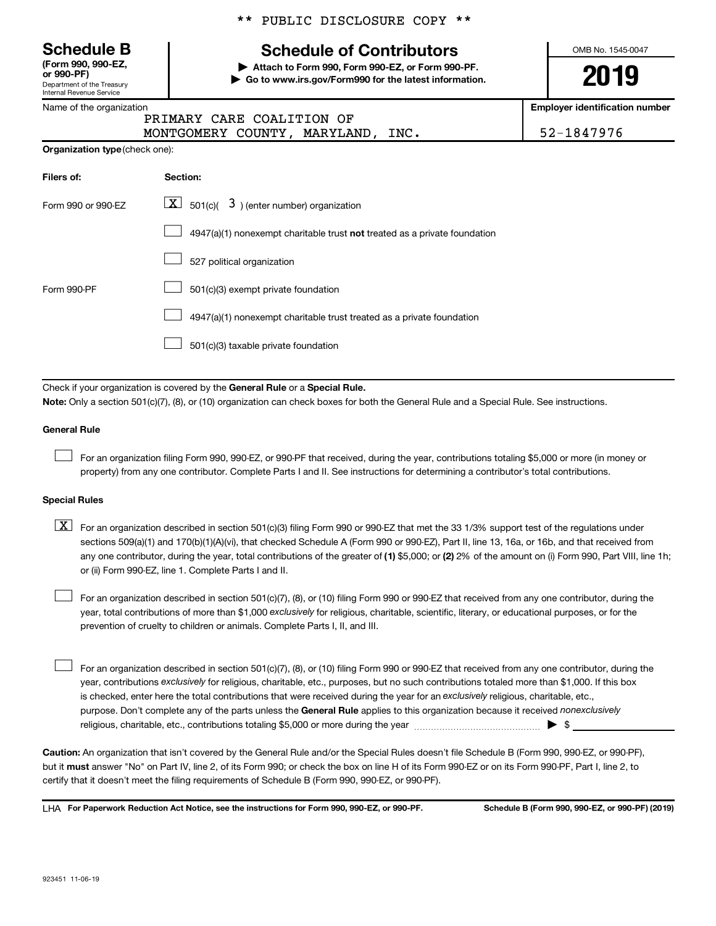Department of the Treasury Internal Revenue Service **(Form 990, 990-EZ,**

|  | Name of the organization |
|--|--------------------------|
|  |                          |

### \*\* PUBLIC DISCLOSURE COPY \*\*

# **Schedule B Schedule of Contributors**

**or 990-PF) | Attach to Form 990, Form 990-EZ, or Form 990-PF. | Go to www.irs.gov/Form990 for the latest information.** OMB No. 1545-0047

**2019**

**Employer identification number**

|                                | PRIMARY CARE COALITION OF<br>MONTGOMERY COUNTY, MARYLAND, INC.                     | 52-1847976 |
|--------------------------------|------------------------------------------------------------------------------------|------------|
| Organization type (check one): |                                                                                    |            |
| Filers of:                     | Section:                                                                           |            |
| Form 990 or 990-EZ             | $\lfloor \underline{X} \rfloor$ 501(c)( 3) (enter number) organization             |            |
|                                | $4947(a)(1)$ nonexempt charitable trust <b>not</b> treated as a private foundation |            |
|                                | 527 political organization                                                         |            |
| Form 990-PF                    | 501(c)(3) exempt private foundation                                                |            |
|                                | 4947(a)(1) nonexempt charitable trust treated as a private foundation              |            |
|                                | 501(c)(3) taxable private foundation                                               |            |
|                                |                                                                                    |            |
|                                | Check if your organization is covered by the General Rule or a Special Rule.       |            |

**Note:**  Only a section 501(c)(7), (8), or (10) organization can check boxes for both the General Rule and a Special Rule. See instructions.

#### **General Rule**

 $\Box$ 

For an organization filing Form 990, 990-EZ, or 990-PF that received, during the year, contributions totaling \$5,000 or more (in money or property) from any one contributor. Complete Parts I and II. See instructions for determining a contributor's total contributions.

#### **Special Rules**

any one contributor, during the year, total contributions of the greater of (1) \$5,000; or (2) 2% of the amount on (i) Form 990, Part VIII, line 1h;  $\boxed{\text{X}}$  For an organization described in section 501(c)(3) filing Form 990 or 990-EZ that met the 33 1/3% support test of the regulations under sections 509(a)(1) and 170(b)(1)(A)(vi), that checked Schedule A (Form 990 or 990-EZ), Part II, line 13, 16a, or 16b, and that received from or (ii) Form 990-EZ, line 1. Complete Parts I and II.

year, total contributions of more than \$1,000 *exclusively* for religious, charitable, scientific, literary, or educational purposes, or for the For an organization described in section 501(c)(7), (8), or (10) filing Form 990 or 990-EZ that received from any one contributor, during the prevention of cruelty to children or animals. Complete Parts I, II, and III.  $\Box$ 

purpose. Don't complete any of the parts unless the General Rule applies to this organization because it received nonexclusively year, contributions exclusively for religious, charitable, etc., purposes, but no such contributions totaled more than \$1,000. If this box is checked, enter here the total contributions that were received during the year for an exclusively religious, charitable, etc., For an organization described in section 501(c)(7), (8), or (10) filing Form 990 or 990-EZ that received from any one contributor, during the religious, charitable, etc., contributions totaling \$5,000 or more during the year  $\ldots$  $\ldots$  $\ldots$  $\ldots$  $\ldots$  $\ldots$  $\Box$ 

**Caution:**  An organization that isn't covered by the General Rule and/or the Special Rules doesn't file Schedule B (Form 990, 990-EZ, or 990-PF),  **must** but it answer "No" on Part IV, line 2, of its Form 990; or check the box on line H of its Form 990-EZ or on its Form 990-PF, Part I, line 2, to certify that it doesn't meet the filing requirements of Schedule B (Form 990, 990-EZ, or 990-PF).

**For Paperwork Reduction Act Notice, see the instructions for Form 990, 990-EZ, or 990-PF. Schedule B (Form 990, 990-EZ, or 990-PF) (2019)** LHA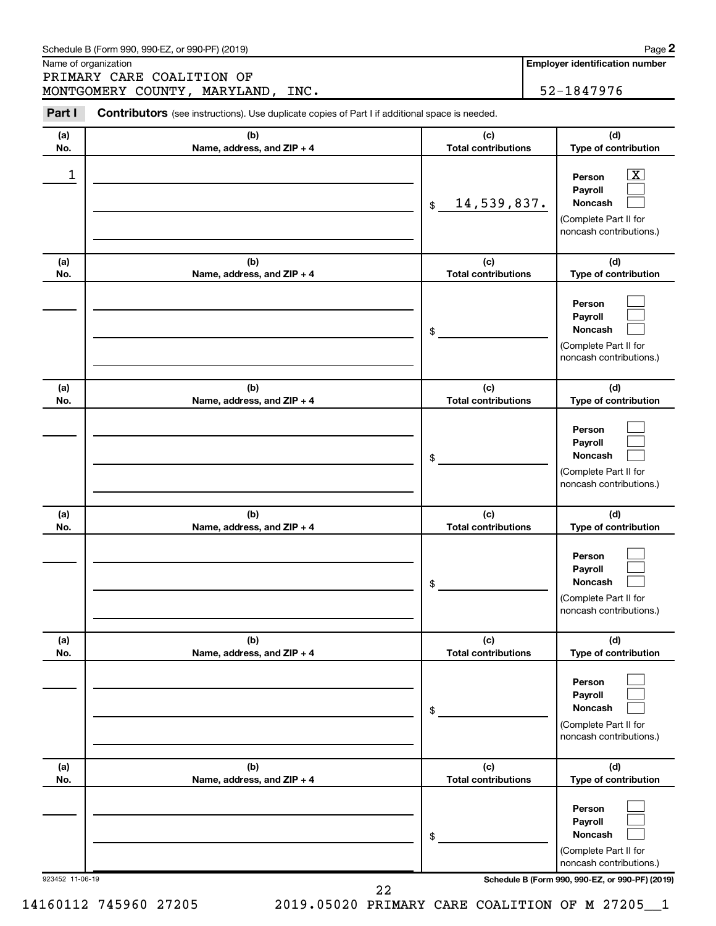|            | MONTGOMERY COUNTY, MARYLAND, INC.                                                              |                                   | 52-1847976                                                                                              |
|------------|------------------------------------------------------------------------------------------------|-----------------------------------|---------------------------------------------------------------------------------------------------------|
| Part I     | Contributors (see instructions). Use duplicate copies of Part I if additional space is needed. |                                   |                                                                                                         |
| (a)<br>No. | (b)<br>Name, address, and ZIP + 4                                                              | (c)<br><b>Total contributions</b> | (d)<br>Type of contribution                                                                             |
| 1          |                                                                                                | 14,539,837.<br>\$                 | $\lfloor x \rfloor$<br>Person<br>Payroll<br>Noncash<br>(Complete Part II for<br>noncash contributions.) |
| (a)<br>No. | (b)<br>Name, address, and ZIP + 4                                                              | (c)<br><b>Total contributions</b> | (d)<br>Type of contribution                                                                             |
|            |                                                                                                | \$                                | Person<br>Payroll<br>Noncash<br>(Complete Part II for<br>noncash contributions.)                        |
| (a)<br>No. | (b)<br>Name, address, and ZIP + 4                                                              | (c)<br><b>Total contributions</b> | (d)<br>Type of contribution                                                                             |
|            |                                                                                                | \$                                | Person<br>Payroll<br>Noncash<br>(Complete Part II for<br>noncash contributions.)                        |
| (a)<br>No. | (b)<br>Name, address, and ZIP + 4                                                              | (c)<br><b>Total contributions</b> | (d)<br>Type of contribution                                                                             |
|            |                                                                                                | \$                                | Person<br>Payroll<br>Noncash<br>(Complete Part II for<br>noncash contributions.)                        |
| (a)<br>No. | (b)<br>Name, address, and ZIP + 4                                                              | (c)<br><b>Total contributions</b> | (d)<br>Type of contribution                                                                             |
|            |                                                                                                | \$                                | Person<br>Payroll<br>Noncash<br>(Complete Part II for<br>noncash contributions.)                        |
| (a)<br>No. | (b)<br>Name, address, and ZIP + 4                                                              | (c)<br><b>Total contributions</b> | (d)<br>Type of contribution                                                                             |
|            |                                                                                                | \$                                | Person<br>Payroll<br>Noncash<br>(Complete Part II for<br>noncash contributions.)                        |

14160112 745960 27205 2019.05020 PRIMARY CARE COALITION OF M 27205\_\_1

**Employer identification number**

Schedule B (Form 990, 990-EZ, or 990-PF) (2019)

Name of organization

PRIMARY CARE COALITION OF

**2**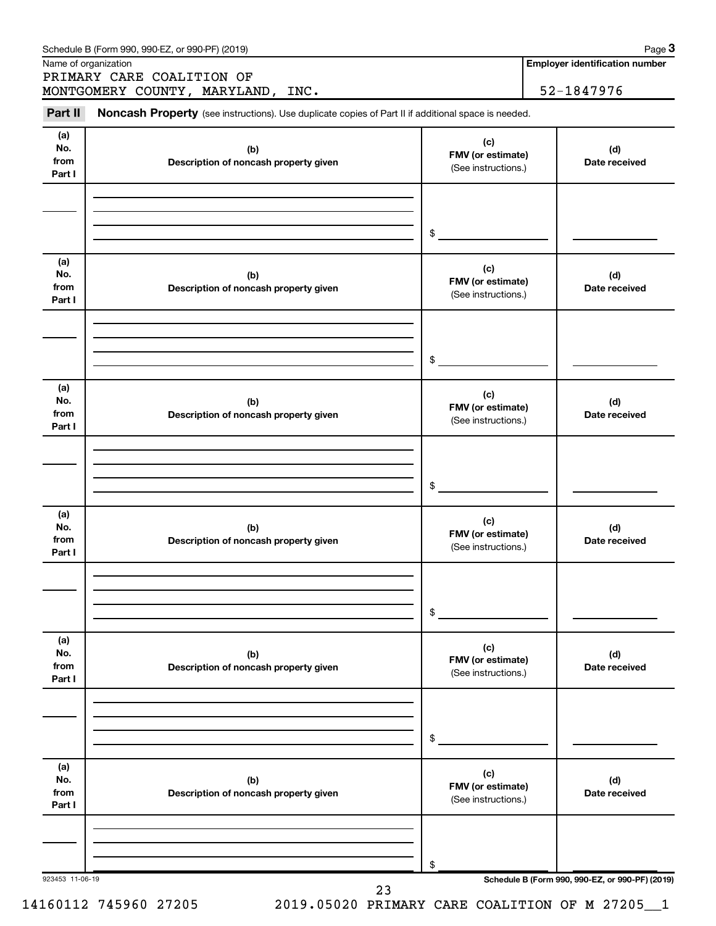|                              | MONTGOMERY COUNTY, MARYLAND, INC.                                                                   |                                                 | 52-1847976           |
|------------------------------|-----------------------------------------------------------------------------------------------------|-------------------------------------------------|----------------------|
| Part II                      | Noncash Property (see instructions). Use duplicate copies of Part II if additional space is needed. |                                                 |                      |
| (a)<br>No.<br>from           | (b)<br>Description of noncash property given                                                        | (c)<br>FMV (or estimate)<br>(See instructions.) | (d)<br>Date received |
| Part I                       |                                                                                                     |                                                 |                      |
|                              |                                                                                                     | \$                                              |                      |
| (a)<br>No.<br>from<br>Part I | (b)<br>Description of noncash property given                                                        | (c)<br>FMV (or estimate)<br>(See instructions.) | (d)<br>Date received |
|                              |                                                                                                     |                                                 |                      |
| (a)                          |                                                                                                     | \$                                              |                      |
| No.<br>from<br>Part I        | (b)<br>Description of noncash property given                                                        | (c)<br>FMV (or estimate)<br>(See instructions.) | (d)<br>Date received |
|                              |                                                                                                     | \$                                              |                      |
| (a)<br>No.<br>from<br>Part I | (b)<br>Description of noncash property given                                                        | (c)<br>FMV (or estimate)<br>(See instructions.) | (d)<br>Date received |
|                              |                                                                                                     | \$                                              |                      |
| (a)<br>No.<br>from<br>Part I | (b)<br>Description of noncash property given                                                        | (c)<br>FMV (or estimate)<br>(See instructions.) | (d)<br>Date received |
|                              |                                                                                                     | \$                                              |                      |
| (a)<br>No.<br>from<br>Part I | (b)<br>Description of noncash property given                                                        | (c)<br>FMV (or estimate)<br>(See instructions.) | (d)<br>Date received |
|                              |                                                                                                     |                                                 |                      |
|                              |                                                                                                     | \$                                              |                      |

**<sup>3</sup>**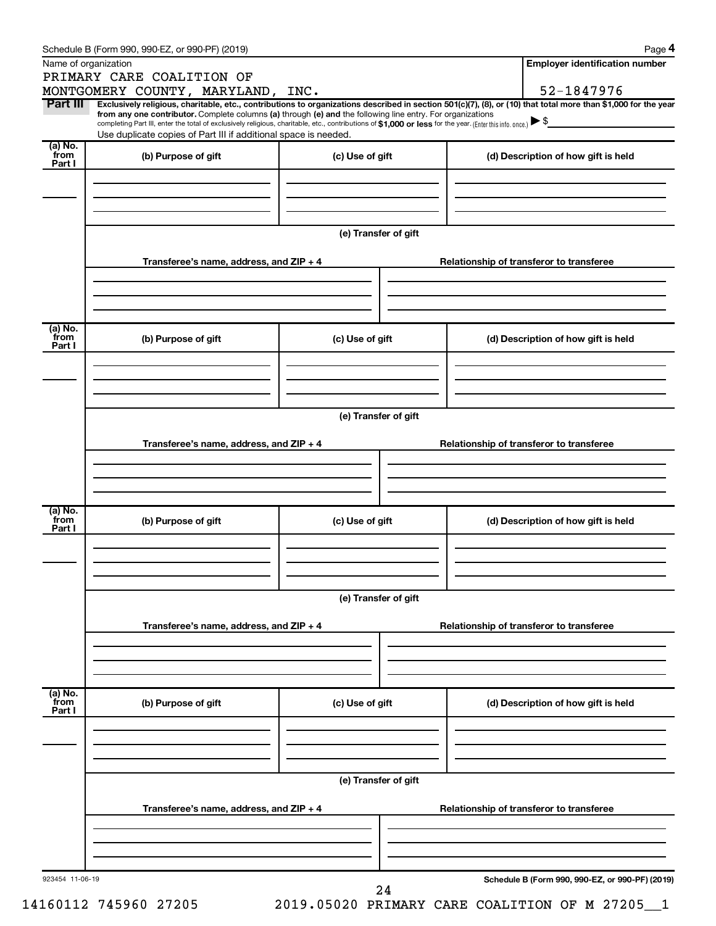| Name of organization      | PRIMARY CARE COALITION OF                                                                                                                                                                                                                                                                                                                                                                                                                                                                                   |                      | <b>Employer identification number</b>           |
|---------------------------|-------------------------------------------------------------------------------------------------------------------------------------------------------------------------------------------------------------------------------------------------------------------------------------------------------------------------------------------------------------------------------------------------------------------------------------------------------------------------------------------------------------|----------------------|-------------------------------------------------|
|                           | MONTGOMERY COUNTY, MARYLAND, INC.                                                                                                                                                                                                                                                                                                                                                                                                                                                                           |                      | 52-1847976                                      |
| Part III                  | Exclusively religious, charitable, etc., contributions to organizations described in section 501(c)(7), (8), or (10) that total more than \$1,000 for the year<br>from any one contributor. Complete columns (a) through (e) and the following line entry. For organizations<br>completing Part III, enter the total of exclusively religious, charitable, etc., contributions of \$1,000 or less for the year. (Enter this info. once.)<br>Use duplicate copies of Part III if additional space is needed. |                      |                                                 |
| (a) No.<br>from           | (b) Purpose of gift                                                                                                                                                                                                                                                                                                                                                                                                                                                                                         | (c) Use of gift      | (d) Description of how gift is held             |
| Part I                    |                                                                                                                                                                                                                                                                                                                                                                                                                                                                                                             |                      |                                                 |
|                           |                                                                                                                                                                                                                                                                                                                                                                                                                                                                                                             | (e) Transfer of gift |                                                 |
|                           | Transferee's name, address, and ZIP + 4                                                                                                                                                                                                                                                                                                                                                                                                                                                                     |                      | Relationship of transferor to transferee        |
| (a) No.                   |                                                                                                                                                                                                                                                                                                                                                                                                                                                                                                             |                      |                                                 |
| from<br>Part I            | (b) Purpose of gift                                                                                                                                                                                                                                                                                                                                                                                                                                                                                         | (c) Use of gift      | (d) Description of how gift is held             |
|                           |                                                                                                                                                                                                                                                                                                                                                                                                                                                                                                             | (e) Transfer of gift |                                                 |
|                           | Transferee's name, address, and ZIP + 4                                                                                                                                                                                                                                                                                                                                                                                                                                                                     |                      | Relationship of transferor to transferee        |
|                           |                                                                                                                                                                                                                                                                                                                                                                                                                                                                                                             |                      |                                                 |
| (a) No.<br>from<br>Part I | (b) Purpose of gift                                                                                                                                                                                                                                                                                                                                                                                                                                                                                         | (c) Use of gift      | (d) Description of how gift is held             |
|                           |                                                                                                                                                                                                                                                                                                                                                                                                                                                                                                             |                      |                                                 |
|                           |                                                                                                                                                                                                                                                                                                                                                                                                                                                                                                             | (e) Transfer of gift |                                                 |
|                           | Transferee's name, address, and ZIP + 4                                                                                                                                                                                                                                                                                                                                                                                                                                                                     |                      | Relationship of transferor to transferee        |
|                           |                                                                                                                                                                                                                                                                                                                                                                                                                                                                                                             |                      |                                                 |
| (a) No.<br>from<br>Part I | (b) Purpose of gift                                                                                                                                                                                                                                                                                                                                                                                                                                                                                         | (c) Use of gift      | (d) Description of how gift is held             |
|                           |                                                                                                                                                                                                                                                                                                                                                                                                                                                                                                             | (e) Transfer of gift |                                                 |
|                           | Transferee's name, address, and $ZIP + 4$                                                                                                                                                                                                                                                                                                                                                                                                                                                                   |                      | Relationship of transferor to transferee        |
|                           |                                                                                                                                                                                                                                                                                                                                                                                                                                                                                                             |                      |                                                 |
| 923454 11-06-19           |                                                                                                                                                                                                                                                                                                                                                                                                                                                                                                             |                      | Schedule B (Form 990, 990-EZ, or 990-PF) (2019) |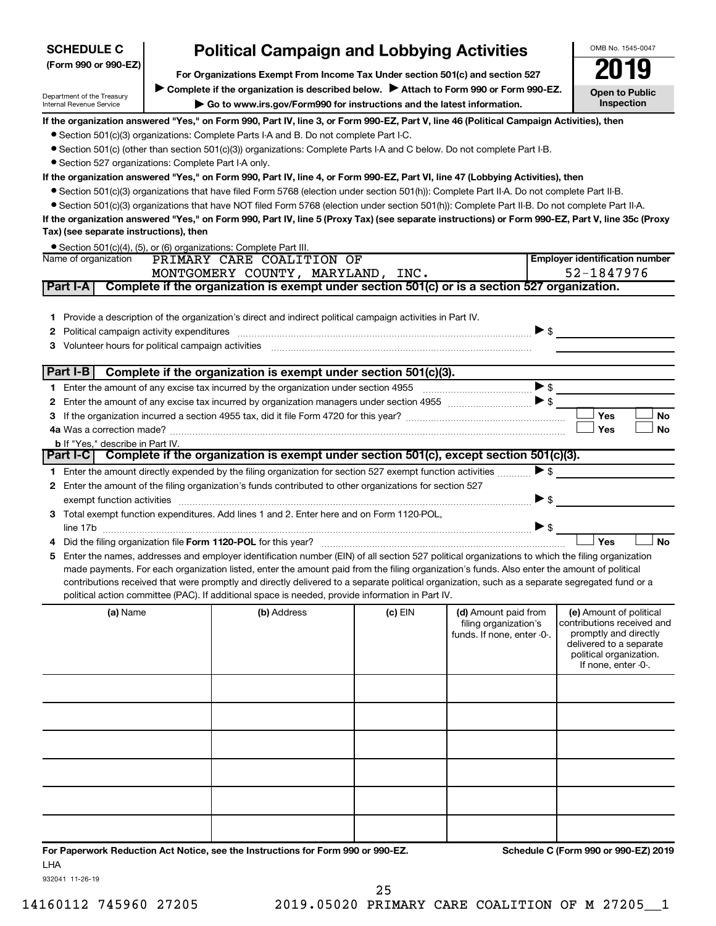| <b>Political Campaign and Lobbying Activities</b><br><b>SCHEDULE C</b> |                                                                                                                                                                                                                   |                                                                                                                                                                                                                                |           |                            | OMB No. 1545-0047        |                                                     |  |
|------------------------------------------------------------------------|-------------------------------------------------------------------------------------------------------------------------------------------------------------------------------------------------------------------|--------------------------------------------------------------------------------------------------------------------------------------------------------------------------------------------------------------------------------|-----------|----------------------------|--------------------------|-----------------------------------------------------|--|
| (Form 990 or 990-EZ)                                                   | For Organizations Exempt From Income Tax Under section 501(c) and section 527                                                                                                                                     |                                                                                                                                                                                                                                |           |                            |                          |                                                     |  |
|                                                                        |                                                                                                                                                                                                                   | Complete if the organization is described below. > Attach to Form 990 or Form 990-EZ.                                                                                                                                          |           |                            |                          | ITY                                                 |  |
| Department of the Treasury<br>Internal Revenue Service                 |                                                                                                                                                                                                                   |                                                                                                                                                                                                                                |           |                            |                          | <b>Open to Public</b><br><b>Inspection</b>          |  |
|                                                                        | Go to www.irs.gov/Form990 for instructions and the latest information.<br>If the organization answered "Yes," on Form 990, Part IV, line 3, or Form 990-EZ, Part V, line 46 (Political Campaign Activities), then |                                                                                                                                                                                                                                |           |                            |                          |                                                     |  |
|                                                                        |                                                                                                                                                                                                                   | • Section 501(c)(3) organizations: Complete Parts I-A and B. Do not complete Part I-C.                                                                                                                                         |           |                            |                          |                                                     |  |
|                                                                        |                                                                                                                                                                                                                   | • Section 501(c) (other than section 501(c)(3)) organizations: Complete Parts I-A and C below. Do not complete Part I-B.                                                                                                       |           |                            |                          |                                                     |  |
| • Section 527 organizations: Complete Part I-A only.                   |                                                                                                                                                                                                                   |                                                                                                                                                                                                                                |           |                            |                          |                                                     |  |
|                                                                        |                                                                                                                                                                                                                   | If the organization answered "Yes," on Form 990, Part IV, line 4, or Form 990-EZ, Part VI, line 47 (Lobbying Activities), then                                                                                                 |           |                            |                          |                                                     |  |
|                                                                        |                                                                                                                                                                                                                   | ● Section 501(c)(3) organizations that have filed Form 5768 (election under section 501(h)): Complete Part II-A. Do not complete Part II-B.                                                                                    |           |                            |                          |                                                     |  |
|                                                                        |                                                                                                                                                                                                                   | • Section 501(c)(3) organizations that have NOT filed Form 5768 (election under section 501(h)): Complete Part II-B. Do not complete Part II-A.                                                                                |           |                            |                          |                                                     |  |
|                                                                        |                                                                                                                                                                                                                   | If the organization answered "Yes," on Form 990, Part IV, line 5 (Proxy Tax) (see separate instructions) or Form 990-EZ, Part V, line 35c (Proxy                                                                               |           |                            |                          |                                                     |  |
| Tax) (see separate instructions), then                                 |                                                                                                                                                                                                                   |                                                                                                                                                                                                                                |           |                            |                          |                                                     |  |
|                                                                        |                                                                                                                                                                                                                   | • Section 501(c)(4), (5), or (6) organizations: Complete Part III.                                                                                                                                                             |           |                            |                          |                                                     |  |
| Name of organization                                                   |                                                                                                                                                                                                                   | PRIMARY CARE COALITION OF                                                                                                                                                                                                      |           |                            |                          | <b>Employer identification number</b>               |  |
| Part I-A                                                               |                                                                                                                                                                                                                   | MONTGOMERY COUNTY, MARYLAND, INC.<br>Complete if the organization is exempt under section 501(c) or is a section 527 organization.                                                                                             |           |                            |                          | 52-1847976                                          |  |
|                                                                        |                                                                                                                                                                                                                   |                                                                                                                                                                                                                                |           |                            |                          |                                                     |  |
|                                                                        |                                                                                                                                                                                                                   | 1 Provide a description of the organization's direct and indirect political campaign activities in Part IV.                                                                                                                    |           |                            |                          |                                                     |  |
| Political campaign activity expenditures<br>2                          |                                                                                                                                                                                                                   |                                                                                                                                                                                                                                |           |                            | $\triangleright$ \$      |                                                     |  |
| З                                                                      |                                                                                                                                                                                                                   | Volunteer hours for political campaign activities [11] matter content to the content of the content of the content of the content of the content of the content of the content of the content of the content of the content of |           |                            |                          |                                                     |  |
|                                                                        |                                                                                                                                                                                                                   |                                                                                                                                                                                                                                |           |                            |                          |                                                     |  |
| Part I-B                                                               |                                                                                                                                                                                                                   | Complete if the organization is exempt under section 501(c)(3).                                                                                                                                                                |           |                            |                          |                                                     |  |
|                                                                        |                                                                                                                                                                                                                   |                                                                                                                                                                                                                                |           |                            | $\triangleright$ \$      |                                                     |  |
| 2                                                                      |                                                                                                                                                                                                                   |                                                                                                                                                                                                                                |           |                            |                          |                                                     |  |
|                                                                        |                                                                                                                                                                                                                   |                                                                                                                                                                                                                                |           |                            |                          | Yes<br>No                                           |  |
|                                                                        |                                                                                                                                                                                                                   |                                                                                                                                                                                                                                |           |                            |                          | Yes<br>No                                           |  |
| <b>b</b> If "Yes," describe in Part IV.                                |                                                                                                                                                                                                                   |                                                                                                                                                                                                                                |           |                            |                          |                                                     |  |
|                                                                        |                                                                                                                                                                                                                   | Part I-C   Complete if the organization is exempt under section 501(c), except section 501(c)(3).                                                                                                                              |           |                            |                          |                                                     |  |
|                                                                        |                                                                                                                                                                                                                   | 1 Enter the amount directly expended by the filing organization for section 527 exempt function activities                                                                                                                     |           |                            | $\blacktriangleright$ \$ |                                                     |  |
|                                                                        |                                                                                                                                                                                                                   | 2 Enter the amount of the filing organization's funds contributed to other organizations for section 527                                                                                                                       |           |                            |                          |                                                     |  |
| exempt function activities                                             |                                                                                                                                                                                                                   | 3 Total exempt function expenditures. Add lines 1 and 2. Enter here and on Form 1120-POL,                                                                                                                                      |           |                            | ▶ \$                     |                                                     |  |
|                                                                        |                                                                                                                                                                                                                   |                                                                                                                                                                                                                                |           |                            | $\triangleright$ \$      |                                                     |  |
|                                                                        |                                                                                                                                                                                                                   | Did the filing organization file Form 1120-POL for this year?                                                                                                                                                                  |           |                            |                          | <b>No</b><br>Yes                                    |  |
|                                                                        |                                                                                                                                                                                                                   | 5 Enter the names, addresses and employer identification number (EIN) of all section 527 political organizations to which the filing organization                                                                              |           |                            |                          |                                                     |  |
|                                                                        |                                                                                                                                                                                                                   | made payments. For each organization listed, enter the amount paid from the filing organization's funds. Also enter the amount of political                                                                                    |           |                            |                          |                                                     |  |
|                                                                        |                                                                                                                                                                                                                   | contributions received that were promptly and directly delivered to a separate political organization, such as a separate segregated fund or a                                                                                 |           |                            |                          |                                                     |  |
|                                                                        |                                                                                                                                                                                                                   | political action committee (PAC). If additional space is needed, provide information in Part IV.                                                                                                                               |           |                            |                          |                                                     |  |
| (a) Name                                                               |                                                                                                                                                                                                                   | (b) Address                                                                                                                                                                                                                    | $(c)$ EIN | (d) Amount paid from       |                          | (e) Amount of political                             |  |
|                                                                        |                                                                                                                                                                                                                   |                                                                                                                                                                                                                                |           | filing organization's      |                          | contributions received and<br>promptly and directly |  |
|                                                                        |                                                                                                                                                                                                                   |                                                                                                                                                                                                                                |           | funds. If none, enter -0-. |                          | delivered to a separate                             |  |
|                                                                        |                                                                                                                                                                                                                   |                                                                                                                                                                                                                                |           |                            |                          | political organization.                             |  |
|                                                                        |                                                                                                                                                                                                                   |                                                                                                                                                                                                                                |           |                            |                          | If none, enter -0-.                                 |  |
|                                                                        |                                                                                                                                                                                                                   |                                                                                                                                                                                                                                |           |                            |                          |                                                     |  |
|                                                                        |                                                                                                                                                                                                                   |                                                                                                                                                                                                                                |           |                            |                          |                                                     |  |
|                                                                        |                                                                                                                                                                                                                   |                                                                                                                                                                                                                                |           |                            |                          |                                                     |  |
|                                                                        |                                                                                                                                                                                                                   |                                                                                                                                                                                                                                |           |                            |                          |                                                     |  |
|                                                                        |                                                                                                                                                                                                                   |                                                                                                                                                                                                                                |           |                            |                          |                                                     |  |
|                                                                        |                                                                                                                                                                                                                   |                                                                                                                                                                                                                                |           |                            |                          |                                                     |  |
|                                                                        |                                                                                                                                                                                                                   |                                                                                                                                                                                                                                |           |                            |                          |                                                     |  |
|                                                                        |                                                                                                                                                                                                                   |                                                                                                                                                                                                                                |           |                            |                          |                                                     |  |
|                                                                        |                                                                                                                                                                                                                   |                                                                                                                                                                                                                                |           |                            |                          |                                                     |  |
|                                                                        |                                                                                                                                                                                                                   |                                                                                                                                                                                                                                |           |                            |                          |                                                     |  |
|                                                                        |                                                                                                                                                                                                                   |                                                                                                                                                                                                                                |           |                            |                          |                                                     |  |
| LHA                                                                    |                                                                                                                                                                                                                   | For Paperwork Reduction Act Notice, see the Instructions for Form 990 or 990-EZ.                                                                                                                                               |           |                            |                          | Schedule C (Form 990 or 990-EZ) 2019                |  |

932041 11-26-19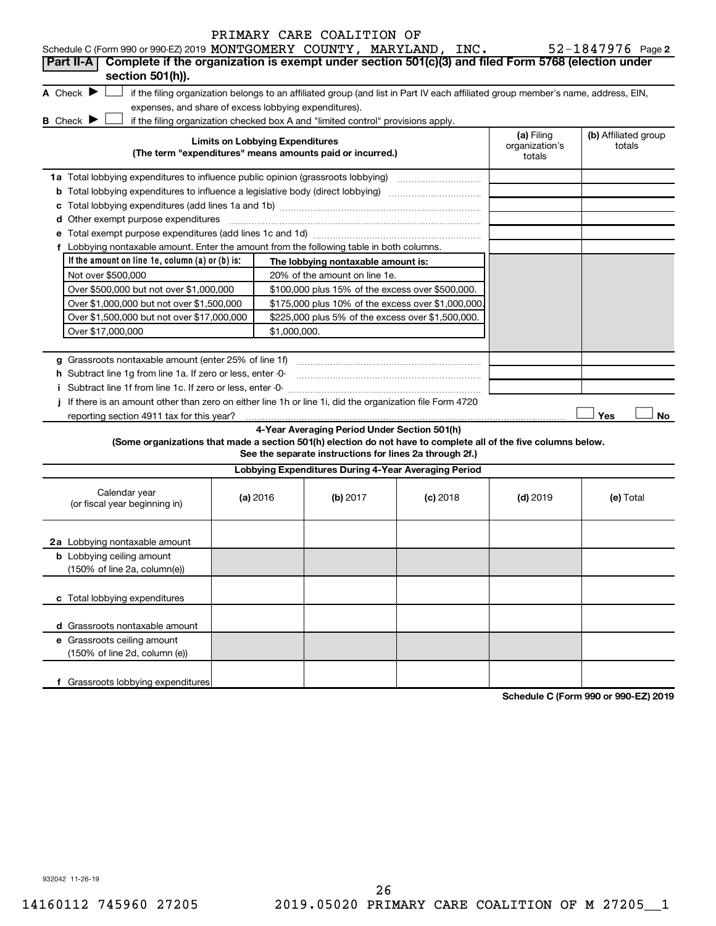| Schedule C (Form 990 or 990-EZ) 2019 MONTGOMERY COUNTY, MARYLAND, INC.                                          | PRIMARY CARE COALITION OF                                                                           |                                                         |                                                                                                                                   |                                        | 52-1847976 Page 2              |
|-----------------------------------------------------------------------------------------------------------------|-----------------------------------------------------------------------------------------------------|---------------------------------------------------------|-----------------------------------------------------------------------------------------------------------------------------------|----------------------------------------|--------------------------------|
| Complete if the organization is exempt under section 501(c)(3) and filed Form 5768 (election under<br>Part II-A |                                                                                                     |                                                         |                                                                                                                                   |                                        |                                |
| section 501(h)).                                                                                                |                                                                                                     |                                                         |                                                                                                                                   |                                        |                                |
| A Check $\blacktriangleright$                                                                                   |                                                                                                     |                                                         | if the filing organization belongs to an affiliated group (and list in Part IV each affiliated group member's name, address, EIN, |                                        |                                |
|                                                                                                                 | expenses, and share of excess lobbying expenditures).                                               |                                                         |                                                                                                                                   |                                        |                                |
| <b>B</b> Check ▶                                                                                                | if the filing organization checked box A and "limited control" provisions apply.                    |                                                         |                                                                                                                                   |                                        |                                |
|                                                                                                                 | <b>Limits on Lobbying Expenditures</b><br>(The term "expenditures" means amounts paid or incurred.) |                                                         |                                                                                                                                   | (a) Filing<br>organization's<br>totals | (b) Affiliated group<br>totals |
| 1a Total lobbying expenditures to influence public opinion (grassroots lobbying) [                              |                                                                                                     |                                                         |                                                                                                                                   |                                        |                                |
| <b>b</b> Total lobbying expenditures to influence a legislative body (direct lobbying) <i>manumumumum</i>       |                                                                                                     |                                                         |                                                                                                                                   |                                        |                                |
| с                                                                                                               |                                                                                                     |                                                         |                                                                                                                                   |                                        |                                |
| <b>d</b> Other exempt purpose expenditures                                                                      |                                                                                                     |                                                         |                                                                                                                                   |                                        |                                |
|                                                                                                                 |                                                                                                     |                                                         |                                                                                                                                   |                                        |                                |
| f Lobbying nontaxable amount. Enter the amount from the following table in both columns.                        |                                                                                                     |                                                         |                                                                                                                                   |                                        |                                |
| If the amount on line 1e, column $(a)$ or $(b)$ is:                                                             |                                                                                                     | The lobbying nontaxable amount is:                      |                                                                                                                                   |                                        |                                |
| Not over \$500,000<br>Over \$500,000 but not over \$1,000,000                                                   |                                                                                                     | 20% of the amount on line 1e.                           |                                                                                                                                   |                                        |                                |
| Over \$1,000,000 but not over \$1,500,000                                                                       |                                                                                                     | \$100,000 plus 15% of the excess over \$500,000.        | \$175,000 plus 10% of the excess over \$1,000,000                                                                                 |                                        |                                |
| Over \$1,500,000 but not over \$17,000,000                                                                      |                                                                                                     | \$225,000 plus 5% of the excess over \$1,500,000.       |                                                                                                                                   |                                        |                                |
| Over \$17,000,000                                                                                               | \$1,000,000.                                                                                        |                                                         |                                                                                                                                   |                                        |                                |
|                                                                                                                 |                                                                                                     |                                                         |                                                                                                                                   |                                        |                                |
| g Grassroots nontaxable amount (enter 25% of line 1f)                                                           |                                                                                                     |                                                         |                                                                                                                                   |                                        |                                |
| h Subtract line 1g from line 1a. If zero or less, enter -0-                                                     |                                                                                                     |                                                         |                                                                                                                                   |                                        |                                |
|                                                                                                                 |                                                                                                     |                                                         |                                                                                                                                   |                                        |                                |
| If there is an amount other than zero on either line 1h or line 1i, did the organization file Form 4720         |                                                                                                     |                                                         |                                                                                                                                   |                                        |                                |
| reporting section 4911 tax for this year?                                                                       |                                                                                                     |                                                         |                                                                                                                                   |                                        | Yes<br>No                      |
|                                                                                                                 |                                                                                                     | 4-Year Averaging Period Under Section 501(h)            |                                                                                                                                   |                                        |                                |
| (Some organizations that made a section 501(h) election do not have to complete all of the five columns below.  |                                                                                                     | See the separate instructions for lines 2a through 2f.) |                                                                                                                                   |                                        |                                |
|                                                                                                                 |                                                                                                     |                                                         | Lobbying Expenditures During 4-Year Averaging Period                                                                              |                                        |                                |
| Calendar year<br>(or fiscal year beginning in)                                                                  | (a) 2016                                                                                            | (b) $2017$                                              | $(c)$ 2018                                                                                                                        | $(d)$ 2019                             | (e) Total                      |
| <b>2a</b> Lobbying nontaxable amount                                                                            |                                                                                                     |                                                         |                                                                                                                                   |                                        |                                |
| <b>b</b> Lobbying ceiling amount                                                                                |                                                                                                     |                                                         |                                                                                                                                   |                                        |                                |
| $(150\% \text{ of line } 2a, \text{column}(e))$                                                                 |                                                                                                     |                                                         |                                                                                                                                   |                                        |                                |
|                                                                                                                 |                                                                                                     |                                                         |                                                                                                                                   |                                        |                                |
| c Total lobbying expenditures                                                                                   |                                                                                                     |                                                         |                                                                                                                                   |                                        |                                |
| d Grassroots nontaxable amount                                                                                  |                                                                                                     |                                                         |                                                                                                                                   |                                        |                                |
| e Grassroots ceiling amount                                                                                     |                                                                                                     |                                                         |                                                                                                                                   |                                        |                                |
| (150% of line 2d, column (e))                                                                                   |                                                                                                     |                                                         |                                                                                                                                   |                                        |                                |
| f Grassroots lobbying expenditures                                                                              |                                                                                                     |                                                         |                                                                                                                                   |                                        |                                |

**Schedule C (Form 990 or 990-EZ) 2019**

932042 11-26-19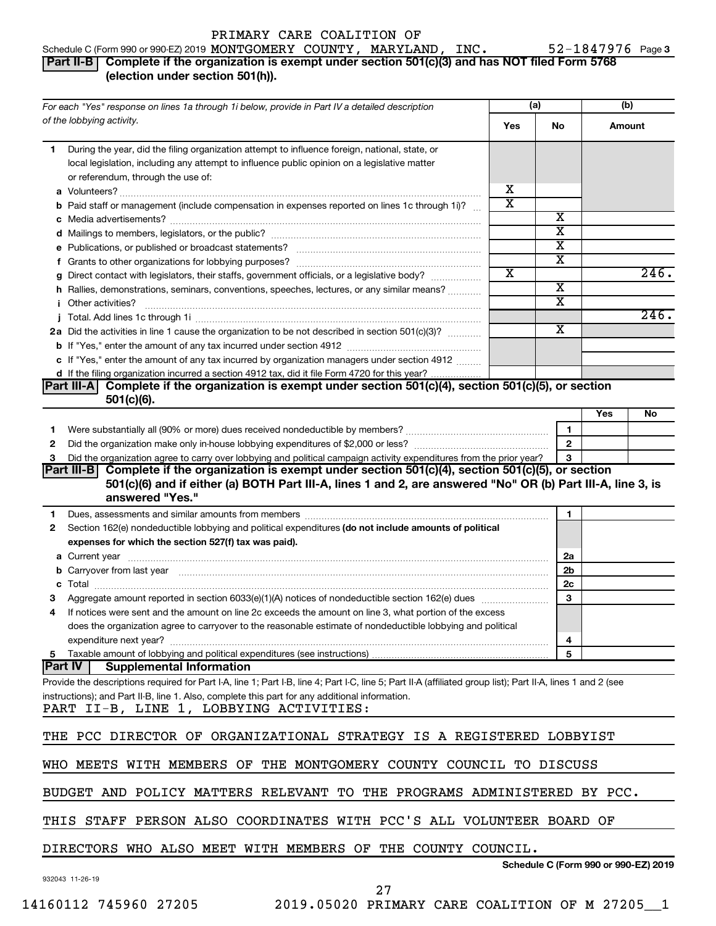#### 52-1847976 Page 3 Schedule C (Form 990 or 990-EZ) 2019 Page **Part II-B Complete if the organization is exempt under section 501(c)(3) and has NOT filed Form 5768 (election under section 501(h)).** MONTGOMERY COUNTY, MARYLAND, INC. 52-1847976

|    | For each "Yes" response on lines 1a through 1i below, provide in Part IV a detailed description                                                                                                                                      |                         | (a)                     | (b) |                                      |
|----|--------------------------------------------------------------------------------------------------------------------------------------------------------------------------------------------------------------------------------------|-------------------------|-------------------------|-----|--------------------------------------|
|    | of the lobbying activity.                                                                                                                                                                                                            | Yes                     | <b>No</b>               |     | Amount                               |
| 1. | During the year, did the filing organization attempt to influence foreign, national, state, or<br>local legislation, including any attempt to influence public opinion on a legislative matter<br>or referendum, through the use of: |                         |                         |     |                                      |
|    |                                                                                                                                                                                                                                      | х                       |                         |     |                                      |
|    | <b>b</b> Paid staff or management (include compensation in expenses reported on lines 1c through 1i)?                                                                                                                                | $\overline{\textbf{x}}$ |                         |     |                                      |
|    |                                                                                                                                                                                                                                      |                         | х                       |     |                                      |
|    |                                                                                                                                                                                                                                      |                         | х                       |     |                                      |
|    |                                                                                                                                                                                                                                      |                         | $\overline{\textbf{x}}$ |     |                                      |
|    |                                                                                                                                                                                                                                      |                         | х                       |     |                                      |
|    | g Direct contact with legislators, their staffs, government officials, or a legislative body?                                                                                                                                        | $\overline{\textbf{x}}$ |                         |     | 246.                                 |
|    | h Rallies, demonstrations, seminars, conventions, speeches, lectures, or any similar means?                                                                                                                                          |                         | $\overline{\textbf{x}}$ |     |                                      |
|    | <b>i</b> Other activities?                                                                                                                                                                                                           |                         | $\overline{\textbf{x}}$ |     |                                      |
|    |                                                                                                                                                                                                                                      |                         |                         |     | 246.                                 |
|    | 2a Did the activities in line 1 cause the organization to be not described in section 501(c)(3)?                                                                                                                                     |                         | х                       |     |                                      |
|    |                                                                                                                                                                                                                                      |                         |                         |     |                                      |
|    | c If "Yes," enter the amount of any tax incurred by organization managers under section 4912                                                                                                                                         |                         |                         |     |                                      |
|    | d If the filing organization incurred a section 4912 tax, did it file Form 4720 for this year?                                                                                                                                       |                         |                         |     |                                      |
|    | Complete if the organization is exempt under section 501(c)(4), section 501(c)(5), or section<br><b>Part III-A</b>                                                                                                                   |                         |                         |     |                                      |
|    | $501(c)(6)$ .                                                                                                                                                                                                                        |                         |                         |     |                                      |
|    |                                                                                                                                                                                                                                      |                         |                         | Yes | No                                   |
| 1. |                                                                                                                                                                                                                                      |                         | 1                       |     |                                      |
| 2  |                                                                                                                                                                                                                                      |                         | $\mathbf{2}$            |     |                                      |
| 3  | Did the organization agree to carry over lobbying and political campaign activity expenditures from the prior year?                                                                                                                  |                         | 3                       |     |                                      |
|    | Part III-B Complete if the organization is exempt under section 501(c)(4), section 501(c)(5), or section                                                                                                                             |                         |                         |     |                                      |
|    | 501(c)(6) and if either (a) BOTH Part III-A, lines 1 and 2, are answered "No" OR (b) Part III-A, line 3, is                                                                                                                          |                         |                         |     |                                      |
|    | answered "Yes."                                                                                                                                                                                                                      |                         |                         |     |                                      |
| 1  | Dues, assessments and similar amounts from members [11] matter contracts are assessments and similar amounts from members [11] matter contracts and similar amounts from members [11] matter contracts and similar amounts fro       |                         | 1                       |     |                                      |
| 2  | Section 162(e) nondeductible lobbying and political expenditures (do not include amounts of political                                                                                                                                |                         |                         |     |                                      |
|    | expenses for which the section 527(f) tax was paid).                                                                                                                                                                                 |                         |                         |     |                                      |
|    |                                                                                                                                                                                                                                      |                         | 2a                      |     |                                      |
|    | b Carryover from last year manufactured and content to content the content of the content of the content of the content of the content of the content of the content of the content of the content of the content of the conte       |                         | 2b                      |     |                                      |
|    |                                                                                                                                                                                                                                      |                         | 2c                      |     |                                      |
| 3  |                                                                                                                                                                                                                                      |                         | 3                       |     |                                      |
| 4  | If notices were sent and the amount on line 2c exceeds the amount on line 3, what portion of the excess                                                                                                                              |                         |                         |     |                                      |
|    | does the organization agree to carryover to the reasonable estimate of nondeductible lobbying and political                                                                                                                          |                         |                         |     |                                      |
|    | expenditure next year?                                                                                                                                                                                                               |                         | 4                       |     |                                      |
| 5  |                                                                                                                                                                                                                                      |                         | 5                       |     |                                      |
|    | <b>Part IV</b><br><b>Supplemental Information</b>                                                                                                                                                                                    |                         |                         |     |                                      |
|    | Provide the descriptions required for Part I-A, line 1; Part I-B, line 4; Part I-C, line 5; Part II-A (affiliated group list); Part II-A, lines 1 and 2 (see                                                                         |                         |                         |     |                                      |
|    | instructions); and Part II-B, line 1. Also, complete this part for any additional information.                                                                                                                                       |                         |                         |     |                                      |
|    | PART II-B, LINE 1, LOBBYING ACTIVITIES:                                                                                                                                                                                              |                         |                         |     |                                      |
|    |                                                                                                                                                                                                                                      |                         |                         |     |                                      |
|    | THE PCC DIRECTOR OF ORGANIZATIONAL STRATEGY IS A REGISTERED LOBBYIST                                                                                                                                                                 |                         |                         |     |                                      |
|    |                                                                                                                                                                                                                                      |                         |                         |     |                                      |
|    | WHO MEETS WITH MEMBERS OF THE MONTGOMERY COUNTY COUNCIL TO DISCUSS                                                                                                                                                                   |                         |                         |     |                                      |
|    | BUDGET AND POLICY MATTERS RELEVANT TO THE PROGRAMS ADMINISTERED BY PCC.                                                                                                                                                              |                         |                         |     |                                      |
|    |                                                                                                                                                                                                                                      |                         |                         |     |                                      |
|    | THIS STAFF PERSON ALSO COORDINATES WITH PCC'S ALL VOLUNTEER BOARD OF                                                                                                                                                                 |                         |                         |     |                                      |
|    | DIRECTORS WHO ALSO MEET WITH MEMBERS OF THE COUNTY COUNCIL.                                                                                                                                                                          |                         |                         |     |                                      |
|    | 932043 11-26-19                                                                                                                                                                                                                      |                         |                         |     | Schedule C (Form 990 or 990-EZ) 2019 |

27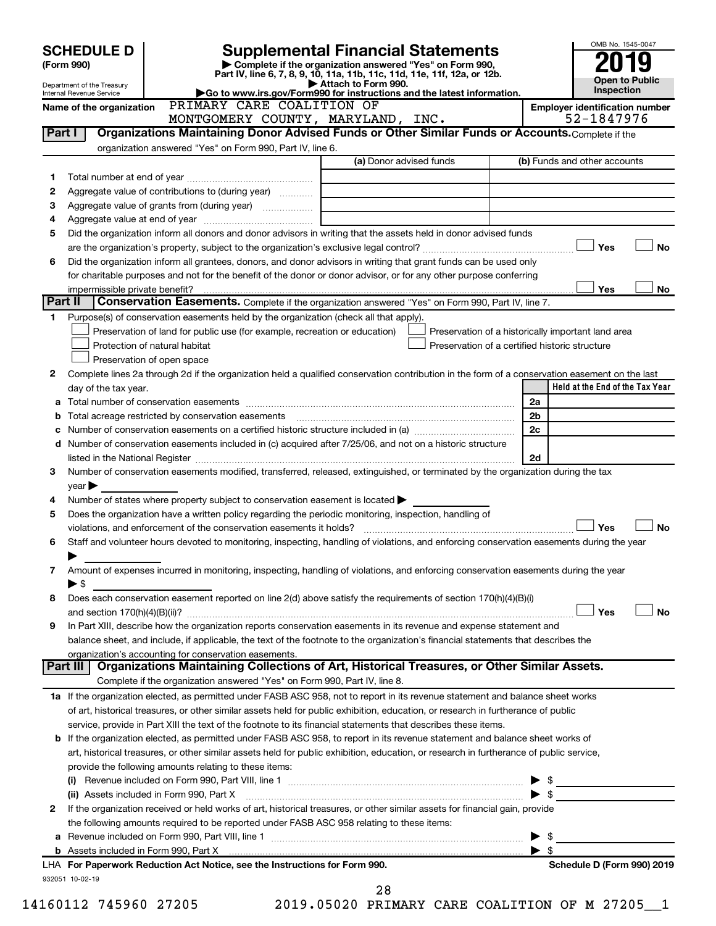|        | <b>SCHEDULE D</b>                                             |                                                                                                                                                                                            | <b>Supplemental Financial Statements</b>                                                                                             |                                                     | OMB No. 1545-0047                     |
|--------|---------------------------------------------------------------|--------------------------------------------------------------------------------------------------------------------------------------------------------------------------------------------|--------------------------------------------------------------------------------------------------------------------------------------|-----------------------------------------------------|---------------------------------------|
|        | (Form 990)                                                    |                                                                                                                                                                                            | Complete if the organization answered "Yes" on Form 990,<br>Part IV, line 6, 7, 8, 9, 10, 11a, 11b, 11c, 11d, 11e, 11f, 12a, or 12b. |                                                     | <b>Open to Public</b>                 |
|        | Department of the Treasury<br><b>Internal Revenue Service</b> |                                                                                                                                                                                            | Attach to Form 990.<br>Go to www.irs.gov/Form990 for instructions and the latest information.                                        |                                                     | Inspection                            |
|        | Name of the organization                                      | PRIMARY CARE COALITION OF                                                                                                                                                                  |                                                                                                                                      |                                                     | <b>Employer identification number</b> |
|        |                                                               | MONTGOMERY COUNTY, MARYLAND, INC.                                                                                                                                                          |                                                                                                                                      |                                                     | 52-1847976                            |
|        | Part I                                                        | Organizations Maintaining Donor Advised Funds or Other Similar Funds or Accounts. Complete if the                                                                                          |                                                                                                                                      |                                                     |                                       |
|        |                                                               | organization answered "Yes" on Form 990, Part IV, line 6.                                                                                                                                  | (a) Donor advised funds                                                                                                              |                                                     | (b) Funds and other accounts          |
|        |                                                               |                                                                                                                                                                                            |                                                                                                                                      |                                                     |                                       |
| 1<br>2 |                                                               | Aggregate value of contributions to (during year)                                                                                                                                          |                                                                                                                                      |                                                     |                                       |
| З      |                                                               |                                                                                                                                                                                            |                                                                                                                                      |                                                     |                                       |
| 4      |                                                               |                                                                                                                                                                                            | the control of the control of the control of the control of the control of                                                           |                                                     |                                       |
| 5      |                                                               | Did the organization inform all donors and donor advisors in writing that the assets held in donor advised funds                                                                           |                                                                                                                                      |                                                     |                                       |
|        |                                                               |                                                                                                                                                                                            |                                                                                                                                      |                                                     | Yes<br><b>No</b>                      |
| 6      |                                                               | Did the organization inform all grantees, donors, and donor advisors in writing that grant funds can be used only                                                                          |                                                                                                                                      |                                                     |                                       |
|        |                                                               | for charitable purposes and not for the benefit of the donor or donor advisor, or for any other purpose conferring                                                                         |                                                                                                                                      |                                                     |                                       |
|        | Part II                                                       |                                                                                                                                                                                            |                                                                                                                                      |                                                     | No<br>Yes                             |
|        |                                                               | Conservation Easements. Complete if the organization answered "Yes" on Form 990, Part IV, line 7.                                                                                          |                                                                                                                                      |                                                     |                                       |
| 1.     |                                                               | Purpose(s) of conservation easements held by the organization (check all that apply).<br>Preservation of land for public use (for example, recreation or education)                        |                                                                                                                                      | Preservation of a historically important land area  |                                       |
|        |                                                               | Protection of natural habitat                                                                                                                                                              |                                                                                                                                      | Preservation of a certified historic structure      |                                       |
|        | Preservation of open space                                    |                                                                                                                                                                                            |                                                                                                                                      |                                                     |                                       |
| 2      |                                                               | Complete lines 2a through 2d if the organization held a qualified conservation contribution in the form of a conservation easement on the last                                             |                                                                                                                                      |                                                     |                                       |
|        | day of the tax year.                                          |                                                                                                                                                                                            |                                                                                                                                      |                                                     | Held at the End of the Tax Year       |
| а      |                                                               |                                                                                                                                                                                            |                                                                                                                                      | 2a                                                  |                                       |
| b      |                                                               |                                                                                                                                                                                            |                                                                                                                                      | 2b                                                  |                                       |
| с      |                                                               |                                                                                                                                                                                            |                                                                                                                                      | 2c                                                  |                                       |
|        |                                                               | d Number of conservation easements included in (c) acquired after 7/25/06, and not on a historic structure                                                                                 |                                                                                                                                      |                                                     |                                       |
|        |                                                               | listed in the National Register [111] [12] The Management of the National Property of the National Register [1                                                                             |                                                                                                                                      | 2d                                                  |                                       |
| 3      |                                                               | Number of conservation easements modified, transferred, released, extinguished, or terminated by the organization during the tax                                                           |                                                                                                                                      |                                                     |                                       |
| 4      | $\mathsf{year}$                                               | Number of states where property subject to conservation easement is located >                                                                                                              |                                                                                                                                      |                                                     |                                       |
| 5      |                                                               | Does the organization have a written policy regarding the periodic monitoring, inspection, handling of                                                                                     |                                                                                                                                      |                                                     |                                       |
|        |                                                               | violations, and enforcement of the conservation easements it holds?                                                                                                                        |                                                                                                                                      |                                                     | Yes<br><b>No</b>                      |
| 6      |                                                               | Staff and volunteer hours devoted to monitoring, inspecting, handling of violations, and enforcing conservation easements during the year                                                  |                                                                                                                                      |                                                     |                                       |
|        |                                                               |                                                                                                                                                                                            |                                                                                                                                      |                                                     |                                       |
| 7      |                                                               | Amount of expenses incurred in monitoring, inspecting, handling of violations, and enforcing conservation easements during the year                                                        |                                                                                                                                      |                                                     |                                       |
|        | $\blacktriangleright$ \$                                      |                                                                                                                                                                                            |                                                                                                                                      |                                                     |                                       |
| 8      |                                                               | Does each conservation easement reported on line 2(d) above satisfy the requirements of section 170(h)(4)(B)(i)                                                                            |                                                                                                                                      |                                                     |                                       |
|        |                                                               |                                                                                                                                                                                            |                                                                                                                                      |                                                     | Yes<br><b>No</b>                      |
| 9      |                                                               | In Part XIII, describe how the organization reports conservation easements in its revenue and expense statement and                                                                        |                                                                                                                                      |                                                     |                                       |
|        |                                                               | balance sheet, and include, if applicable, the text of the footnote to the organization's financial statements that describes the<br>organization's accounting for conservation easements. |                                                                                                                                      |                                                     |                                       |
|        | Part III                                                      | Organizations Maintaining Collections of Art, Historical Treasures, or Other Similar Assets.                                                                                               |                                                                                                                                      |                                                     |                                       |
|        |                                                               | Complete if the organization answered "Yes" on Form 990, Part IV, line 8.                                                                                                                  |                                                                                                                                      |                                                     |                                       |
|        |                                                               | 1a If the organization elected, as permitted under FASB ASC 958, not to report in its revenue statement and balance sheet works                                                            |                                                                                                                                      |                                                     |                                       |
|        |                                                               | of art, historical treasures, or other similar assets held for public exhibition, education, or research in furtherance of public                                                          |                                                                                                                                      |                                                     |                                       |
|        |                                                               | service, provide in Part XIII the text of the footnote to its financial statements that describes these items.                                                                             |                                                                                                                                      |                                                     |                                       |
|        |                                                               | <b>b</b> If the organization elected, as permitted under FASB ASC 958, to report in its revenue statement and balance sheet works of                                                       |                                                                                                                                      |                                                     |                                       |
|        |                                                               | art, historical treasures, or other similar assets held for public exhibition, education, or research in furtherance of public service,                                                    |                                                                                                                                      |                                                     |                                       |
|        |                                                               | provide the following amounts relating to these items:                                                                                                                                     |                                                                                                                                      |                                                     |                                       |
|        |                                                               |                                                                                                                                                                                            |                                                                                                                                      |                                                     | $\frac{1}{2}$                         |
|        |                                                               |                                                                                                                                                                                            |                                                                                                                                      |                                                     | $\triangleright$ \$                   |
| 2      |                                                               | If the organization received or held works of art, historical treasures, or other similar assets for financial gain, provide                                                               |                                                                                                                                      |                                                     |                                       |
|        |                                                               | the following amounts required to be reported under FASB ASC 958 relating to these items:                                                                                                  |                                                                                                                                      |                                                     |                                       |
|        |                                                               |                                                                                                                                                                                            |                                                                                                                                      | $\blacktriangleright$ \$<br>$\blacktriangleright$ s |                                       |
|        |                                                               | LHA For Paperwork Reduction Act Notice, see the Instructions for Form 990.                                                                                                                 |                                                                                                                                      |                                                     | Schedule D (Form 990) 2019            |
|        |                                                               |                                                                                                                                                                                            |                                                                                                                                      |                                                     |                                       |
|        | 932051 10-02-19                                               |                                                                                                                                                                                            |                                                                                                                                      |                                                     |                                       |

14160112 745960 27205 2019.05020 PRIMARY CARE COALITION OF M 27205\_\_1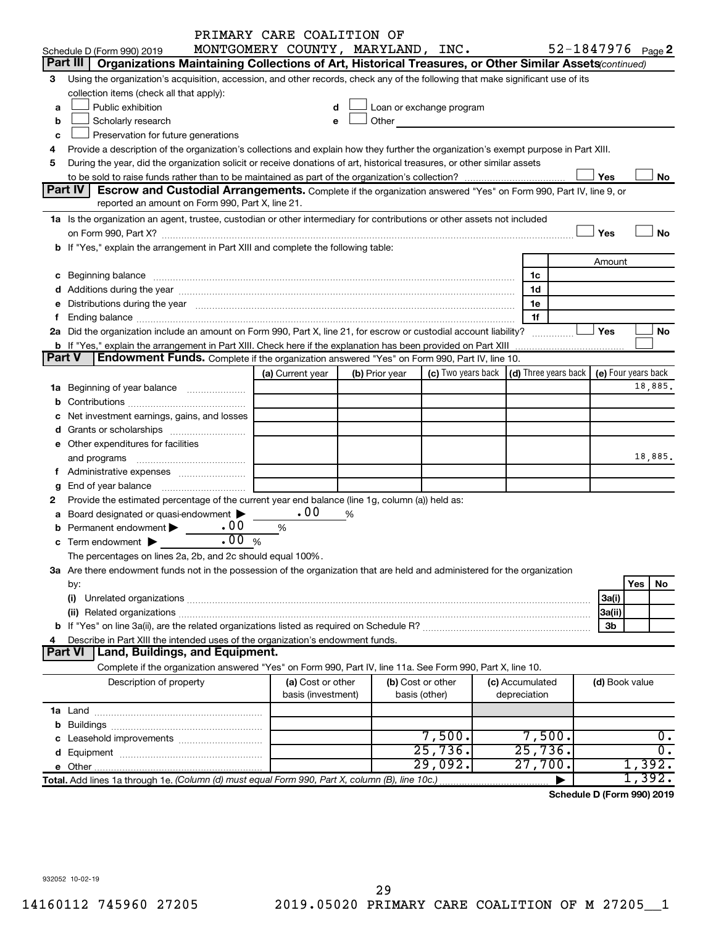|        |                                                                                                                                                                                                                               | PRIMARY CARE COALITION OF         |   |                   |                                                                                                                                                                                                                                |                 |                |                             |
|--------|-------------------------------------------------------------------------------------------------------------------------------------------------------------------------------------------------------------------------------|-----------------------------------|---|-------------------|--------------------------------------------------------------------------------------------------------------------------------------------------------------------------------------------------------------------------------|-----------------|----------------|-----------------------------|
|        | Schedule D (Form 990) 2019                                                                                                                                                                                                    | MONTGOMERY COUNTY, MARYLAND, INC. |   |                   |                                                                                                                                                                                                                                |                 |                | 52-1847976 Page 2           |
|        | Part III<br>Organizations Maintaining Collections of Art, Historical Treasures, or Other Similar Assets (continued)                                                                                                           |                                   |   |                   |                                                                                                                                                                                                                                |                 |                |                             |
| 3      | Using the organization's acquisition, accession, and other records, check any of the following that make significant use of its                                                                                               |                                   |   |                   |                                                                                                                                                                                                                                |                 |                |                             |
|        | collection items (check all that apply):                                                                                                                                                                                      |                                   |   |                   |                                                                                                                                                                                                                                |                 |                |                             |
| a      | Public exhibition                                                                                                                                                                                                             | d                                 |   |                   | Loan or exchange program                                                                                                                                                                                                       |                 |                |                             |
| b      | Scholarly research                                                                                                                                                                                                            | е                                 |   |                   | Other the contract of the contract of the contract of the contract of the contract of the contract of the contract of the contract of the contract of the contract of the contract of the contract of the contract of the cont |                 |                |                             |
| c      | Preservation for future generations                                                                                                                                                                                           |                                   |   |                   |                                                                                                                                                                                                                                |                 |                |                             |
| 4      | Provide a description of the organization's collections and explain how they further the organization's exempt purpose in Part XIII.                                                                                          |                                   |   |                   |                                                                                                                                                                                                                                |                 |                |                             |
| 5      | During the year, did the organization solicit or receive donations of art, historical treasures, or other similar assets                                                                                                      |                                   |   |                   |                                                                                                                                                                                                                                |                 |                |                             |
|        |                                                                                                                                                                                                                               |                                   |   |                   |                                                                                                                                                                                                                                |                 | Yes            | No                          |
|        | Part IV<br>Escrow and Custodial Arrangements. Complete if the organization answered "Yes" on Form 990, Part IV, line 9, or                                                                                                    |                                   |   |                   |                                                                                                                                                                                                                                |                 |                |                             |
|        | reported an amount on Form 990, Part X, line 21.                                                                                                                                                                              |                                   |   |                   |                                                                                                                                                                                                                                |                 |                |                             |
|        | 1a Is the organization an agent, trustee, custodian or other intermediary for contributions or other assets not included                                                                                                      |                                   |   |                   |                                                                                                                                                                                                                                |                 |                |                             |
|        | on Form 990, Part X? [11] matter contracts and contracts and contracts are contracted as a form 990, Part X?                                                                                                                  |                                   |   |                   |                                                                                                                                                                                                                                |                 | Yes            | <b>No</b>                   |
|        | b If "Yes," explain the arrangement in Part XIII and complete the following table:                                                                                                                                            |                                   |   |                   |                                                                                                                                                                                                                                |                 |                |                             |
|        |                                                                                                                                                                                                                               |                                   |   |                   |                                                                                                                                                                                                                                |                 | Amount         |                             |
|        |                                                                                                                                                                                                                               |                                   |   |                   |                                                                                                                                                                                                                                | 1c              |                |                             |
|        |                                                                                                                                                                                                                               |                                   |   |                   |                                                                                                                                                                                                                                | 1d              |                |                             |
|        | e Distributions during the year manufactured and an account of the year manufactured and account of the year manufactured and account of the USA of the USA of the USA of the USA of the USA of the USA of the USA of the USA |                                   |   |                   |                                                                                                                                                                                                                                | 1e              |                |                             |
|        |                                                                                                                                                                                                                               |                                   |   |                   |                                                                                                                                                                                                                                | 1f              |                |                             |
|        | 2a Did the organization include an amount on Form 990, Part X, line 21, for escrow or custodial account liability?                                                                                                            |                                   |   |                   |                                                                                                                                                                                                                                |                 | Yes            | No                          |
|        | b If "Yes," explain the arrangement in Part XIII. Check here if the explanation has been provided on Part XIII                                                                                                                |                                   |   |                   |                                                                                                                                                                                                                                |                 |                |                             |
| Part V | <b>Endowment Funds.</b> Complete if the organization answered "Yes" on Form 990, Part IV, line 10.                                                                                                                            |                                   |   |                   |                                                                                                                                                                                                                                |                 |                |                             |
|        |                                                                                                                                                                                                                               | (a) Current year                  |   | (b) Prior year    | (c) Two years back $ $ (d) Three years back $ $                                                                                                                                                                                |                 |                | (e) Four years back         |
|        | 1a Beginning of year balance                                                                                                                                                                                                  |                                   |   |                   |                                                                                                                                                                                                                                |                 |                | 18,885.                     |
| b      |                                                                                                                                                                                                                               |                                   |   |                   |                                                                                                                                                                                                                                |                 |                |                             |
|        | Net investment earnings, gains, and losses                                                                                                                                                                                    |                                   |   |                   |                                                                                                                                                                                                                                |                 |                |                             |
|        |                                                                                                                                                                                                                               |                                   |   |                   |                                                                                                                                                                                                                                |                 |                |                             |
|        | e Other expenditures for facilities                                                                                                                                                                                           |                                   |   |                   |                                                                                                                                                                                                                                |                 |                |                             |
|        | and programs                                                                                                                                                                                                                  |                                   |   |                   |                                                                                                                                                                                                                                |                 |                | 18,885.                     |
| Ť.     |                                                                                                                                                                                                                               |                                   |   |                   |                                                                                                                                                                                                                                |                 |                |                             |
| g      | End of year balance                                                                                                                                                                                                           |                                   |   |                   |                                                                                                                                                                                                                                |                 |                |                             |
| 2      | Provide the estimated percentage of the current year end balance (line 1g, column (a)) held as:                                                                                                                               |                                   |   |                   |                                                                                                                                                                                                                                |                 |                |                             |
|        | a Board designated or quasi-endowment                                                                                                                                                                                         | .00                               | % |                   |                                                                                                                                                                                                                                |                 |                |                             |
| b      | .00<br>Permanent endowment >                                                                                                                                                                                                  | %                                 |   |                   |                                                                                                                                                                                                                                |                 |                |                             |
|        | .00%                                                                                                                                                                                                                          |                                   |   |                   |                                                                                                                                                                                                                                |                 |                |                             |
|        | The percentages on lines 2a, 2b, and 2c should equal 100%.                                                                                                                                                                    |                                   |   |                   |                                                                                                                                                                                                                                |                 |                |                             |
|        | 3a Are there endowment funds not in the possession of the organization that are held and administered for the organization                                                                                                    |                                   |   |                   |                                                                                                                                                                                                                                |                 |                |                             |
|        | by:                                                                                                                                                                                                                           |                                   |   |                   |                                                                                                                                                                                                                                |                 |                | Yes<br>No                   |
|        | (i)                                                                                                                                                                                                                           |                                   |   |                   |                                                                                                                                                                                                                                |                 | 3a(i)          |                             |
|        |                                                                                                                                                                                                                               |                                   |   |                   |                                                                                                                                                                                                                                |                 | 3a(ii)         |                             |
|        |                                                                                                                                                                                                                               |                                   |   |                   |                                                                                                                                                                                                                                |                 | 3 <sub>b</sub> |                             |
| 4      | Describe in Part XIII the intended uses of the organization's endowment funds.                                                                                                                                                |                                   |   |                   |                                                                                                                                                                                                                                |                 |                |                             |
|        | <b>Part VI</b><br>Land, Buildings, and Equipment.                                                                                                                                                                             |                                   |   |                   |                                                                                                                                                                                                                                |                 |                |                             |
|        | Complete if the organization answered "Yes" on Form 990, Part IV, line 11a. See Form 990, Part X, line 10.                                                                                                                    |                                   |   |                   |                                                                                                                                                                                                                                |                 |                |                             |
|        | Description of property                                                                                                                                                                                                       | (a) Cost or other                 |   | (b) Cost or other |                                                                                                                                                                                                                                | (c) Accumulated | (d) Book value |                             |
|        |                                                                                                                                                                                                                               | basis (investment)                |   | basis (other)     |                                                                                                                                                                                                                                | depreciation    |                |                             |
|        |                                                                                                                                                                                                                               |                                   |   |                   |                                                                                                                                                                                                                                |                 |                |                             |
|        |                                                                                                                                                                                                                               |                                   |   |                   |                                                                                                                                                                                                                                |                 |                |                             |
|        |                                                                                                                                                                                                                               |                                   |   |                   | 7,500.                                                                                                                                                                                                                         | 7,500.          |                | $0$ .                       |
|        |                                                                                                                                                                                                                               |                                   |   |                   | 25,736.                                                                                                                                                                                                                        | 25,736.         |                | $\overline{\mathfrak{o}}$ . |
|        |                                                                                                                                                                                                                               |                                   |   |                   | 29,092.                                                                                                                                                                                                                        | 27,700.         |                | 1,392.                      |
|        | Total. Add lines 1a through 1e. (Column (d) must equal Form 990, Part X, column (B), line 10c.)                                                                                                                               |                                   |   |                   |                                                                                                                                                                                                                                |                 |                | 1,392.                      |
|        |                                                                                                                                                                                                                               |                                   |   |                   |                                                                                                                                                                                                                                |                 |                | Schedule D (Form 990) 2019  |

932052 10-02-19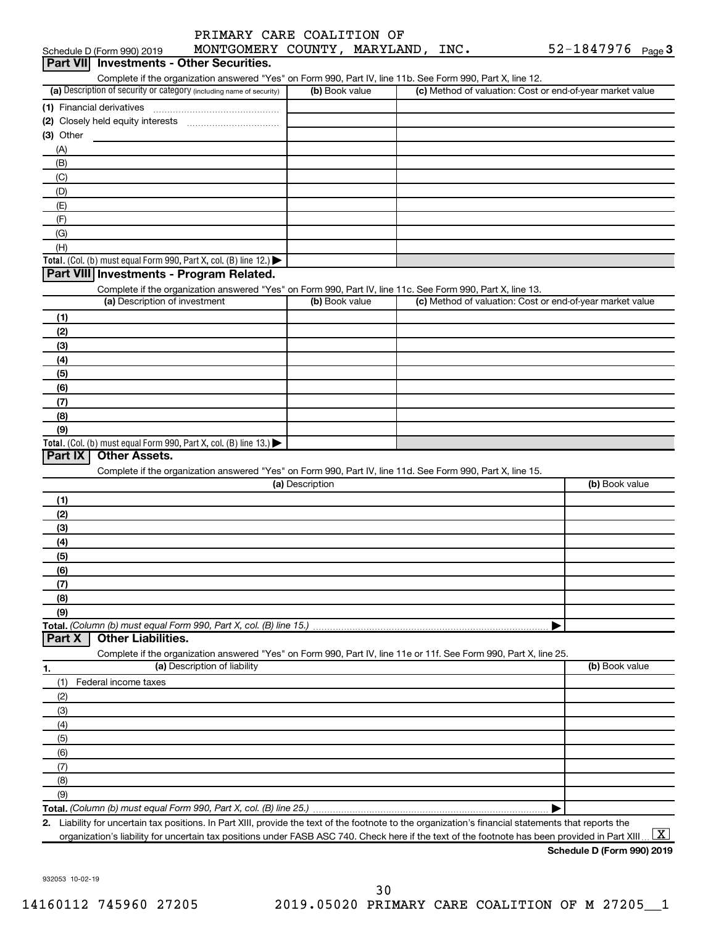| PRIMARY CARE COALITION OF |  |               |
|---------------------------|--|---------------|
|                           |  |               |
|                           |  |               |
| MANDAAMERIZ AATIMUZ       |  | $\frac{1}{2}$ |

**3**

|             | Schedule D (Form 990) 2019    | MONTGOMERY COUNTY, MARYLAND, INC.                                                                                                                    |                 |  |  | 52-1847976 Page 3                                         |  |
|-------------|-------------------------------|------------------------------------------------------------------------------------------------------------------------------------------------------|-----------------|--|--|-----------------------------------------------------------|--|
|             |                               | Part VII Investments - Other Securities.                                                                                                             |                 |  |  |                                                           |  |
|             |                               | Complete if the organization answered "Yes" on Form 990, Part IV, line 11b. See Form 990, Part X, line 12.                                           |                 |  |  |                                                           |  |
|             |                               | (a) Description of security or category (including name of security)                                                                                 | (b) Book value  |  |  | (c) Method of valuation: Cost or end-of-year market value |  |
|             |                               |                                                                                                                                                      |                 |  |  |                                                           |  |
|             |                               |                                                                                                                                                      |                 |  |  |                                                           |  |
| $(3)$ Other |                               |                                                                                                                                                      |                 |  |  |                                                           |  |
| (A)         |                               |                                                                                                                                                      |                 |  |  |                                                           |  |
| (B)         |                               |                                                                                                                                                      |                 |  |  |                                                           |  |
| (C)         |                               |                                                                                                                                                      |                 |  |  |                                                           |  |
| (D)         |                               |                                                                                                                                                      |                 |  |  |                                                           |  |
| (E)         |                               |                                                                                                                                                      |                 |  |  |                                                           |  |
| (F)         |                               |                                                                                                                                                      |                 |  |  |                                                           |  |
| (G)         |                               |                                                                                                                                                      |                 |  |  |                                                           |  |
| (H)         |                               |                                                                                                                                                      |                 |  |  |                                                           |  |
|             |                               | Total. (Col. (b) must equal Form 990, Part X, col. (B) line 12.) $\blacktriangleright$                                                               |                 |  |  |                                                           |  |
|             |                               | Part VIII Investments - Program Related.                                                                                                             |                 |  |  |                                                           |  |
|             |                               | Complete if the organization answered "Yes" on Form 990, Part IV, line 11c. See Form 990, Part X, line 13.                                           |                 |  |  |                                                           |  |
|             | (a) Description of investment |                                                                                                                                                      | (b) Book value  |  |  | (c) Method of valuation: Cost or end-of-year market value |  |
|             |                               |                                                                                                                                                      |                 |  |  |                                                           |  |
| (1)         |                               |                                                                                                                                                      |                 |  |  |                                                           |  |
| (2)         |                               |                                                                                                                                                      |                 |  |  |                                                           |  |
| (3)         |                               |                                                                                                                                                      |                 |  |  |                                                           |  |
| (4)         |                               |                                                                                                                                                      |                 |  |  |                                                           |  |
| (5)         |                               |                                                                                                                                                      |                 |  |  |                                                           |  |
| (6)         |                               |                                                                                                                                                      |                 |  |  |                                                           |  |
| (7)         |                               |                                                                                                                                                      |                 |  |  |                                                           |  |
| (8)         |                               |                                                                                                                                                      |                 |  |  |                                                           |  |
| (9)         |                               |                                                                                                                                                      |                 |  |  |                                                           |  |
| Part IX     | <b>Other Assets.</b>          | Total. (Col. (b) must equal Form 990, Part X, col. (B) line 13.) $\blacktriangleright$                                                               |                 |  |  |                                                           |  |
|             |                               |                                                                                                                                                      |                 |  |  |                                                           |  |
|             |                               | Complete if the organization answered "Yes" on Form 990, Part IV, line 11d. See Form 990, Part X, line 15.                                           | (a) Description |  |  | (b) Book value                                            |  |
|             |                               |                                                                                                                                                      |                 |  |  |                                                           |  |
| (1)         |                               |                                                                                                                                                      |                 |  |  |                                                           |  |
| (2)         |                               |                                                                                                                                                      |                 |  |  |                                                           |  |
| (3)         |                               |                                                                                                                                                      |                 |  |  |                                                           |  |
| (4)         |                               |                                                                                                                                                      |                 |  |  |                                                           |  |
| (5)         |                               |                                                                                                                                                      |                 |  |  |                                                           |  |
| (6)         |                               |                                                                                                                                                      |                 |  |  |                                                           |  |
| (7)         |                               |                                                                                                                                                      |                 |  |  |                                                           |  |
| (8)         |                               |                                                                                                                                                      |                 |  |  |                                                           |  |
| (9)         |                               |                                                                                                                                                      |                 |  |  |                                                           |  |
|             |                               |                                                                                                                                                      |                 |  |  |                                                           |  |
| Part X      | <b>Other Liabilities.</b>     |                                                                                                                                                      |                 |  |  |                                                           |  |
|             |                               | Complete if the organization answered "Yes" on Form 990, Part IV, line 11e or 11f. See Form 990, Part X, line 25.                                    |                 |  |  |                                                           |  |
| 1.          |                               | (a) Description of liability                                                                                                                         |                 |  |  | (b) Book value                                            |  |
| (1)         | Federal income taxes          |                                                                                                                                                      |                 |  |  |                                                           |  |
| (2)         |                               |                                                                                                                                                      |                 |  |  |                                                           |  |
| (3)         |                               |                                                                                                                                                      |                 |  |  |                                                           |  |
| (4)         |                               |                                                                                                                                                      |                 |  |  |                                                           |  |
| (5)         |                               |                                                                                                                                                      |                 |  |  |                                                           |  |
| (6)         |                               |                                                                                                                                                      |                 |  |  |                                                           |  |
| (7)         |                               |                                                                                                                                                      |                 |  |  |                                                           |  |
| (8)         |                               |                                                                                                                                                      |                 |  |  |                                                           |  |
| (9)         |                               |                                                                                                                                                      |                 |  |  |                                                           |  |
|             |                               |                                                                                                                                                      |                 |  |  |                                                           |  |
|             |                               | 2. Liability for uncertain tax positions. In Part XIII, provide the text of the footnote to the organization's financial statements that reports the |                 |  |  |                                                           |  |

organization's liability for uncertain tax positions under FASB ASC 740. Check here if the text of the footnote has been provided in Part XIII ...  $\fbox{\bf X}$ 

**Schedule D (Form 990) 2019**

932053 10-02-19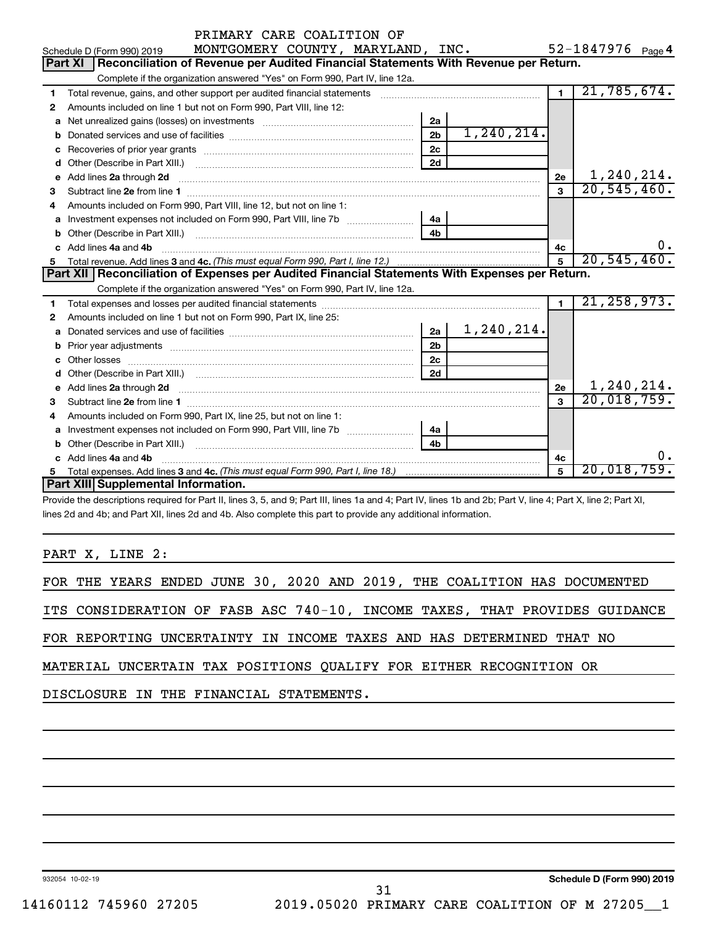|   | PRIMARY CARE COALITION OF                                                                                     |                |              |                |                           |
|---|---------------------------------------------------------------------------------------------------------------|----------------|--------------|----------------|---------------------------|
|   | MONTGOMERY COUNTY, MARYLAND, INC.<br>Schedule D (Form 990) 2019                                               |                |              |                | 52-1847976 Page 4         |
|   | Reconciliation of Revenue per Audited Financial Statements With Revenue per Return.<br><b>Part XI</b>         |                |              |                |                           |
|   | Complete if the organization answered "Yes" on Form 990, Part IV, line 12a.                                   |                |              |                |                           |
| 1 | Total revenue, gains, and other support per audited financial statements [[[[[[[[[[[[[[[[[[[[[[[]]]]]]]]]]]]] |                |              | $\mathbf{1}$   | 21,785,674.               |
| 2 | Amounts included on line 1 but not on Form 990, Part VIII, line 12:                                           |                |              |                |                           |
| a |                                                                                                               | 2a             |              |                |                           |
| b |                                                                                                               | 2 <sub>b</sub> | 1, 240, 214. |                |                           |
| c |                                                                                                               | 2c             |              |                |                           |
| d |                                                                                                               | 2d             |              |                |                           |
| e | Add lines 2a through 2d                                                                                       |                |              | 2е             | 1,240,214.                |
| 3 |                                                                                                               |                |              | $\mathbf{a}$   | 20, 545, 460.             |
| 4 | Amounts included on Form 990, Part VIII, line 12, but not on line 1:                                          |                |              |                |                           |
| a |                                                                                                               | 4a             |              |                |                           |
| b |                                                                                                               | 4b             |              |                |                           |
|   | Add lines 4a and 4b                                                                                           |                |              | 4c             | $0$ .                     |
| 5 |                                                                                                               |                |              | 5              | 20, 545, 460.             |
|   | Part XII   Reconciliation of Expenses per Audited Financial Statements With Expenses per Return.              |                |              |                |                           |
|   | Complete if the organization answered "Yes" on Form 990, Part IV, line 12a.                                   |                |              |                |                           |
| 1 |                                                                                                               |                |              | $\overline{1}$ | 21, 258, 973.             |
| 2 | Amounts included on line 1 but not on Form 990, Part IX, line 25:                                             |                |              |                |                           |
| a |                                                                                                               | 2a             | 1,240,214.   |                |                           |
| b |                                                                                                               | 2 <sub>b</sub> |              |                |                           |
|   |                                                                                                               | 2 <sub>c</sub> |              |                |                           |
|   |                                                                                                               | 2d             |              |                |                           |
|   |                                                                                                               |                |              | 2e             | 1,240,214.<br>20,018,759. |
| 3 |                                                                                                               |                |              |                |                           |
| 4 | Amounts included on Form 990, Part IX, line 25, but not on line 1:                                            |                |              |                |                           |
| a |                                                                                                               | 4a             |              |                |                           |
| b |                                                                                                               | 4 <sub>h</sub> |              |                |                           |
|   | c Add lines 4a and 4b                                                                                         |                |              | 4c<br>5        | 20,018,759.               |
|   | Part XIII Supplemental Information.                                                                           |                |              |                |                           |
|   |                                                                                                               |                |              |                |                           |

Provide the descriptions required for Part II, lines 3, 5, and 9; Part III, lines 1a and 4; Part IV, lines 1b and 2b; Part V, line 4; Part X, line 2; Part XI, lines 2d and 4b; and Part XII, lines 2d and 4b. Also complete this part to provide any additional information.

PART X, LINE 2:

|  |  |  |  |  |  |  |  |  |  |  |  | FOR THE YEARS ENDED JUNE 30, 2020 AND 2019, THE COALITION HAS DOCUMENTED |
|--|--|--|--|--|--|--|--|--|--|--|--|--------------------------------------------------------------------------|
|--|--|--|--|--|--|--|--|--|--|--|--|--------------------------------------------------------------------------|

ITS CONSIDERATION OF FASB ASC 740-10, INCOME TAXES, THAT PROVIDES GUIDANCE

FOR REPORTING UNCERTAINTY IN INCOME TAXES AND HAS DETERMINED THAT NO

MATERIAL UNCERTAIN TAX POSITIONS QUALIFY FOR EITHER RECOGNITION OR

DISCLOSURE IN THE FINANCIAL STATEMENTS.

932054 10-02-19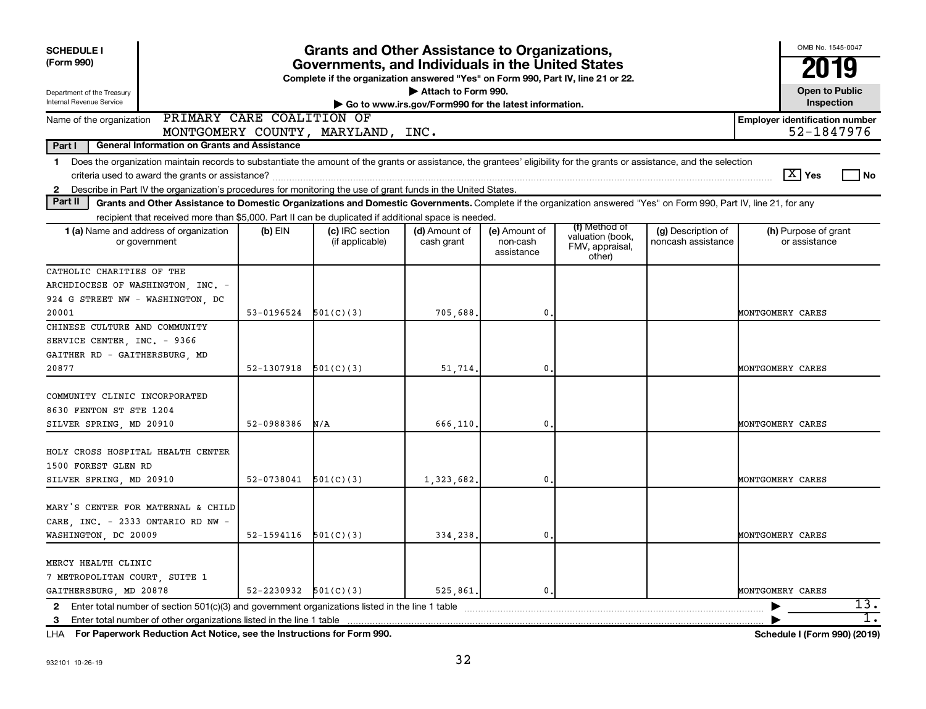| <b>SCHEDULE I</b><br>(Form 990)<br>Department of the Treasury                                                                                                                                                                                                                                                 | <b>Grants and Other Assistance to Organizations,</b><br>Governments, and Individuals in the United States<br>Complete if the organization answered "Yes" on Form 990, Part IV, line 21 or 22.<br>Attach to Form 990. |                                    |                                                       |                                         |                                                                |                                          |                                                     |  |  |
|---------------------------------------------------------------------------------------------------------------------------------------------------------------------------------------------------------------------------------------------------------------------------------------------------------------|----------------------------------------------------------------------------------------------------------------------------------------------------------------------------------------------------------------------|------------------------------------|-------------------------------------------------------|-----------------------------------------|----------------------------------------------------------------|------------------------------------------|-----------------------------------------------------|--|--|
| Internal Revenue Service                                                                                                                                                                                                                                                                                      |                                                                                                                                                                                                                      |                                    | Go to www.irs.gov/Form990 for the latest information. |                                         |                                                                |                                          | <b>Open to Public</b><br>Inspection                 |  |  |
| PRIMARY CARE COALITION OF<br>Name of the organization                                                                                                                                                                                                                                                         |                                                                                                                                                                                                                      | MONTGOMERY COUNTY, MARYLAND, INC.  |                                                       |                                         |                                                                |                                          | <b>Employer identification number</b><br>52-1847976 |  |  |
| Part I<br>General Information on Grants and Assistance                                                                                                                                                                                                                                                        |                                                                                                                                                                                                                      |                                    |                                                       |                                         |                                                                |                                          |                                                     |  |  |
| Does the organization maintain records to substantiate the amount of the grants or assistance, the grantees' eligibility for the grants or assistance, and the selection<br>$\mathbf 1$<br>Describe in Part IV the organization's procedures for monitoring the use of grant funds in the United States.<br>2 |                                                                                                                                                                                                                      |                                    |                                                       |                                         |                                                                |                                          | $\overline{X}$ Yes<br>l No                          |  |  |
| Part II<br>Grants and Other Assistance to Domestic Organizations and Domestic Governments. Complete if the organization answered "Yes" on Form 990, Part IV, line 21, for any                                                                                                                                 |                                                                                                                                                                                                                      |                                    |                                                       |                                         |                                                                |                                          |                                                     |  |  |
| recipient that received more than \$5,000. Part II can be duplicated if additional space is needed.                                                                                                                                                                                                           |                                                                                                                                                                                                                      |                                    |                                                       |                                         |                                                                |                                          |                                                     |  |  |
| 1 (a) Name and address of organization<br>or government                                                                                                                                                                                                                                                       | $(b)$ EIN                                                                                                                                                                                                            | (c) IRC section<br>(if applicable) | (d) Amount of<br>cash grant                           | (e) Amount of<br>non-cash<br>assistance | (f) Method of<br>valuation (book,<br>FMV, appraisal,<br>other) | (g) Description of<br>noncash assistance | (h) Purpose of grant<br>or assistance               |  |  |
| CATHOLIC CHARITIES OF THE<br>ARCHDIOCESE OF WASHINGTON, INC. -<br>924 G STREET NW - WASHINGTON, DC                                                                                                                                                                                                            |                                                                                                                                                                                                                      |                                    |                                                       |                                         |                                                                |                                          |                                                     |  |  |
| 20001                                                                                                                                                                                                                                                                                                         | 53-0196524                                                                                                                                                                                                           | 501(C)(3)                          | 705,688.                                              | $\mathbf 0$                             |                                                                |                                          | MONTGOMERY CARES                                    |  |  |
| CHINESE CULTURE AND COMMUNITY<br>SERVICE CENTER, INC. - 9366<br>GAITHER RD - GAITHERSBURG, MD<br>20877                                                                                                                                                                                                        | 52-1307918                                                                                                                                                                                                           | 501(C)(3)                          | 51,714.                                               | $\mathbf{0}$                            |                                                                |                                          | MONTGOMERY CARES                                    |  |  |
| COMMUNITY CLINIC INCORPORATED<br>8630 FENTON ST STE 1204<br>SILVER SPRING, MD 20910                                                                                                                                                                                                                           | 52-0988386                                                                                                                                                                                                           | N/A                                | 666,110.                                              | $\mathbf{0}$                            |                                                                |                                          | MONTGOMERY CARES                                    |  |  |
| HOLY CROSS HOSPITAL HEALTH CENTER<br>1500 FOREST GLEN RD<br>SILVER SPRING, MD 20910                                                                                                                                                                                                                           | 52-0738041                                                                                                                                                                                                           | 501(C)(3)                          | 1,323,682.                                            | $\mathbf{0}$                            |                                                                |                                          | MONTGOMERY CARES                                    |  |  |
| MARY'S CENTER FOR MATERNAL & CHILD<br>CARE, INC. - 2333 ONTARIO RD NW -<br>WASHINGTON, DC 20009                                                                                                                                                                                                               | $52 - 1594116$ $501(C)(3)$                                                                                                                                                                                           |                                    | 334,238.                                              | $\mathbf{0}$                            |                                                                |                                          | <b>MONTGOMERY CARES</b>                             |  |  |
| MERCY HEALTH CLINIC<br>7 METROPOLITAN COURT, SUITE 1<br>GAITHERSBURG, MD 20878<br>2 Enter total number of section $501(c)(3)$ and government organizations listed in the line 1 table                                                                                                                         | $52 - 2230932$ $501(C)(3)$                                                                                                                                                                                           |                                    | 525.861.                                              | 0.                                      |                                                                |                                          | MONTGOMERY CARES<br>13.                             |  |  |
| 3 Enter total number of other organizations listed in the line 1 table                                                                                                                                                                                                                                        |                                                                                                                                                                                                                      |                                    |                                                       |                                         |                                                                |                                          | 1.                                                  |  |  |

**For Paperwork Reduction Act Notice, see the Instructions for Form 990. Schedule I (Form 990) (2019)** LHA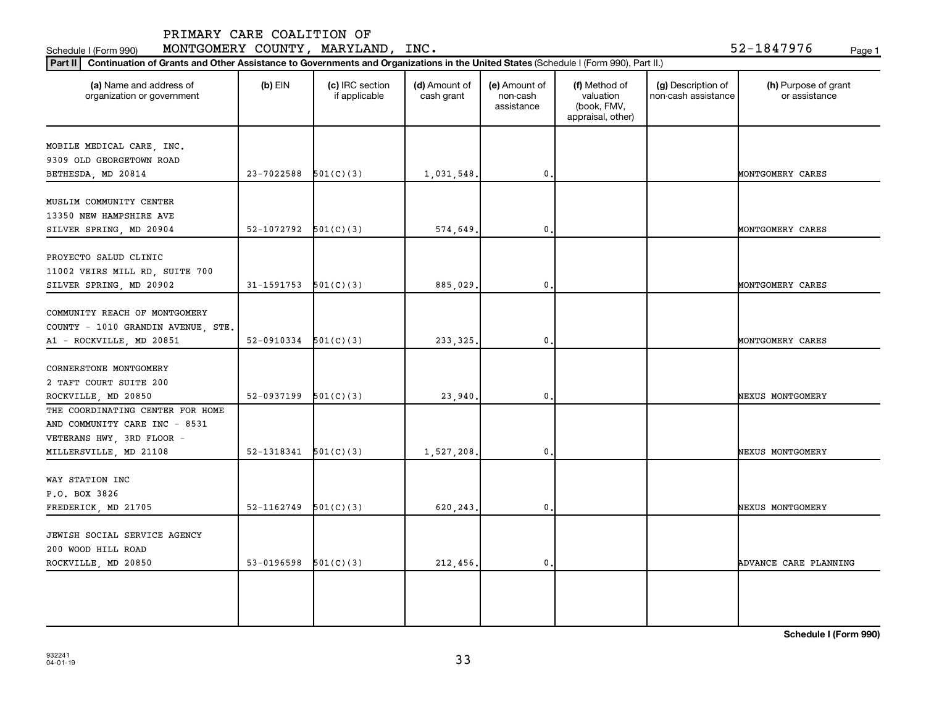Schedule I (Form 990) MONTGOMERY COUNTY,  $\texttt{MARYLAND}$ ,  $\texttt{INC.}$   $\texttt{S2--1847976}$   $\texttt{Page 1}$ 

| (a) Name and address of<br>organization or government     | $(b)$ EIN              | (c) IRC section<br>if applicable | (d) Amount of<br>cash grant | (e) Amount of<br>non-cash<br>assistance | (f) Method of<br>valuation<br>(book, FMV,<br>appraisal, other) | (g) Description of<br>non-cash assistance | (h) Purpose of grant<br>or assistance |
|-----------------------------------------------------------|------------------------|----------------------------------|-----------------------------|-----------------------------------------|----------------------------------------------------------------|-------------------------------------------|---------------------------------------|
| MOBILE MEDICAL CARE, INC.                                 |                        |                                  |                             |                                         |                                                                |                                           |                                       |
| 9309 OLD GEORGETOWN ROAD                                  |                        |                                  |                             |                                         |                                                                |                                           |                                       |
| BETHESDA, MD 20814                                        | 23-7022588             | 501(C)(3)                        | 1,031,548.                  | $\mathbf{0}$                            |                                                                |                                           | MONTGOMERY CARES                      |
|                                                           |                        |                                  |                             |                                         |                                                                |                                           |                                       |
| MUSLIM COMMUNITY CENTER                                   |                        |                                  |                             |                                         |                                                                |                                           |                                       |
| 13350 NEW HAMPSHIRE AVE                                   |                        |                                  |                             |                                         |                                                                |                                           |                                       |
| SILVER SPRING, MD 20904                                   | 52-1072792 $501(C)(3)$ |                                  | 574,649.                    | $\mathbf 0$ .                           |                                                                |                                           | MONTGOMERY CARES                      |
| PROYECTO SALUD CLINIC                                     |                        |                                  |                             |                                         |                                                                |                                           |                                       |
|                                                           |                        |                                  |                             |                                         |                                                                |                                           |                                       |
| 11002 VEIRS MILL RD, SUITE 700<br>SILVER SPRING, MD 20902 | 31-1591753             | 501(C)(3)                        | 885,029.                    | $\mathbf 0$                             |                                                                |                                           | MONTGOMERY CARES                      |
|                                                           |                        |                                  |                             |                                         |                                                                |                                           |                                       |
| COMMUNITY REACH OF MONTGOMERY                             |                        |                                  |                             |                                         |                                                                |                                           |                                       |
| COUNTY - 1010 GRANDIN AVENUE, STE.                        |                        |                                  |                             |                                         |                                                                |                                           |                                       |
| A1 - ROCKVILLE, MD 20851                                  | 52-0910334             | 501(C)(3)                        | 233, 325,                   | 0.                                      |                                                                |                                           | MONTGOMERY CARES                      |
|                                                           |                        |                                  |                             |                                         |                                                                |                                           |                                       |
| CORNERSTONE MONTGOMERY                                    |                        |                                  |                             |                                         |                                                                |                                           |                                       |
| 2 TAFT COURT SUITE 200                                    |                        |                                  |                             |                                         |                                                                |                                           |                                       |
| ROCKVILLE, MD 20850                                       | 52-0937199 $501(C)(3)$ |                                  | 23,940.                     | $\mathbf 0$ .                           |                                                                |                                           | NEXUS MONTGOMERY                      |
| THE COORDINATING CENTER FOR HOME                          |                        |                                  |                             |                                         |                                                                |                                           |                                       |
| AND COMMUNITY CARE INC - 8531                             |                        |                                  |                             |                                         |                                                                |                                           |                                       |
| VETERANS HWY, 3RD FLOOR -                                 |                        |                                  |                             |                                         |                                                                |                                           |                                       |
| MILLERSVILLE, MD 21108                                    | 52-1318341             | 501(C)(3)                        | 1,527,208.                  | 0                                       |                                                                |                                           | <b>NEXUS MONTGOMERY</b>               |
|                                                           |                        |                                  |                             |                                         |                                                                |                                           |                                       |
| WAY STATION INC                                           |                        |                                  |                             |                                         |                                                                |                                           |                                       |
| P.O. BOX 3826                                             |                        |                                  |                             |                                         |                                                                |                                           |                                       |
| FREDERICK, MD 21705                                       | 52-1162749             | 501(C)(3)                        | 620,243.                    | $\mathbf 0$ .                           |                                                                |                                           | <b>NEXUS MONTGOMERY</b>               |
|                                                           |                        |                                  |                             |                                         |                                                                |                                           |                                       |
| JEWISH SOCIAL SERVICE AGENCY                              |                        |                                  |                             |                                         |                                                                |                                           |                                       |
| 200 WOOD HILL ROAD                                        | 53-0196598             |                                  |                             |                                         |                                                                |                                           |                                       |
| ROCKVILLE, MD 20850                                       |                        | 501(C)(3)                        | 212,456.                    | $\,0$ .                                 |                                                                |                                           | ADVANCE CARE PLANNING                 |
|                                                           |                        |                                  |                             |                                         |                                                                |                                           |                                       |
|                                                           |                        |                                  |                             |                                         |                                                                |                                           |                                       |
|                                                           |                        |                                  |                             |                                         |                                                                |                                           |                                       |

**Schedule I (Form 990)**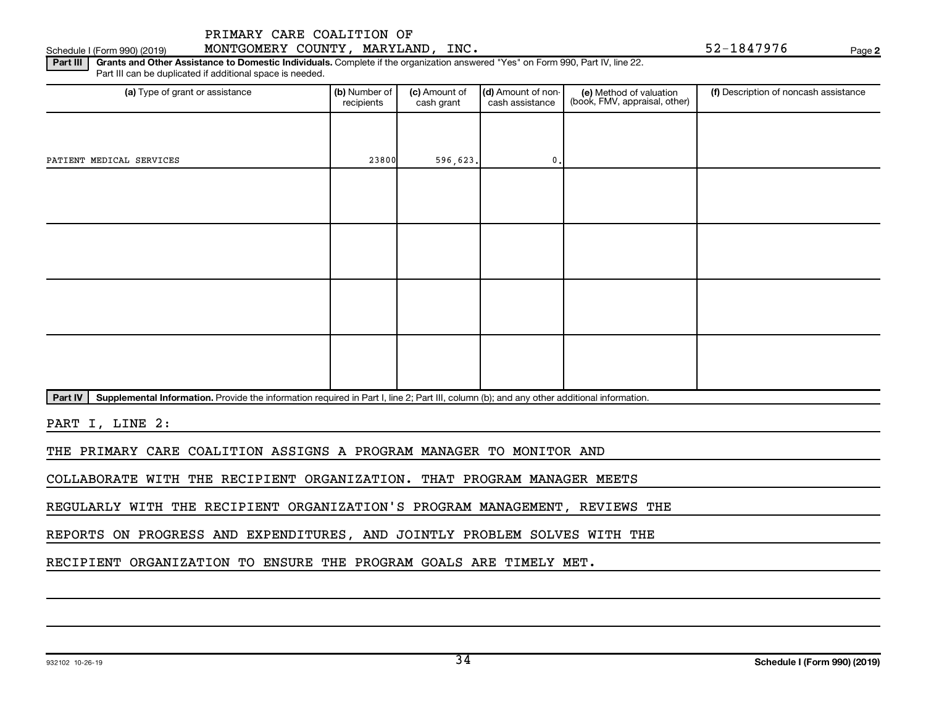### Schedule I (Form 990) (2019) MONTGOMERY COUNTY, MARYLAND, INC.  $52-1847976$  Page

**2**

Part III | Grants and Other Assistance to Domestic Individuals. Complete if the organization answered "Yes" on Form 990, Part IV, line 22. Part III can be duplicated if additional space is needed.

| (a) Type of grant or assistance | (b) Number of<br>recipients | (c) Amount of<br>cash grant | (d) Amount of non-<br>cash assistance | (e) Method of valuation<br>(book, FMV, appraisal, other) | (f) Description of noncash assistance |
|---------------------------------|-----------------------------|-----------------------------|---------------------------------------|----------------------------------------------------------|---------------------------------------|
|                                 |                             |                             |                                       |                                                          |                                       |
| PATIENT MEDICAL SERVICES        | 23800                       | 596, 623.                   | 0.                                    |                                                          |                                       |
|                                 |                             |                             |                                       |                                                          |                                       |
|                                 |                             |                             |                                       |                                                          |                                       |
|                                 |                             |                             |                                       |                                                          |                                       |
|                                 |                             |                             |                                       |                                                          |                                       |
|                                 |                             |                             |                                       |                                                          |                                       |
|                                 |                             |                             |                                       |                                                          |                                       |
|                                 |                             |                             |                                       |                                                          |                                       |
|                                 |                             |                             |                                       |                                                          |                                       |

Part IV | Supplemental Information. Provide the information required in Part I, line 2; Part III, column (b); and any other additional information.

PART I, LINE 2:

THE PRIMARY CARE COALITION ASSIGNS A PROGRAM MANAGER TO MONITOR AND

COLLABORATE WITH THE RECIPIENT ORGANIZATION. THAT PROGRAM MANAGER MEETS

REGULARLY WITH THE RECIPIENT ORGANIZATION'S PROGRAM MANAGEMENT, REVIEWS THE

REPORTS ON PROGRESS AND EXPENDITURES, AND JOINTLY PROBLEM SOLVES WITH THE

RECIPIENT ORGANIZATION TO ENSURE THE PROGRAM GOALS ARE TIMELY MET.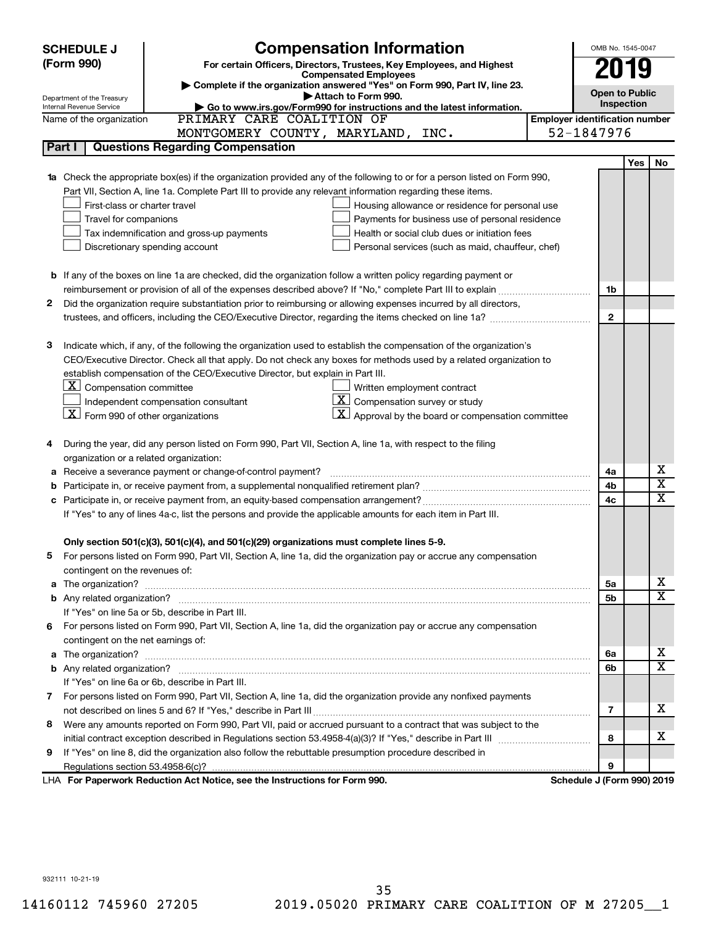|        | <b>SCHEDULE J</b>                       | <b>Compensation Information</b>                                                                                        |                                       | OMB No. 1545-0047          |            |                             |
|--------|-----------------------------------------|------------------------------------------------------------------------------------------------------------------------|---------------------------------------|----------------------------|------------|-----------------------------|
|        | (Form 990)                              | For certain Officers, Directors, Trustees, Key Employees, and Highest                                                  |                                       |                            | 019        |                             |
|        |                                         | <b>Compensated Employees</b>                                                                                           |                                       |                            |            |                             |
|        | Department of the Treasury              | Complete if the organization answered "Yes" on Form 990, Part IV, line 23.<br>Attach to Form 990.                      |                                       | <b>Open to Public</b>      |            |                             |
|        | Internal Revenue Service                | Go to www.irs.gov/Form990 for instructions and the latest information.                                                 |                                       | Inspection                 |            |                             |
|        | Name of the organization                | PRIMARY CARE COALITION OF                                                                                              | <b>Employer identification number</b> |                            |            |                             |
|        |                                         | MONTGOMERY COUNTY, MARYLAND, INC.                                                                                      |                                       | 52-1847976                 |            |                             |
| Part I |                                         | <b>Questions Regarding Compensation</b>                                                                                |                                       |                            |            |                             |
|        |                                         |                                                                                                                        |                                       |                            | <b>Yes</b> | No                          |
|        |                                         | Check the appropriate box(es) if the organization provided any of the following to or for a person listed on Form 990, |                                       |                            |            |                             |
|        |                                         | Part VII, Section A, line 1a. Complete Part III to provide any relevant information regarding these items.             |                                       |                            |            |                             |
|        | First-class or charter travel           | Housing allowance or residence for personal use                                                                        |                                       |                            |            |                             |
|        | Travel for companions                   | Payments for business use of personal residence                                                                        |                                       |                            |            |                             |
|        |                                         | Tax indemnification and gross-up payments<br>Health or social club dues or initiation fees                             |                                       |                            |            |                             |
|        |                                         | Discretionary spending account<br>Personal services (such as maid, chauffeur, chef)                                    |                                       |                            |            |                             |
|        |                                         |                                                                                                                        |                                       |                            |            |                             |
|        |                                         | <b>b</b> If any of the boxes on line 1a are checked, did the organization follow a written policy regarding payment or |                                       |                            |            |                             |
|        |                                         |                                                                                                                        |                                       | 1b                         |            |                             |
| 2      |                                         | Did the organization require substantiation prior to reimbursing or allowing expenses incurred by all directors,       |                                       |                            |            |                             |
|        |                                         |                                                                                                                        |                                       | $\mathbf{2}$               |            |                             |
|        |                                         |                                                                                                                        |                                       |                            |            |                             |
| З      |                                         | Indicate which, if any, of the following the organization used to establish the compensation of the organization's     |                                       |                            |            |                             |
|        |                                         | CEO/Executive Director. Check all that apply. Do not check any boxes for methods used by a related organization to     |                                       |                            |            |                             |
|        |                                         | establish compensation of the CEO/Executive Director, but explain in Part III.                                         |                                       |                            |            |                             |
|        | $ \mathbf{X} $ Compensation committee   | Written employment contract                                                                                            |                                       |                            |            |                             |
|        |                                         | $ \mathbf{X} $ Compensation survey or study<br>Independent compensation consultant                                     |                                       |                            |            |                             |
|        | $X$ Form 990 of other organizations     | Approval by the board or compensation committee                                                                        |                                       |                            |            |                             |
|        |                                         |                                                                                                                        |                                       |                            |            |                             |
| 4      |                                         | During the year, did any person listed on Form 990, Part VII, Section A, line 1a, with respect to the filing           |                                       |                            |            |                             |
|        | organization or a related organization: | Receive a severance payment or change-of-control payment?                                                              |                                       |                            |            | х                           |
| а<br>b |                                         |                                                                                                                        |                                       | 4a<br>4b                   |            | $\overline{\text{x}}$       |
|        |                                         |                                                                                                                        |                                       | 4c                         |            | $\overline{\textnormal{x}}$ |
| с      |                                         | If "Yes" to any of lines 4a-c, list the persons and provide the applicable amounts for each item in Part III.          |                                       |                            |            |                             |
|        |                                         |                                                                                                                        |                                       |                            |            |                             |
|        |                                         | Only section 501(c)(3), 501(c)(4), and 501(c)(29) organizations must complete lines 5-9.                               |                                       |                            |            |                             |
|        |                                         | For persons listed on Form 990, Part VII, Section A, line 1a, did the organization pay or accrue any compensation      |                                       |                            |            |                             |
|        | contingent on the revenues of:          |                                                                                                                        |                                       |                            |            |                             |
| a      |                                         |                                                                                                                        |                                       | 5a                         |            | х                           |
|        |                                         |                                                                                                                        |                                       | 5b                         |            | $\overline{\mathbf{X}}$     |
|        |                                         | If "Yes" on line 5a or 5b, describe in Part III.                                                                       |                                       |                            |            |                             |
| 6.     |                                         | For persons listed on Form 990, Part VII, Section A, line 1a, did the organization pay or accrue any compensation      |                                       |                            |            |                             |
|        | contingent on the net earnings of:      |                                                                                                                        |                                       |                            |            |                             |
| a      |                                         |                                                                                                                        |                                       | 6а                         |            | х                           |
|        |                                         |                                                                                                                        |                                       | 6b                         |            | $\overline{\mathbf{X}}$     |
|        |                                         | If "Yes" on line 6a or 6b, describe in Part III.                                                                       |                                       |                            |            |                             |
|        |                                         | 7 For persons listed on Form 990, Part VII, Section A, line 1a, did the organization provide any nonfixed payments     |                                       |                            |            |                             |
|        |                                         |                                                                                                                        |                                       | 7                          |            | x                           |
| 8      |                                         | Were any amounts reported on Form 990, Part VII, paid or accrued pursuant to a contract that was subject to the        |                                       |                            |            |                             |
|        |                                         |                                                                                                                        |                                       | 8                          |            | х                           |
| 9      |                                         | If "Yes" on line 8, did the organization also follow the rebuttable presumption procedure described in                 |                                       |                            |            |                             |
|        |                                         |                                                                                                                        |                                       | 9                          |            |                             |
|        |                                         | LHA For Paperwork Reduction Act Notice, see the Instructions for Form 990.                                             |                                       | Schedule J (Form 990) 2019 |            |                             |
|        |                                         |                                                                                                                        |                                       |                            |            |                             |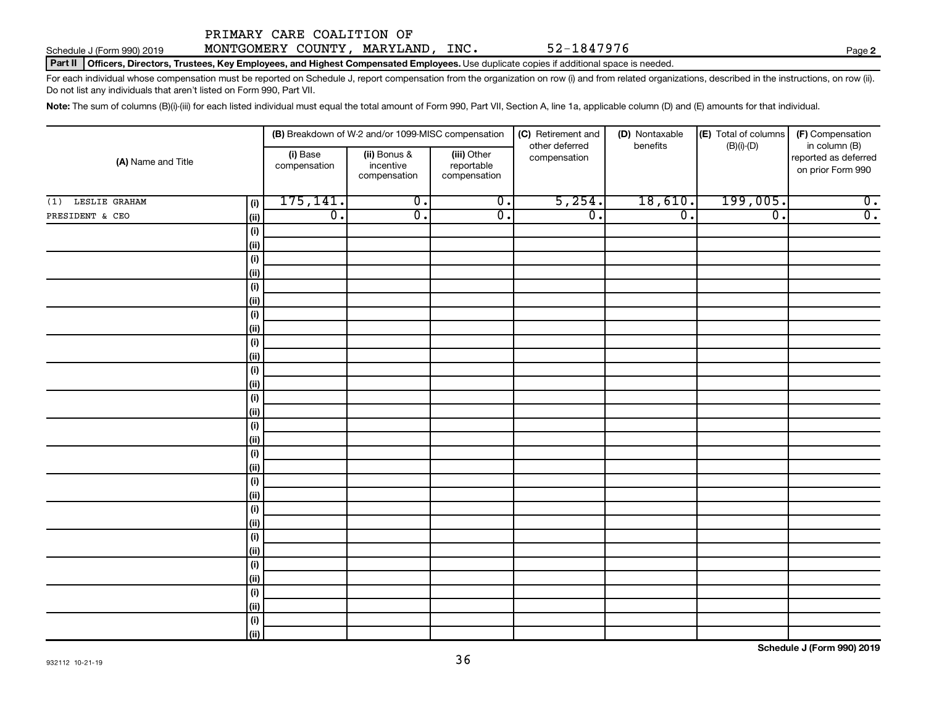#### Schedule J (Form 990) 2019 MONTGOMERY COUNTY, MARYLAND, INC. 52-1847976 52-1847976

**2**

Part II | Officers, Directors, Trustees, Key Employees, and Highest Compensated Employees. Use duplicate copies if additional space is needed.

For each individual whose compensation must be reported on Schedule J, report compensation from the organization on row (i) and from related organizations, described in the instructions, on row (ii). Do not list any individuals that aren't listed on Form 990, Part VII.

Note: The sum of columns (B)(i)-(iii) for each listed individual must equal the total amount of Form 990, Part VII, Section A, line 1a, applicable column (D) and (E) amounts for that individual.

| (A) Name and Title |             |                          | (B) Breakdown of W-2 and/or 1099-MISC compensation |                                           | (C) Retirement and             | (D) Nontaxable   | (E) Total of columns | (F) Compensation                                           |
|--------------------|-------------|--------------------------|----------------------------------------------------|-------------------------------------------|--------------------------------|------------------|----------------------|------------------------------------------------------------|
|                    |             | (i) Base<br>compensation | (ii) Bonus &<br>incentive<br>compensation          | (iii) Other<br>reportable<br>compensation | other deferred<br>compensation | benefits         | $(B)(i)-(D)$         | in column (B)<br>reported as deferred<br>on prior Form 990 |
| (1) LESLIE GRAHAM  | (i)         | 175, 141.                | $\overline{0}$ .                                   | $\overline{0}$ .                          | 5,254.                         | 18,610.          | 199,005.             | $\overline{0}$ .                                           |
| PRESIDENT & CEO    | (ii)        | $\overline{0}$ .         | $\overline{0}$ .                                   | $\overline{0}$ .                          | $\overline{0}$ .               | $\overline{0}$ . | $\overline{0}$ .     | $\overline{0}$ .                                           |
|                    | (i)         |                          |                                                    |                                           |                                |                  |                      |                                                            |
|                    | (ii)        |                          |                                                    |                                           |                                |                  |                      |                                                            |
|                    | (i)         |                          |                                                    |                                           |                                |                  |                      |                                                            |
|                    | (ii)        |                          |                                                    |                                           |                                |                  |                      |                                                            |
|                    | (i)         |                          |                                                    |                                           |                                |                  |                      |                                                            |
|                    | (ii)        |                          |                                                    |                                           |                                |                  |                      |                                                            |
|                    | (i)         |                          |                                                    |                                           |                                |                  |                      |                                                            |
|                    | (ii)        |                          |                                                    |                                           |                                |                  |                      |                                                            |
|                    | (i)         |                          |                                                    |                                           |                                |                  |                      |                                                            |
|                    | (ii)        |                          |                                                    |                                           |                                |                  |                      |                                                            |
|                    | (i)         |                          |                                                    |                                           |                                |                  |                      |                                                            |
|                    | (ii)        |                          |                                                    |                                           |                                |                  |                      |                                                            |
|                    | (i)         |                          |                                                    |                                           |                                |                  |                      |                                                            |
|                    | (ii)        |                          |                                                    |                                           |                                |                  |                      |                                                            |
|                    | (i)<br>(ii) |                          |                                                    |                                           |                                |                  |                      |                                                            |
|                    | (i)         |                          |                                                    |                                           |                                |                  |                      |                                                            |
|                    | (ii)        |                          |                                                    |                                           |                                |                  |                      |                                                            |
|                    | (i)         |                          |                                                    |                                           |                                |                  |                      |                                                            |
|                    | (ii)        |                          |                                                    |                                           |                                |                  |                      |                                                            |
|                    | (i)         |                          |                                                    |                                           |                                |                  |                      |                                                            |
|                    | (ii)        |                          |                                                    |                                           |                                |                  |                      |                                                            |
|                    | (i)         |                          |                                                    |                                           |                                |                  |                      |                                                            |
|                    | (ii)        |                          |                                                    |                                           |                                |                  |                      |                                                            |
|                    | (i)         |                          |                                                    |                                           |                                |                  |                      |                                                            |
|                    | (ii)        |                          |                                                    |                                           |                                |                  |                      |                                                            |
|                    | (i)         |                          |                                                    |                                           |                                |                  |                      |                                                            |
|                    | (ii)        |                          |                                                    |                                           |                                |                  |                      |                                                            |
|                    | (i)         |                          |                                                    |                                           |                                |                  |                      |                                                            |
|                    | (ii)        |                          |                                                    |                                           |                                |                  |                      |                                                            |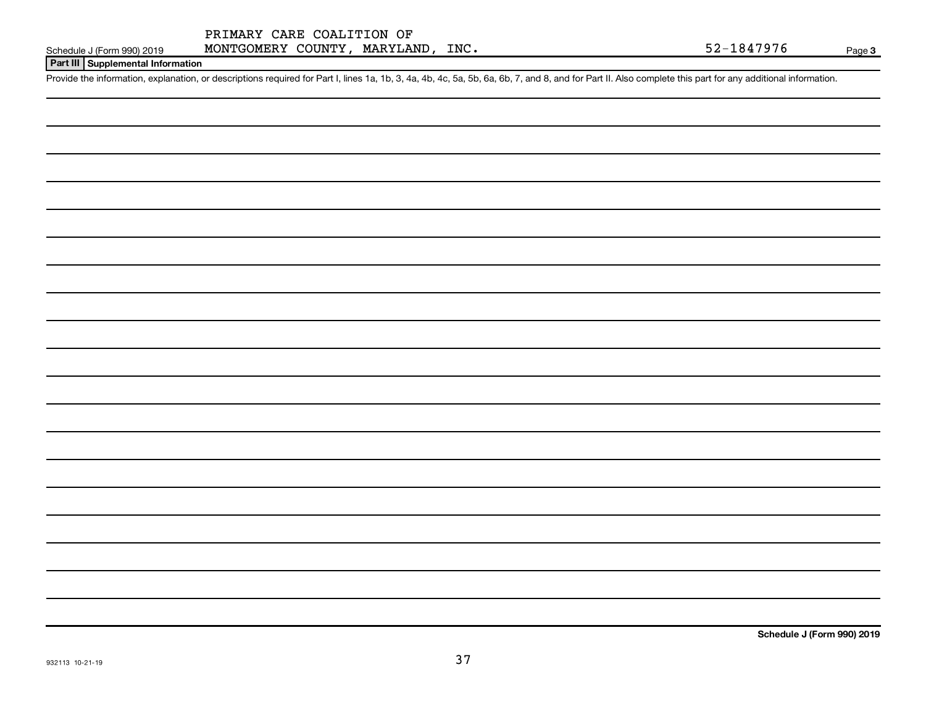### Schedule J (Form 990) 2019 MONTGOMERY COUNTY, MARYLAND, INC.  $52-1847976$  Page

#### **Part III Supplemental Information**

Provide the information, explanation, or descriptions required for Part I, lines 1a, 1b, 3, 4a, 4b, 4c, 5a, 5b, 6a, 6b, 7, and 8, and for Part II. Also complete this part for any additional information.

**Schedule J (Form 990) 2019**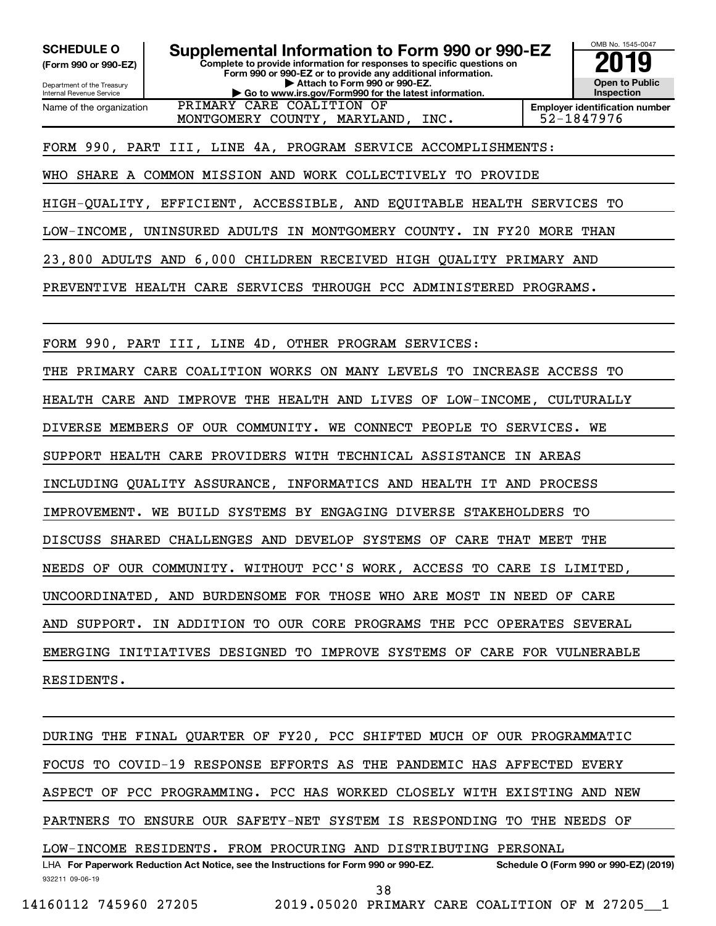**(Form 990 or 990-EZ)**

**Complete to provide information for responses to specific questions on SCHEDULE O Supplemental Information to Form 990 or 990-EZ 2019** 

**Form 990 or 990-EZ or to provide any additional information.**

Department of the Treasury Internal Revenue Service

Name of the organization

**| Attach to Form 990 or 990-EZ. | Go to www.irs.gov/Form990 for the latest information.** PRIMARY CARE COALITION OF



MONTGOMERY COUNTY, MARYLAND, INC. | 52-1847976

FORM 990, PART III, LINE 4A, PROGRAM SERVICE ACCOMPLISHMENTS:

WHO SHARE A COMMON MISSION AND WORK COLLECTIVELY TO PROVIDE

HIGH-QUALITY, EFFICIENT, ACCESSIBLE, AND EQUITABLE HEALTH SERVICES TO

LOW-INCOME, UNINSURED ADULTS IN MONTGOMERY COUNTY. IN FY20 MORE THAN

23,800 ADULTS AND 6,000 CHILDREN RECEIVED HIGH QUALITY PRIMARY AND

PREVENTIVE HEALTH CARE SERVICES THROUGH PCC ADMINISTERED PROGRAMS.

FORM 990, PART III, LINE 4D, OTHER PROGRAM SERVICES:

THE PRIMARY CARE COALITION WORKS ON MANY LEVELS TO INCREASE ACCESS TO HEALTH CARE AND IMPROVE THE HEALTH AND LIVES OF LOW-INCOME, CULTURALLY DIVERSE MEMBERS OF OUR COMMUNITY. WE CONNECT PEOPLE TO SERVICES. WE SUPPORT HEALTH CARE PROVIDERS WITH TECHNICAL ASSISTANCE IN AREAS INCLUDING QUALITY ASSURANCE, INFORMATICS AND HEALTH IT AND PROCESS IMPROVEMENT. WE BUILD SYSTEMS BY ENGAGING DIVERSE STAKEHOLDERS TO DISCUSS SHARED CHALLENGES AND DEVELOP SYSTEMS OF CARE THAT MEET THE NEEDS OF OUR COMMUNITY. WITHOUT PCC'S WORK, ACCESS TO CARE IS LIMITED, UNCOORDINATED, AND BURDENSOME FOR THOSE WHO ARE MOST IN NEED OF CARE AND SUPPORT. IN ADDITION TO OUR CORE PROGRAMS THE PCC OPERATES SEVERAL EMERGING INITIATIVES DESIGNED TO IMPROVE SYSTEMS OF CARE FOR VULNERABLE RESIDENTS.

DURING THE FINAL QUARTER OF FY20, PCC SHIFTED MUCH OF OUR PROGRAMMATIC FOCUS TO COVID-19 RESPONSE EFFORTS AS THE PANDEMIC HAS AFFECTED EVERY ASPECT OF PCC PROGRAMMING. PCC HAS WORKED CLOSELY WITH EXISTING AND NEW PARTNERS TO ENSURE OUR SAFETY-NET SYSTEM IS RESPONDING TO THE NEEDS OF LOW-INCOME RESIDENTS. FROM PROCURING AND DISTRIBUTING PERSONAL

932211 09-06-19 LHA For Paperwork Reduction Act Notice, see the Instructions for Form 990 or 990-EZ. Schedule O (Form 990 or 990-EZ) (2019) 38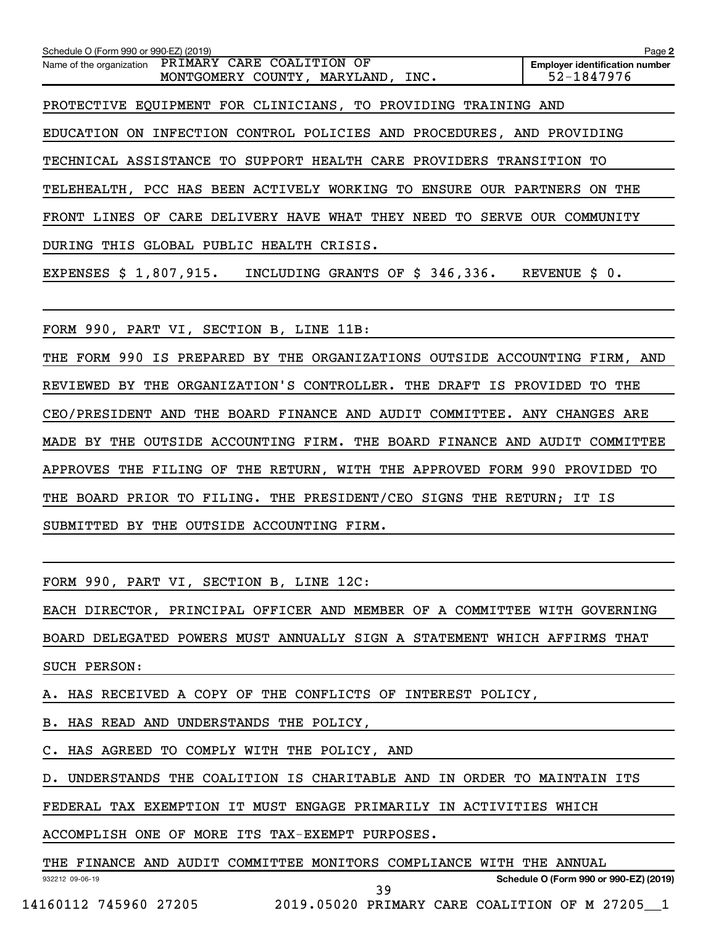| Schedule O (Form 990 or 990-EZ) (2019)                                                                | Page 2                                              |
|-------------------------------------------------------------------------------------------------------|-----------------------------------------------------|
| Name of the organization PRIMARY CARE COALITION OF<br>MONTGOMERY COUNTY, MARYLAND, INC.               | <b>Employer identification number</b><br>52-1847976 |
| PROTECTIVE EQUIPMENT FOR CLINICIANS, TO PROVIDING TRAINING AND                                        |                                                     |
| EDUCATION ON INFECTION CONTROL POLICIES AND PROCEDURES, AND PROVIDING                                 |                                                     |
|                                                                                                       |                                                     |
| TECHNICAL ASSISTANCE TO SUPPORT HEALTH CARE PROVIDERS TRANSITION TO                                   |                                                     |
| TELEHEALTH, PCC HAS BEEN ACTIVELY WORKING TO ENSURE OUR PARTNERS ON THE                               |                                                     |
| FRONT LINES OF CARE DELIVERY HAVE WHAT THEY NEED TO SERVE OUR COMMUNITY                               |                                                     |
| DURING THIS GLOBAL PUBLIC HEALTH CRISIS.                                                              |                                                     |
| EXPENSES $\frac{1}{5}$ 1,807,915. INCLUDING GRANTS OF $\frac{1}{5}$ 346,336. REVENUE $\frac{1}{5}$ 0. |                                                     |
|                                                                                                       |                                                     |
| FORM 990, PART VI, SECTION B, LINE 11B:                                                               |                                                     |
| THE FORM 990 IS PREPARED BY THE ORGANIZATIONS OUTSIDE ACCOUNTING FIRM, AND                            |                                                     |
| REVIEWED BY THE ORGANIZATION'S CONTROLLER. THE DRAFT IS PROVIDED TO THE                               |                                                     |
| CEO/PRESIDENT AND THE BOARD FINANCE AND AUDIT COMMITTEE. ANY CHANGES ARE                              |                                                     |
| MADE BY THE OUTSIDE ACCOUNTING FIRM. THE BOARD FINANCE AND AUDIT COMMITTEE                            |                                                     |
| APPROVES THE FILING OF THE RETURN, WITH THE APPROVED FORM 990 PROVIDED TO                             |                                                     |
| THE BOARD PRIOR TO FILING. THE PRESIDENT/CEO SIGNS THE RETURN; IT IS                                  |                                                     |
| SUBMITTED BY THE OUTSIDE ACCOUNTING FIRM.                                                             |                                                     |
|                                                                                                       |                                                     |
| FORM 990, PART VI, SECTION B, LINE 12C:                                                               |                                                     |
| EACH DIRECTOR, PRINCIPAL OFFICER AND MEMBER OF A COMMITTEE WITH GOVERNING                             |                                                     |
| BOARD DELEGATED POWERS MUST ANNUALLY SIGN A STATEMENT WHICH AFFIRMS THAT                              |                                                     |
| SUCH PERSON:                                                                                          |                                                     |
|                                                                                                       |                                                     |
| A. HAS RECEIVED A COPY OF THE CONFLICTS OF INTEREST POLICY,                                           |                                                     |
| B. HAS READ AND UNDERSTANDS THE POLICY,                                                               |                                                     |
| C. HAS AGREED TO COMPLY WITH THE POLICY, AND                                                          |                                                     |
| D. UNDERSTANDS THE COALITION IS CHARITABLE AND IN ORDER TO MAINTAIN ITS                               |                                                     |
| FEDERAL TAX EXEMPTION IT MUST ENGAGE PRIMARILY IN ACTIVITIES WHICH                                    |                                                     |

ACCOMPLISH ONE OF MORE ITS TAX-EXEMPT PURPOSES.

THE FINANCE AND AUDIT COMMITTEE MONITORS COMPLIANCE WITH THE ANNUAL

**Schedule O (Form 990 or 990-EZ) (2019)**

932212 09-06-19

39

14160112 745960 27205 2019.05020 PRIMARY CARE COALITION OF M 27205\_\_1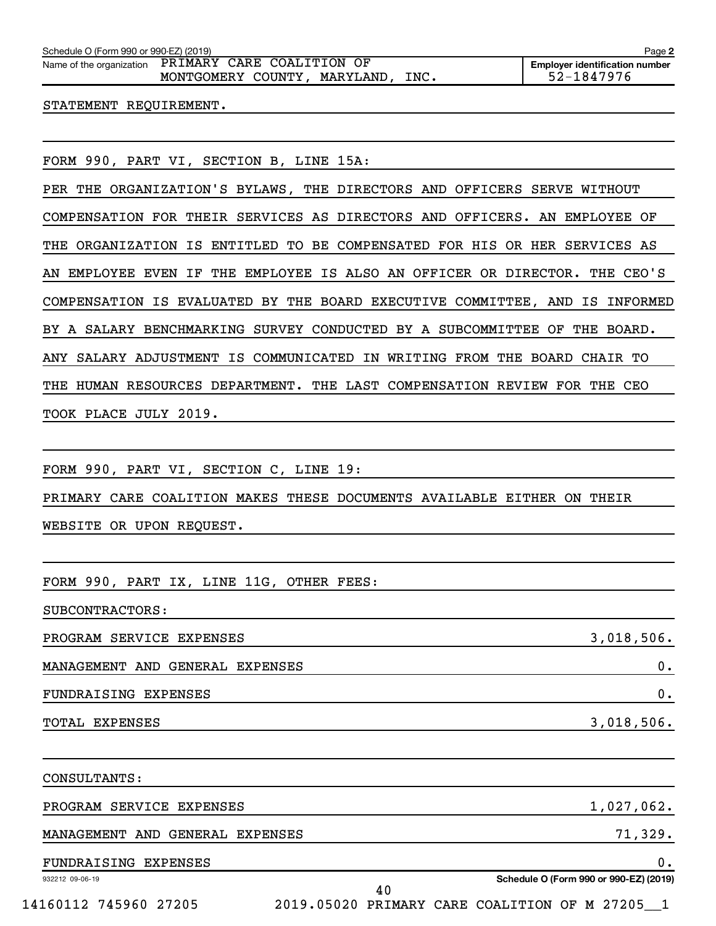| Schedule O (Form 990 or 990-EZ) (2019)<br>Page 2 |                                                                                              |                                                     |  |  |  |  |  |
|--------------------------------------------------|----------------------------------------------------------------------------------------------|-----------------------------------------------------|--|--|--|--|--|
|                                                  | Name of the organization PRIMARY CARE COALITION OF<br>MONTGOMERY COUNTY,<br>INC.<br>MARYLAND | <b>Employer identification number</b><br>52-1847976 |  |  |  |  |  |
|                                                  |                                                                                              |                                                     |  |  |  |  |  |

#### STATEMENT REQUIREMENT.

FORM 990, PART VI, SECTION B, LINE 15A:

PER THE ORGANIZATION'S BYLAWS, THE DIRECTORS AND OFFICERS SERVE WITHOUT COMPENSATION FOR THEIR SERVICES AS DIRECTORS AND OFFICERS. AN EMPLOYEE OF THE ORGANIZATION IS ENTITLED TO BE COMPENSATED FOR HIS OR HER SERVICES AS AN EMPLOYEE EVEN IF THE EMPLOYEE IS ALSO AN OFFICER OR DIRECTOR. THE CEO'S COMPENSATION IS EVALUATED BY THE BOARD EXECUTIVE COMMITTEE, AND IS INFORMED BY A SALARY BENCHMARKING SURVEY CONDUCTED BY A SUBCOMMITTEE OF THE BOARD. ANY SALARY ADJUSTMENT IS COMMUNICATED IN WRITING FROM THE BOARD CHAIR TO THE HUMAN RESOURCES DEPARTMENT. THE LAST COMPENSATION REVIEW FOR THE CEO TOOK PLACE JULY 2019.

FORM 990, PART VI, SECTION C, LINE 19:

PRIMARY CARE COALITION MAKES THESE DOCUMENTS AVAILABLE EITHER ON THEIR

WEBSITE OR UPON REQUEST.

FORM 990, PART IX, LINE 11G, OTHER FEES:

SUBCONTRACTORS:

| PROGRAM | SERVICE EXPENSES | ሰ1<br>o |
|---------|------------------|---------|
|         |                  |         |

MANAGEMENT AND GENERAL EXPENSES 0.

FUNDRAISING EXPENSES 0.

TOTAL EXPENSES 3,018,506.

CONSULTANTS:

PROGRAM SERVICE EXPENSES 1,027,062.

MANAGEMENT AND GENERAL EXPENSES 71,329.

### FUNDRAISING EXPENSES 0.

932212 09-06-19

14160112 745960 27205 2019.05020 PRIMARY CARE COALITION OF M 27205\_\_1

40

**Schedule O (Form 990 or 990-EZ) (2019)**